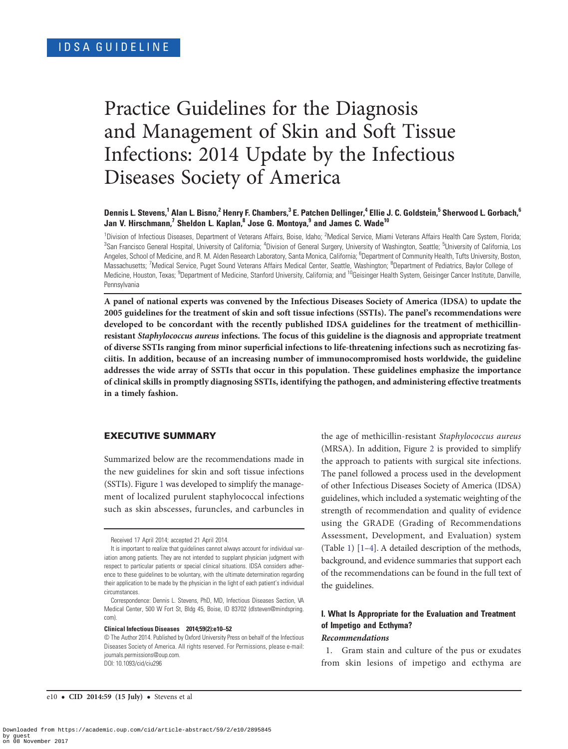# Practice Guidelines for the Diagnosis and Management of Skin and Soft Tissue Infections: 2014 Update by the Infectious Diseases Society of America

#### Dennis L. Stevens,<sup>1</sup> Alan L. Bisno,<sup>2</sup> Henry F. Chambers,<sup>3</sup> E. Patchen Dellinger,<sup>4</sup> Ellie J. C. Goldstein,<sup>5</sup> Sherwood L. Gorbach,<sup>6</sup> Jan V. Hirschmann,<sup>7</sup> Sheldon L. Kaplan,<sup>8</sup> Jose G. Montoya,<sup>9</sup> and James C. Wade<sup>10</sup>

<sup>1</sup> Division of Infectious Diseases, Department of Veterans Affairs, Boise, Idaho; <sup>2</sup>Medical Service, Miami Veterans Affairs Health Care System, Florida;<br><sup>3</sup>San Francisco General Health University of Colifornia: <sup>4</sup>Divisi San Francisco General Hospital, University of California; <sup>4</sup>Division of General Surgery, University of Washington, Seattle; <sup>5</sup>University of California, Los Angeles, School of Medicine, and R. M. Alden Research Laboratory, Santa Monica, California; <sup>6</sup>Department of Community Health, Tufts University, Boston, Massachusetts; <sup>7</sup>Medical Service, Puget Sound Veterans Affairs Medical Center, Seattle, Washington; <sup>8</sup>Department of Pediatrics, Baylor College of Medicine, Houston, Texas; <sup>9</sup>Department of Medicine, Stanford University, California; and <sup>10</sup>Geisinger Health System, Geisinger Cancer Institute, Danville, Pennsylvania

A panel of national experts was convened by the Infectious Diseases Society of America (IDSA) to update the 2005 guidelines for the treatment of skin and soft tissue infections (SSTIs). The panel's recommendations were developed to be concordant with the recently published IDSA guidelines for the treatment of methicillinresistant Staphylococcus aureus infections. The focus of this guideline is the diagnosis and appropriate treatment of diverse SSTIs ranging from minor superficial infections to life-threatening infections such as necrotizing fasciitis. In addition, because of an increasing number of immunocompromised hosts worldwide, the guideline addresses the wide array of SSTIs that occur in this population. These guidelines emphasize the importance of clinical skills in promptly diagnosing SSTIs, identifying the pathogen, and administering effective treatments in a timely fashion.

#### EXECUTIVE SUMMARY

Summarized below are the recommendations made in the new guidelines for skin and soft tissue infections (SSTIs). Figure [1](#page-1-0) was developed to simplify the management of localized purulent staphylococcal infections such as skin abscesses, furuncles, and carbuncles in

#### Clinical Infectious Diseases 2014;59(2):e10–52

the age of methicillin-resistant Staphylococcus aureus (MRSA). In addition, Figure [2](#page-2-0) is provided to simplify the approach to patients with surgical site infections. The panel followed a process used in the development of other Infectious Diseases Society of America (IDSA) guidelines, which included a systematic weighting of the strength of recommendation and quality of evidence using the GRADE (Grading of Recommendations Assessment, Development, and Evaluation) system (Table [1](#page-3-0)) [[1](#page-36-0)–[4\]](#page-36-0). A detailed description of the methods, background, and evidence summaries that support each of the recommendations can be found in the full text of the guidelines.

## I. What Is Appropriate for the Evaluation and Treatment of Impetigo and Ecthyma?

#### Recommendations

1. Gram stain and culture of the pus or exudates from skin lesions of impetigo and ecthyma are

Received 17 April 2014; accepted 21 April 2014.

It is important to realize that guidelines cannot always account for individual variation among patients. They are not intended to supplant physician judgment with respect to particular patients or special clinical situations. IDSA considers adherence to these guidelines to be voluntary, with the ultimate determination regarding their application to be made by the physician in the light of each patient's individual circumstances.

Correspondence: Dennis L. Stevens, PhD, MD, Infectious Diseases Section, VA Medical Center, 500 W Fort St, Bldg 45, Boise, ID 83702 ([dlsteven@mindspring.](mailto:dlsteven@mindspring.com) [com](mailto:dlsteven@mindspring.com)).

<sup>©</sup> The Author 2014. Published by Oxford University Press on behalf of the Infectious Diseases Society of America. All rights reserved. For Permissions, please e-mail: [journals.permissions@oup.com](mailto:journals.permissions@oup.com). DOI: 10.1093/cid/ciu296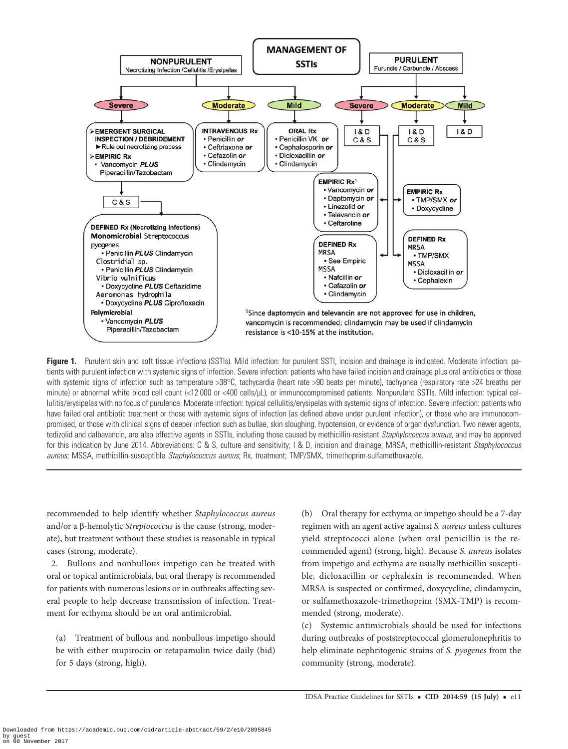<span id="page-1-0"></span>

Figure 1. Purulent skin and soft tissue infections (SSTIs). Mild infection: for purulent SSTI, incision and drainage is indicated. Moderate infection: patients with purulent infection with systemic signs of infection. Severe infection: patients who have failed incision and drainage plus oral antibiotics or those with systemic signs of infection such as temperature >38°C, tachycardia (heart rate >90 beats per minute), tachypnea (respiratory rate >24 breaths per minute) or abnormal white blood cell count (<12 000 or <400 cells/µL), or immunocompromised patients. Nonpurulent SSTIs. Mild infection: typical cellulitis/erysipelas with no focus of purulence. Moderate infection: typical cellulitis/erysipelas with systemic signs of infection. Severe infection: patients who have failed oral antibiotic treatment or those with systemic signs of infection (as defined above under purulent infection), or those who are immunocompromised, or those with clinical signs of deeper infection such as bullae, skin sloughing, hypotension, or evidence of organ dysfunction. Two newer agents, tedizolid and dalbavancin, are also effective agents in SSTIs, including those caused by methicillin-resistant *Staphylococcus aureus*, and may be approved for this indication by June 2014. Abbreviations: C & S, culture and sensitivity; I & D, incision and drainage; MRSA, methicillin-resistant Staphylococcus aureus; MSSA, methicillin-susceptible Staphylococcus aureus; Rx, treatment; TMP/SMX, trimethoprim-sulfamethoxazole.

recommended to help identify whether Staphylococcus aureus and/or a β-hemolytic Streptococcus is the cause (strong, moderate), but treatment without these studies is reasonable in typical cases (strong, moderate).

2. Bullous and nonbullous impetigo can be treated with oral or topical antimicrobials, but oral therapy is recommended for patients with numerous lesions or in outbreaks affecting several people to help decrease transmission of infection. Treatment for ecthyma should be an oral antimicrobial.

(a) Treatment of bullous and nonbullous impetigo should be with either mupirocin or retapamulin twice daily (bid) for 5 days (strong, high).

(b) Oral therapy for ecthyma or impetigo should be a 7-day regimen with an agent active against S. aureus unless cultures yield streptococci alone (when oral penicillin is the recommended agent) (strong, high). Because S. aureus isolates from impetigo and ecthyma are usually methicillin susceptible, dicloxacillin or cephalexin is recommended. When MRSA is suspected or confirmed, doxycycline, clindamycin, or sulfamethoxazole-trimethoprim (SMX-TMP) is recommended (strong, moderate).

(c) Systemic antimicrobials should be used for infections during outbreaks of poststreptococcal glomerulonephritis to help eliminate nephritogenic strains of S. pyogenes from the community (strong, moderate).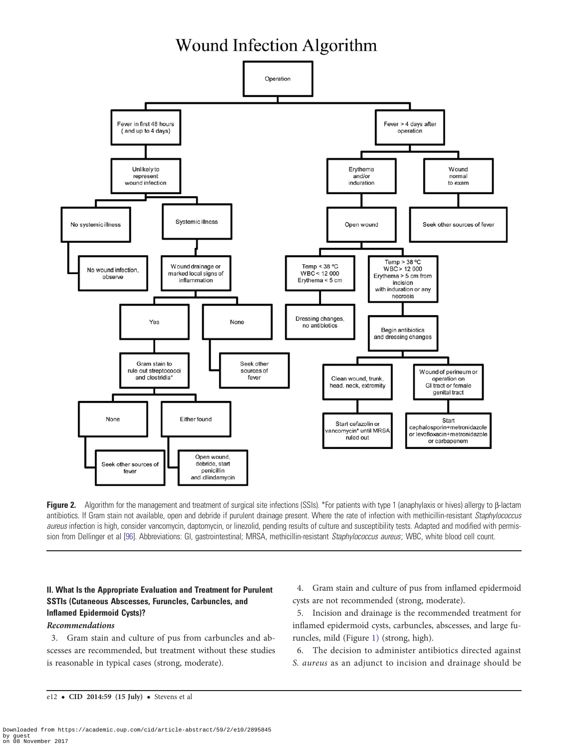# Wound Infection Algorithm

<span id="page-2-0"></span>

Figure 2. Algorithm for the management and treatment of surgical site infections (SSIs). \*For patients with type 1 (anaphylaxis or hives) allergy to β-lactam antibiotics. If Gram stain not available, open and debride if purulent drainage present. Where the rate of infection with methicillin-resistant Staphylococcus aureus infection is high, consider vancomycin, daptomycin, or linezolid, pending results of culture and susceptibility tests. Adapted and modified with permis-sion from Dellinger et al [\[96](#page-38-0)]. Abbreviations: GI, gastrointestinal; MRSA, methicillin-resistant Staphylococcus aureus; WBC, white blood cell count.

## II. What Is the Appropriate Evaluation and Treatment for Purulent SSTIs (Cutaneous Abscesses, Furuncles, Carbuncles, and Inflamed Epidermoid Cysts)?

#### Recommendations

3. Gram stain and culture of pus from carbuncles and abscesses are recommended, but treatment without these studies is reasonable in typical cases (strong, moderate).

4. Gram stain and culture of pus from inflamed epidermoid cysts are not recommended (strong, moderate).

5. Incision and drainage is the recommended treatment for inflamed epidermoid cysts, carbuncles, abscesses, and large furuncles, mild (Figure [1\)](#page-1-0) (strong, high).

6. The decision to administer antibiotics directed against S. aureus as an adjunct to incision and drainage should be

e12 • CID 2014:59 (15 July) • Stevens et al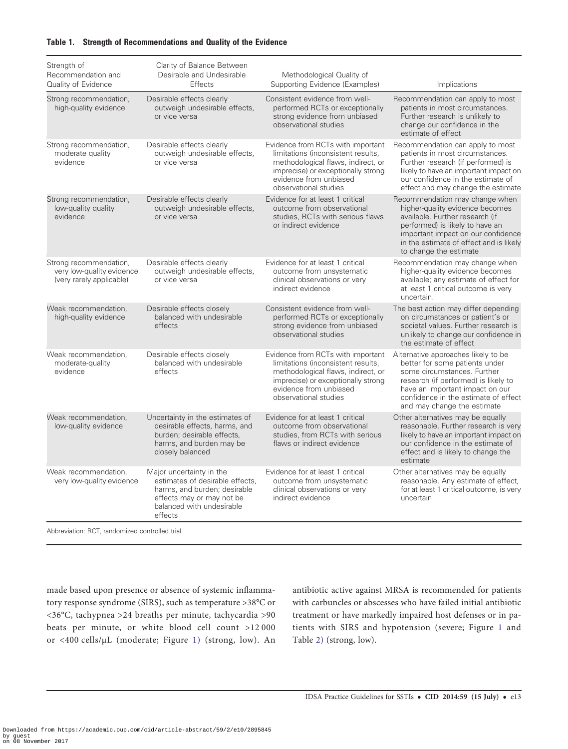| Strength of<br>Recommendation and<br>Quality of Evidence                        | Clarity of Balance Between<br>Desirable and Undesirable<br>Effects                                                                                               | Methodological Quality of<br>Supporting Evidence (Examples)                                                                                                                                            | Implications                                                                                                                                                                                                                                           |
|---------------------------------------------------------------------------------|------------------------------------------------------------------------------------------------------------------------------------------------------------------|--------------------------------------------------------------------------------------------------------------------------------------------------------------------------------------------------------|--------------------------------------------------------------------------------------------------------------------------------------------------------------------------------------------------------------------------------------------------------|
| Strong recommendation,<br>high-quality evidence                                 | Desirable effects clearly<br>outweigh undesirable effects,<br>or vice versa                                                                                      | Consistent evidence from well-<br>performed RCTs or exceptionally<br>strong evidence from unbiased<br>observational studies                                                                            | Recommendation can apply to most<br>patients in most circumstances.<br>Further research is unlikely to<br>change our confidence in the<br>estimate of effect                                                                                           |
| Strong recommendation,<br>moderate quality<br>evidence                          | Desirable effects clearly<br>outweigh undesirable effects,<br>or vice versa                                                                                      | Evidence from RCTs with important<br>limitations (inconsistent results,<br>methodological flaws, indirect, or<br>imprecise) or exceptionally strong<br>evidence from unbiased<br>observational studies | Recommendation can apply to most<br>patients in most circumstances.<br>Further research (if performed) is<br>likely to have an important impact on<br>our confidence in the estimate of<br>effect and may change the estimate                          |
| Strong recommendation,<br>low-quality quality<br>evidence                       | Desirable effects clearly<br>outweigh undesirable effects,<br>or vice versa                                                                                      | Evidence for at least 1 critical<br>outcome from observational<br>studies, RCTs with serious flaws<br>or indirect evidence                                                                             | Recommendation may change when<br>higher-quality evidence becomes<br>available. Further research (if<br>performed) is likely to have an<br>important impact on our confidence<br>in the estimate of effect and is likely<br>to change the estimate     |
| Strong recommendation,<br>very low-quality evidence<br>(very rarely applicable) | Desirable effects clearly<br>outweigh undesirable effects,<br>or vice versa                                                                                      | Evidence for at least 1 critical<br>outcome from unsystematic<br>clinical observations or very<br>indirect evidence                                                                                    | Recommendation may change when<br>higher-quality evidence becomes<br>available; any estimate of effect for<br>at least 1 critical outcome is very<br>uncertain.                                                                                        |
| Weak recommendation,<br>high-quality evidence                                   | Desirable effects closely<br>balanced with undesirable<br>effects                                                                                                | Consistent evidence from well-<br>performed RCTs or exceptionally<br>strong evidence from unbiased<br>observational studies                                                                            | The best action may differ depending<br>on circumstances or patient's or<br>societal values. Further research is<br>unlikely to change our confidence in<br>the estimate of effect                                                                     |
| Weak recommendation,<br>moderate-quality<br>evidence                            | Desirable effects closely<br>balanced with undesirable<br>effects                                                                                                | Evidence from RCTs with important<br>limitations (inconsistent results,<br>methodological flaws, indirect, or<br>imprecise) or exceptionally strong<br>evidence from unbiased<br>observational studies | Alternative approaches likely to be<br>better for some patients under<br>some circumstances. Further<br>research (if performed) is likely to<br>have an important impact on our<br>confidence in the estimate of effect<br>and may change the estimate |
| Weak recommendation,<br>low-quality evidence                                    | Uncertainty in the estimates of<br>desirable effects, harms, and<br>burden; desirable effects,<br>harms, and burden may be<br>closely balanced                   | Evidence for at least 1 critical<br>outcome from observational<br>studies, from RCTs with serious<br>flaws or indirect evidence                                                                        | Other alternatives may be equally<br>reasonable. Further research is very<br>likely to have an important impact on<br>our confidence in the estimate of<br>effect and is likely to change the<br>estimate                                              |
| Weak recommendation,<br>very low-quality evidence                               | Major uncertainty in the<br>estimates of desirable effects,<br>harms, and burden; desirable<br>effects may or may not be<br>balanced with undesirable<br>effects | Evidence for at least 1 critical<br>outcome from unsystematic<br>clinical observations or very<br>indirect evidence                                                                                    | Other alternatives may be equally<br>reasonable. Any estimate of effect,<br>for at least 1 critical outcome, is very<br>uncertain                                                                                                                      |

#### <span id="page-3-0"></span>Table 1. Strength of Recommendations and Quality of the Evidence

Abbreviation: RCT, randomized controlled trial.

made based upon presence or absence of systemic inflammatory response syndrome (SIRS), such as temperature >38°C or <36°C, tachypnea >24 breaths per minute, tachycardia >90 beats per minute, or white blood cell count >12 000 or <400 cells/µL (moderate; Figure [1\)](#page-1-0) (strong, low). An antibiotic active against MRSA is recommended for patients with carbuncles or abscesses who have failed initial antibiotic treatment or have markedly impaired host defenses or in patients with SIRS and hypotension (severe; Figure [1](#page-1-0) and Table [2\)](#page-4-0) (strong, low).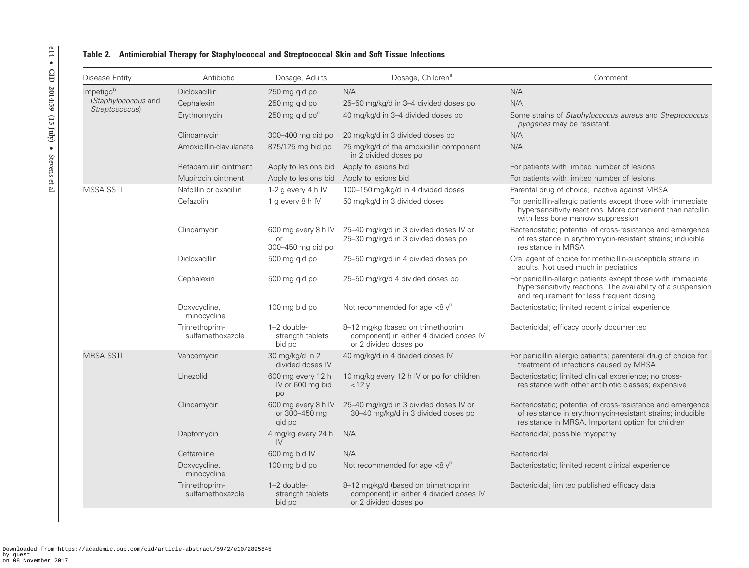## <span id="page-4-0"></span>Table 2. Antimicrobial Therapy for Staphylococcal and Streptococcal Skin and Soft Tissue Infections

| <b>Disease Entity</b> | Antibiotic                        | Dosage, Adults                                 | Dosage, Children <sup>a</sup>                                                                           | Comment                                                                                                                                                                        |
|-----------------------|-----------------------------------|------------------------------------------------|---------------------------------------------------------------------------------------------------------|--------------------------------------------------------------------------------------------------------------------------------------------------------------------------------|
| Impetigob             | Dicloxacillin                     | 250 mg qid po                                  | N/A                                                                                                     | N/A                                                                                                                                                                            |
| (Staphylococcus and   | Cephalexin                        | 250 mg qid po                                  | 25-50 mg/kg/d in 3-4 divided doses po                                                                   | N/A                                                                                                                                                                            |
| Streptococcus)        | Erythromycin                      | 250 mg qid po <sup>c</sup>                     | 40 mg/kg/d in 3-4 divided doses po                                                                      | Some strains of Staphylococcus aureus and Streptococcus<br><i>pyogenes</i> may be resistant.                                                                                   |
|                       | Clindamycin                       | 300-400 mg qid po                              | 20 mg/kg/d in 3 divided doses po                                                                        | N/A                                                                                                                                                                            |
|                       | Amoxicillin-clavulanate           | 875/125 mg bid po                              | 25 mg/kg/d of the amoxicillin component<br>in 2 divided doses po                                        | N/A                                                                                                                                                                            |
|                       | Retapamulin ointment              | Apply to lesions bid                           | Apply to lesions bid                                                                                    | For patients with limited number of lesions                                                                                                                                    |
|                       | Mupirocin ointment                | Apply to lesions bid                           | Apply to lesions bid                                                                                    | For patients with limited number of lesions                                                                                                                                    |
| MSSA SSTI             | Nafcillin or oxacillin            | 1-2 g every $4 h IV$                           | 100-150 mg/kg/d in 4 divided doses                                                                      | Parental drug of choice; inactive against MRSA                                                                                                                                 |
|                       | Cefazolin                         | 1 g every 8 h IV                               | 50 mg/kg/d in 3 divided doses                                                                           | For penicillin-allergic patients except those with immediate<br>hypersensitivity reactions. More convenient than nafcillin<br>with less bone marrow suppression                |
|                       | Clindamycin                       | 600 mg every 8 h IV<br>or<br>300-450 mg qid po | 25–40 mg/kg/d in 3 divided doses IV or<br>25-30 mg/kg/d in 3 divided doses po                           | Bacteriostatic; potential of cross-resistance and emergence<br>of resistance in erythromycin-resistant strains; inducible<br>resistance in MRSA                                |
|                       | Dicloxacillin                     | 500 mg qid po                                  | 25-50 mg/kg/d in 4 divided doses po                                                                     | Oral agent of choice for methicillin-susceptible strains in<br>adults. Not used much in pediatrics                                                                             |
|                       | Cephalexin                        | 500 mg gid po                                  | 25–50 mg/kg/d 4 divided doses po                                                                        | For penicillin-allergic patients except those with immediate<br>hypersensitivity reactions. The availability of a suspension<br>and requirement for less frequent dosing       |
|                       | Doxycycline,<br>minocycline       | 100 mg bid po                                  | Not recommended for age $<$ 8 y <sup>d</sup>                                                            | Bacteriostatic; limited recent clinical experience                                                                                                                             |
|                       | Trimethoprim-<br>sulfamethoxazole | 1-2 double-<br>strength tablets<br>bid po      | 8-12 mg/kg (based on trimethoprim<br>component) in either 4 divided doses IV<br>or 2 divided doses po   | Bactericidal; efficacy poorly documented                                                                                                                                       |
| <b>MRSA SSTI</b>      | Vancomycin                        | 30 mg/kg/d in 2<br>divided doses IV            | 40 mg/kg/d in 4 divided doses IV                                                                        | For penicillin allergic patients; parenteral drug of choice for<br>treatment of infections caused by MRSA                                                                      |
|                       | Linezolid                         | 600 mg every 12 h<br>IV or 600 mg bid<br>po    | 10 mg/kg every 12 h IV or po for children<br>$<$ 12 $v$                                                 | Bacteriostatic; limited clinical experience; no cross-<br>resistance with other antibiotic classes; expensive                                                                  |
|                       | Clindamycin                       | 600 mg every 8 h IV<br>or 300-450 mg<br>gid po | 25–40 mg/kg/d in 3 divided doses IV or<br>30-40 mg/kg/d in 3 divided doses po                           | Bacteriostatic; potential of cross-resistance and emergence<br>of resistance in erythromycin-resistant strains; inducible<br>resistance in MRSA. Important option for children |
|                       | Daptomycin                        | 4 mg/kg every 24 h<br>IV                       | N/A                                                                                                     | Bactericidal; possible myopathy                                                                                                                                                |
|                       | Ceftaroline                       | 600 mg bid IV                                  | N/A                                                                                                     | Bactericidal                                                                                                                                                                   |
|                       | Doxycycline,<br>minocycline       | 100 mg bid po                                  | Not recommended for age $<8 yd$                                                                         | Bacteriostatic; limited recent clinical experience                                                                                                                             |
|                       | Trimethoprim-<br>sulfamethoxazole | 1-2 double-<br>strength tablets<br>bid po      | 8-12 mg/kg/d (based on trimethoprim<br>component) in either 4 divided doses IV<br>or 2 divided doses po | Bactericidal; limited published efficacy data                                                                                                                                  |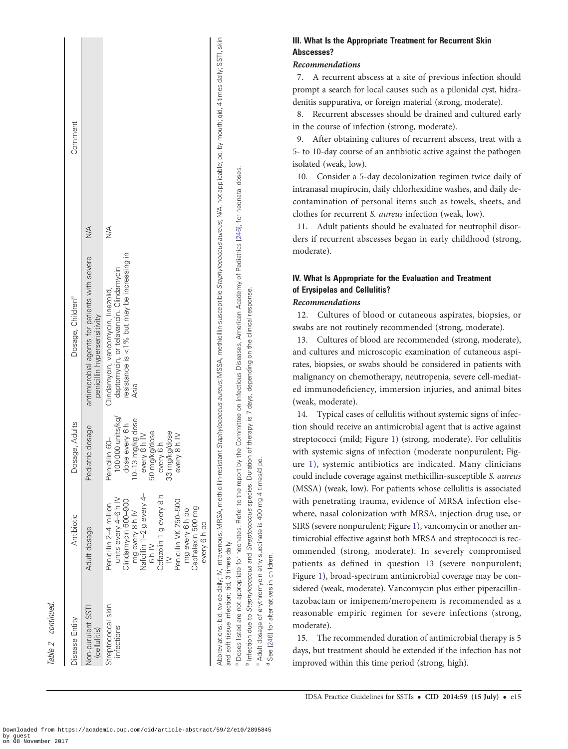| $\overline{a}$ |
|----------------|
| Ş              |
| ς              |
|                |
| п              |

| Disease Entity                           | Antibiotic                                                                                                                                                                                                                                 | Dosage, Adults                                                                                                                                         | Dosage, Children <sup>a</sup>                                                                                                       | Comment                                                                                                                                                                                                  |
|------------------------------------------|--------------------------------------------------------------------------------------------------------------------------------------------------------------------------------------------------------------------------------------------|--------------------------------------------------------------------------------------------------------------------------------------------------------|-------------------------------------------------------------------------------------------------------------------------------------|----------------------------------------------------------------------------------------------------------------------------------------------------------------------------------------------------------|
| Non-purulent SST<br>(cellulitis)         | Adult dosage                                                                                                                                                                                                                               | Pediatric dosage                                                                                                                                       | antimicrobial agents for patients with severe<br>penicillin hypersensitivity                                                        | $\frac{\triangleleft}{\triangle}$                                                                                                                                                                        |
| Streptococcal skin<br>infections         | Nafcillin 1-2 g every 4-<br>Cefazolin 1 g every 8 h<br>units every 4-6 h IV<br>Clindamycin 600-900<br>Penicillin VK 250-500<br>Penicillin 2-4 million<br>Cephalexin 500 mg<br>mg every 6 h po<br>mg every 8 h IV<br>every 6 h po<br>$6h$ N | 100000 units/kg/<br>10-13 mg/kg dose<br>dose every 6 h<br>every 8 h IV<br>50 mg/kg/dose<br>33 mg/kg/dose<br>every 8 h IV<br>Penicillin 60-<br>every 6h | resistance is <1% but may be increasing in<br>daptomycin, or telavancin. Clindamycin<br>Clindamycin, vancomycin, linezolid,<br>Asia | $\frac{1}{2}$                                                                                                                                                                                            |
| and entitress infection tid 3 times dely |                                                                                                                                                                                                                                            |                                                                                                                                                        |                                                                                                                                     | Abbreviations: bid, twice daily; W, intravenous; MRSA, methicillin-resistant Staphylococcus aureus; Masceptible Staphylococcus aureus; N/A, not applicable; po, by mouth; qid, 4 times daily; SSTI, skin |

 Doses listed are not appropriate for neonates. Refer to the report by the Committee on Infectious Diseases, American Academy of Pediatrics [[246](#page-42-0)], for neonatal doses. Doses listed are not appropriate for neonates. Refer to the report by the Committee on Infectious Diseases, American Academy of Pediatrics [246], for neonatal doses and soft tissue infection; tid, 3 times daily.

<sup>b</sup> Infection due to Staphylococcus and Streptococcus species. Duration of therapy is 7 days, depending on the clinical response. Infection due to Staphylococcus and Streptococcus species. Duration of therapy is 7 days, depending on the clinical response. oo.

 Adult dosage of erythromycin ethylsuccinate is 400 mg 4 times/d po. erythromycin ethylsuccinate is 400 mg 4 times/d See [[246](#page-42-0)] for alternatives in children. [246] for alternatives in children Adult dosage of

ਟ

## III. What Is the Appropriate Treatment for Recurrent Skin Abscesses?

## Recommendations

7. A recurrent abscess at a site of previous infection should prompt a search for local causes such as a pilonidal cyst, hidradenitis suppurativa, or foreign material (strong, moderate).

8. Recurrent abscesses should be drained and cultured early in the course of infection (strong, moderate).

9. After obtaining cultures of recurrent abscess, treat with a 5- to 10-day course of an antibiotic active against the pathogen isolated (weak, low).

10. Consider a 5-day decolonization regimen twice daily of intranasal mupirocin, daily chlorhexidine washes, and daily decontamination of personal items such as towels, sheets, and clothes for recurrent S. aureus infection (weak, low).

11. Adult patients should be evaluated for neutrophil disorders if recurrent abscesses began in early childhood (strong, moderate).

# IV. What Is Appropriate for the Evaluation and Treatment of Erysipelas and Cellulitis?

## Recommendations

12. Cultures of blood or cutaneous aspirates, biopsies, or swabs are not routinely recommended (strong, moderate).

13. Cultures of blood are recommended (strong, moderate), and cultures and microscopic examination of cutaneous aspirates, biopsies, or swabs should be considered in patients with malignancy on chemotherapy, neutropenia, severe cell-mediated immunodeficiency, immersion injuries, and animal bites (weak, moderate).

14. Typical cases of cellulitis without systemic signs of infection should receive an antimicrobial agent that is active against streptococci (mild; Figure [1\)](#page-1-0) (strong, moderate). For cellulitis with systemic signs of infection (moderate nonpurulent; Figure [1\)](#page-1-0), systemic antibiotics are indicated. Many clinicians could include coverage against methicillin-susceptible S. aureus (MSSA) (weak, low). For patients whose cellulitis is associated with penetrating trauma, evidence of MRSA infection elsewhere, nasal colonization with MRSA, injection drug use, or SIRS (severe nonpurulent; Figure [1\)](#page-1-0), vancomycin or another antimicrobial effective against both MRSA and streptococci is recommended (strong, moderate). In severely compromised patients as defined in question 13 (severe nonpurulent; Figure [1](#page-1-0)), broad-spectrum antimicrobial coverage may be considered (weak, moderate). Vancomycin plus either piperacillintazobactam or imipenem/meropenem is recommended as a reasonable empiric regimen for severe infections (strong, moderate).

15. The recommended duration of antimicrobial therapy is 5 days, but treatment should be extended if the infection has not improved within this time period (strong, high).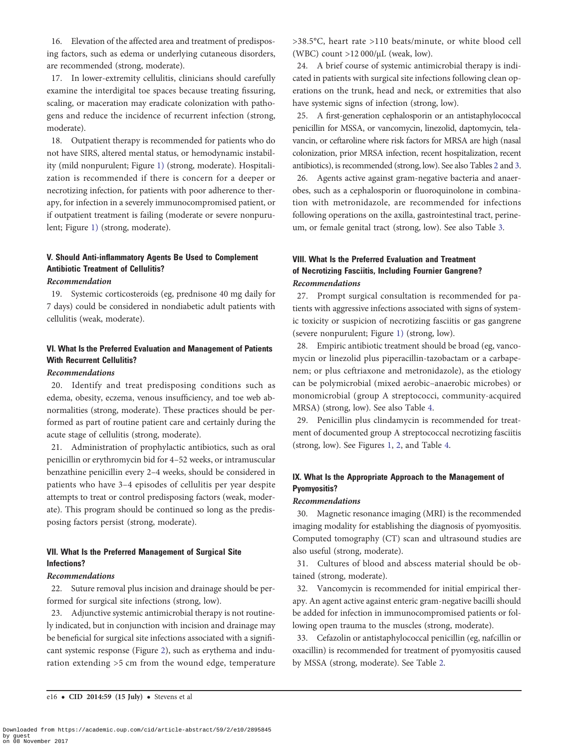16. Elevation of the affected area and treatment of predisposing factors, such as edema or underlying cutaneous disorders, are recommended (strong, moderate).

17. In lower-extremity cellulitis, clinicians should carefully examine the interdigital toe spaces because treating fissuring, scaling, or maceration may eradicate colonization with pathogens and reduce the incidence of recurrent infection (strong, moderate).

18. Outpatient therapy is recommended for patients who do not have SIRS, altered mental status, or hemodynamic instability (mild nonpurulent; Figure [1\)](#page-1-0) (strong, moderate). Hospitalization is recommended if there is concern for a deeper or necrotizing infection, for patients with poor adherence to therapy, for infection in a severely immunocompromised patient, or if outpatient treatment is failing (moderate or severe nonpurulent; Figure [1\)](#page-1-0) (strong, moderate).

## V. Should Anti-inflammatory Agents Be Used to Complement Antibiotic Treatment of Cellulitis?

#### Recommendation

19. Systemic corticosteroids (eg, prednisone 40 mg daily for 7 days) could be considered in nondiabetic adult patients with cellulitis (weak, moderate).

## VI. What Is the Preferred Evaluation and Management of Patients With Recurrent Cellulitis?

#### Recommendations

20. Identify and treat predisposing conditions such as edema, obesity, eczema, venous insufficiency, and toe web abnormalities (strong, moderate). These practices should be performed as part of routine patient care and certainly during the acute stage of cellulitis (strong, moderate).

21. Administration of prophylactic antibiotics, such as oral penicillin or erythromycin bid for 4–52 weeks, or intramuscular benzathine penicillin every 2–4 weeks, should be considered in patients who have 3–4 episodes of cellulitis per year despite attempts to treat or control predisposing factors (weak, moderate). This program should be continued so long as the predisposing factors persist (strong, moderate).

## VII. What Is the Preferred Management of Surgical Site Infections?

#### Recommendations

22. Suture removal plus incision and drainage should be performed for surgical site infections (strong, low).

23. Adjunctive systemic antimicrobial therapy is not routinely indicated, but in conjunction with incision and drainage may be beneficial for surgical site infections associated with a significant systemic response (Figure [2\)](#page-2-0), such as erythema and induration extending >5 cm from the wound edge, temperature >38.5°C, heart rate >110 beats/minute, or white blood cell (WBC) count  $>12000/\mu$ L (weak, low).

24. A brief course of systemic antimicrobial therapy is indicated in patients with surgical site infections following clean operations on the trunk, head and neck, or extremities that also have systemic signs of infection (strong, low).

25. A first-generation cephalosporin or an antistaphylococcal penicillin for MSSA, or vancomycin, linezolid, daptomycin, telavancin, or ceftaroline where risk factors for MRSA are high (nasal colonization, prior MRSA infection, recent hospitalization, recent antibiotics), is recommended (strong, low). See also Tables [2](#page-4-0) and [3.](#page-18-0)

26. Agents active against gram-negative bacteria and anaerobes, such as a cephalosporin or fluoroquinolone in combination with metronidazole, are recommended for infections following operations on the axilla, gastrointestinal tract, perineum, or female genital tract (strong, low). See also Table [3.](#page-18-0)

## VIII. What Is the Preferred Evaluation and Treatment of Necrotizing Fasciitis, Including Fournier Gangrene? Recommendations

27. Prompt surgical consultation is recommended for patients with aggressive infections associated with signs of systemic toxicity or suspicion of necrotizing fasciitis or gas gangrene (severe nonpurulent; Figure [1\)](#page-1-0) (strong, low).

28. Empiric antibiotic treatment should be broad (eg, vancomycin or linezolid plus piperacillin-tazobactam or a carbapenem; or plus ceftriaxone and metronidazole), as the etiology can be polymicrobial (mixed aerobic–anaerobic microbes) or monomicrobial (group A streptococci, community-acquired MRSA) (strong, low). See also Table [4.](#page-19-0)

29. Penicillin plus clindamycin is recommended for treatment of documented group A streptococcal necrotizing fasciitis (strong, low). See Figures [1](#page-1-0), [2](#page-2-0), and Table [4](#page-19-0).

## IX. What Is the Appropriate Approach to the Management of Pyomyositis?

#### Recommendations

30. Magnetic resonance imaging (MRI) is the recommended imaging modality for establishing the diagnosis of pyomyositis. Computed tomography (CT) scan and ultrasound studies are also useful (strong, moderate).

31. Cultures of blood and abscess material should be obtained (strong, moderate).

32. Vancomycin is recommended for initial empirical therapy. An agent active against enteric gram-negative bacilli should be added for infection in immunocompromised patients or following open trauma to the muscles (strong, moderate).

33. Cefazolin or antistaphylococcal penicillin (eg, nafcillin or oxacillin) is recommended for treatment of pyomyositis caused by MSSA (strong, moderate). See Table [2.](#page-4-0)

e16 • CID 2014:59 (15 July) • Stevens et al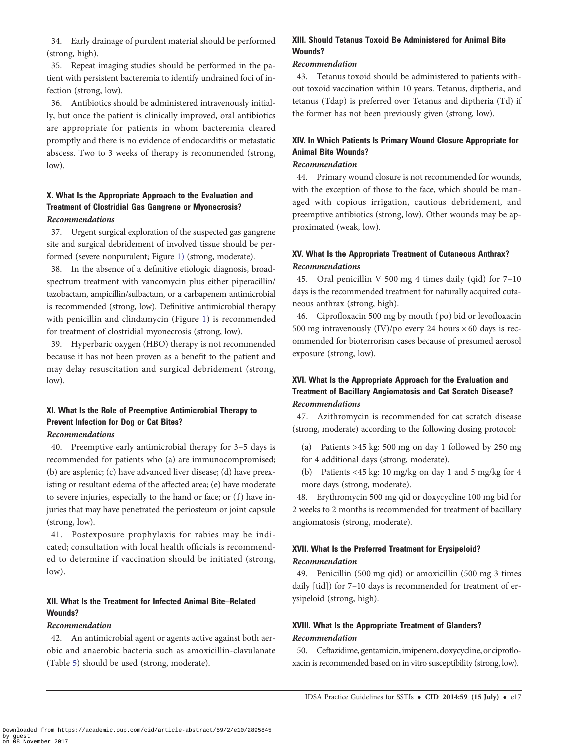34. Early drainage of purulent material should be performed (strong, high).

35. Repeat imaging studies should be performed in the patient with persistent bacteremia to identify undrained foci of infection (strong, low).

36. Antibiotics should be administered intravenously initially, but once the patient is clinically improved, oral antibiotics are appropriate for patients in whom bacteremia cleared promptly and there is no evidence of endocarditis or metastatic abscess. Two to 3 weeks of therapy is recommended (strong, low).

## X. What Is the Appropriate Approach to the Evaluation and Treatment of Clostridial Gas Gangrene or Myonecrosis? Recommendations

37. Urgent surgical exploration of the suspected gas gangrene site and surgical debridement of involved tissue should be performed (severe nonpurulent; Figure [1\)](#page-1-0) (strong, moderate).

38. In the absence of a definitive etiologic diagnosis, broadspectrum treatment with vancomycin plus either piperacillin/ tazobactam, ampicillin/sulbactam, or a carbapenem antimicrobial is recommended (strong, low). Definitive antimicrobial therapy with penicillin and clindamycin (Figure [1\)](#page-1-0) is recommended for treatment of clostridial myonecrosis (strong, low).

39. Hyperbaric oxygen (HBO) therapy is not recommended because it has not been proven as a benefit to the patient and may delay resuscitation and surgical debridement (strong, low).

## XI. What Is the Role of Preemptive Antimicrobial Therapy to Prevent Infection for Dog or Cat Bites? Recommendations

40. Preemptive early antimicrobial therapy for 3–5 days is recommended for patients who (a) are immunocompromised; (b) are asplenic; (c) have advanced liver disease; (d) have preexisting or resultant edema of the affected area; (e) have moderate to severe injuries, especially to the hand or face; or  $(f)$  have injuries that may have penetrated the periosteum or joint capsule (strong, low).

41. Postexposure prophylaxis for rabies may be indicated; consultation with local health officials is recommended to determine if vaccination should be initiated (strong, low).

## XII. What Is the Treatment for Infected Animal Bite–Related Wounds?

#### Recommendation

42. An antimicrobial agent or agents active against both aerobic and anaerobic bacteria such as amoxicillin-clavulanate (Table [5\)](#page-24-0) should be used (strong, moderate).

## XIII. Should Tetanus Toxoid Be Administered for Animal Bite Wounds?

## Recommendation

43. Tetanus toxoid should be administered to patients without toxoid vaccination within 10 years. Tetanus, diptheria, and tetanus (Tdap) is preferred over Tetanus and diptheria (Td) if the former has not been previously given (strong, low).

## XIV. In Which Patients Is Primary Wound Closure Appropriate for Animal Bite Wounds?

## Recommendation

44. Primary wound closure is not recommended for wounds, with the exception of those to the face, which should be managed with copious irrigation, cautious debridement, and preemptive antibiotics (strong, low). Other wounds may be approximated (weak, low).

## XV. What Is the Appropriate Treatment of Cutaneous Anthrax? Recommendations

45. Oral penicillin V 500 mg 4 times daily (qid) for 7–10 days is the recommended treatment for naturally acquired cutaneous anthrax (strong, high).

46. Ciprofloxacin 500 mg by mouth ( po) bid or levofloxacin 500 mg intravenously (IV)/po every 24 hours  $\times$  60 days is recommended for bioterrorism cases because of presumed aerosol exposure (strong, low).

## XVI. What Is the Appropriate Approach for the Evaluation and Treatment of Bacillary Angiomatosis and Cat Scratch Disease? Recommendations

47. Azithromycin is recommended for cat scratch disease (strong, moderate) according to the following dosing protocol:

(a) Patients >45 kg: 500 mg on day 1 followed by 250 mg for 4 additional days (strong, moderate).

(b) Patients <45 kg: 10 mg/kg on day 1 and 5 mg/kg for 4 more days (strong, moderate).

48. Erythromycin 500 mg qid or doxycycline 100 mg bid for 2 weeks to 2 months is recommended for treatment of bacillary angiomatosis (strong, moderate).

## XVII. What Is the Preferred Treatment for Erysipeloid? Recommendation

49. Penicillin (500 mg qid) or amoxicillin (500 mg 3 times daily [tid]) for 7–10 days is recommended for treatment of erysipeloid (strong, high).

## XVIII. What Is the Appropriate Treatment of Glanders? Recommendation

50. Ceftazidime, gentamicin,imipenem, doxycycline, orciprofloxacin is recommended based on in vitro susceptibility (strong, low).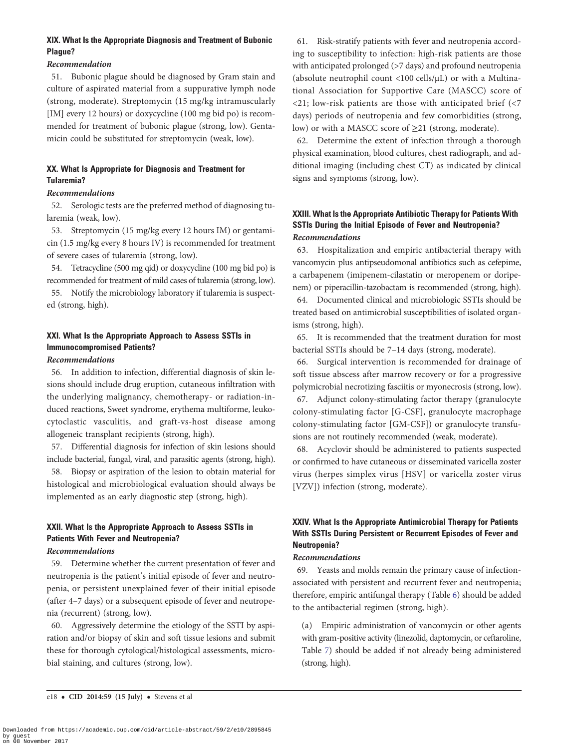## XIX. What Is the Appropriate Diagnosis and Treatment of Bubonic Plague?

#### Recommendation

51. Bubonic plague should be diagnosed by Gram stain and culture of aspirated material from a suppurative lymph node (strong, moderate). Streptomycin (15 mg/kg intramuscularly [IM] every 12 hours) or doxycycline (100 mg bid po) is recommended for treatment of bubonic plague (strong, low). Gentamicin could be substituted for streptomycin (weak, low).

## XX. What Is Appropriate for Diagnosis and Treatment for Tularemia?

#### Recommendations

52. Serologic tests are the preferred method of diagnosing tularemia (weak, low).

53. Streptomycin (15 mg/kg every 12 hours IM) or gentamicin (1.5 mg/kg every 8 hours IV) is recommended for treatment of severe cases of tularemia (strong, low).

54. Tetracycline (500 mg qid) or doxycycline (100 mg bid po) is recommended for treatment of mild cases of tularemia (strong, low). 55. Notify the microbiology laboratory if tularemia is suspected (strong, high).

## XXI. What Is the Appropriate Approach to Assess SSTIs in Immunocompromised Patients?

#### Recommendations

56. In addition to infection, differential diagnosis of skin lesions should include drug eruption, cutaneous infiltration with the underlying malignancy, chemotherapy- or radiation-induced reactions, Sweet syndrome, erythema multiforme, leukocytoclastic vasculitis, and graft-vs-host disease among allogeneic transplant recipients (strong, high).

57. Differential diagnosis for infection of skin lesions should include bacterial, fungal, viral, and parasitic agents (strong, high).

58. Biopsy or aspiration of the lesion to obtain material for histological and microbiological evaluation should always be implemented as an early diagnostic step (strong, high).

## XXII. What Is the Appropriate Approach to Assess SSTIs in Patients With Fever and Neutropenia?

#### Recommendations

59. Determine whether the current presentation of fever and neutropenia is the patient's initial episode of fever and neutropenia, or persistent unexplained fever of their initial episode (after 4–7 days) or a subsequent episode of fever and neutropenia (recurrent) (strong, low).

60. Aggressively determine the etiology of the SSTI by aspiration and/or biopsy of skin and soft tissue lesions and submit these for thorough cytological/histological assessments, microbial staining, and cultures (strong, low).

61. Risk-stratify patients with fever and neutropenia according to susceptibility to infection: high-risk patients are those with anticipated prolonged (>7 days) and profound neutropenia (absolute neutrophil count  $\langle 100 \text{ cells/}\mu L \rangle$  or with a Multinational Association for Supportive Care (MASCC) score of <21; low-risk patients are those with anticipated brief (<7 days) periods of neutropenia and few comorbidities (strong, low) or with a MASCC score of ≥21 (strong, moderate).

62. Determine the extent of infection through a thorough physical examination, blood cultures, chest radiograph, and additional imaging (including chest CT) as indicated by clinical signs and symptoms (strong, low).

## XXIII. What Is the Appropriate Antibiotic Therapy for Patients With SSTIs During the Initial Episode of Fever and Neutropenia? Recommendations

63. Hospitalization and empiric antibacterial therapy with vancomycin plus antipseudomonal antibiotics such as cefepime, a carbapenem (imipenem-cilastatin or meropenem or doripenem) or piperacillin-tazobactam is recommended (strong, high).

64. Documented clinical and microbiologic SSTIs should be treated based on antimicrobial susceptibilities of isolated organisms (strong, high).

65. It is recommended that the treatment duration for most bacterial SSTIs should be 7–14 days (strong, moderate).

66. Surgical intervention is recommended for drainage of soft tissue abscess after marrow recovery or for a progressive polymicrobial necrotizing fasciitis or myonecrosis (strong, low).

67. Adjunct colony-stimulating factor therapy (granulocyte colony-stimulating factor [G-CSF], granulocyte macrophage colony-stimulating factor [GM-CSF]) or granulocyte transfusions are not routinely recommended (weak, moderate).

68. Acyclovir should be administered to patients suspected or confirmed to have cutaneous or disseminated varicella zoster virus (herpes simplex virus [HSV] or varicella zoster virus [VZV]) infection (strong, moderate).

## XXIV. What Is the Appropriate Antimicrobial Therapy for Patients With SSTIs During Persistent or Recurrent Episodes of Fever and Neutropenia?

## Recommendations

69. Yeasts and molds remain the primary cause of infectionassociated with persistent and recurrent fever and neutropenia; therefore, empiric antifungal therapy (Table [6\)](#page-31-0) should be added to the antibacterial regimen (strong, high).

(a) Empiric administration of vancomycin or other agents with gram-positive activity (linezolid, daptomycin, or ceftaroline, Table [7](#page-32-0)) should be added if not already being administered (strong, high).

e18 • CID 2014:59 (15 July) • Stevens et al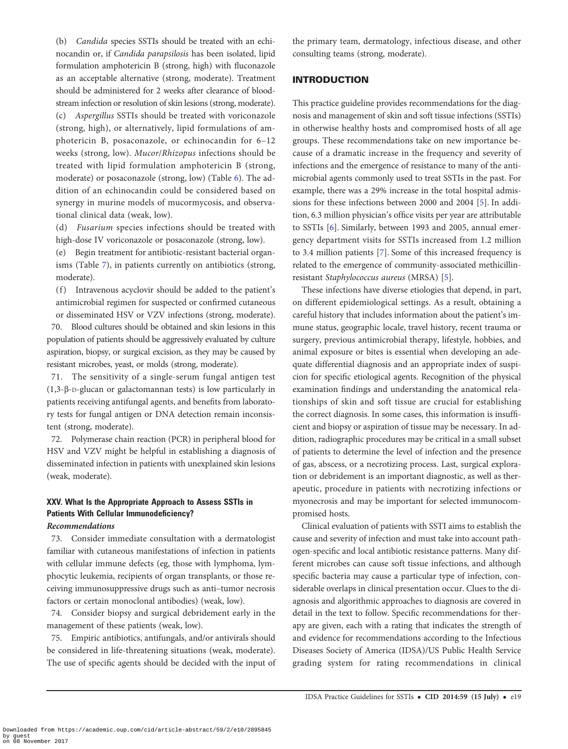(b) Candida species SSTIs should be treated with an echinocandin or, if Candida parapsilosis has been isolated, lipid formulation amphotericin B (strong, high) with fluconazole as an acceptable alternative (strong, moderate). Treatment should be administered for 2 weeks after clearance of bloodstream infection or resolution of skin lesions (strong, moderate). (c) Aspergillus SSTIs should be treated with voriconazole (strong, high), or alternatively, lipid formulations of amphotericin B, posaconazole, or echinocandin for 6–12 weeks (strong, low). Mucor/Rhizopus infections should be treated with lipid formulation amphotericin B (strong, moderate) or posaconazole (strong, low) (Table [6](#page-31-0)). The addition of an echinocandin could be considered based on synergy in murine models of mucormycosis, and observational clinical data (weak, low).

(d) Fusarium species infections should be treated with high-dose IV voriconazole or posaconazole (strong, low).

(e) Begin treatment for antibiotic-resistant bacterial organisms (Table [7](#page-32-0)), in patients currently on antibiotics (strong, moderate).

(f) Intravenous acyclovir should be added to the patient's antimicrobial regimen for suspected or confirmed cutaneous or disseminated HSV or VZV infections (strong, moderate).

70. Blood cultures should be obtained and skin lesions in this population of patients should be aggressively evaluated by culture aspiration, biopsy, or surgical excision, as they may be caused by resistant microbes, yeast, or molds (strong, moderate).

71. The sensitivity of a single-serum fungal antigen test (1,3-β-D-glucan or galactomannan tests) is low particularly in patients receiving antifungal agents, and benefits from laboratory tests for fungal antigen or DNA detection remain inconsistent (strong, moderate).

72. Polymerase chain reaction (PCR) in peripheral blood for HSV and VZV might be helpful in establishing a diagnosis of disseminated infection in patients with unexplained skin lesions (weak, moderate).

#### XXV. What Is the Appropriate Approach to Assess SSTIs in Patients With Cellular Immunodeficiency? Recommendations

73. Consider immediate consultation with a dermatologist familiar with cutaneous manifestations of infection in patients with cellular immune defects (eg, those with lymphoma, lymphocytic leukemia, recipients of organ transplants, or those receiving immunosuppressive drugs such as anti–tumor necrosis factors or certain monoclonal antibodies) (weak, low).

74. Consider biopsy and surgical debridement early in the management of these patients (weak, low).

75. Empiric antibiotics, antifungals, and/or antivirals should be considered in life-threatening situations (weak, moderate). The use of specific agents should be decided with the input of the primary team, dermatology, infectious disease, and other consulting teams (strong, moderate).

## INTRODUCTION

This practice guideline provides recommendations for the diagnosis and management of skin and soft tissue infections (SSTIs) in otherwise healthy hosts and compromised hosts of all age groups. These recommendations take on new importance because of a dramatic increase in the frequency and severity of infections and the emergence of resistance to many of the antimicrobial agents commonly used to treat SSTIs in the past. For example, there was a 29% increase in the total hospital admissions for these infections between 2000 and 2004 [[5](#page-36-0)]. In addition, 6.3 million physician's office visits per year are attributable to SSTIs [[6](#page-36-0)]. Similarly, between 1993 and 2005, annual emergency department visits for SSTIs increased from 1.2 million to 3.4 million patients [[7\]](#page-36-0). Some of this increased frequency is related to the emergence of community-associated methicillinresistant Staphylococcus aureus (MRSA) [\[5](#page-36-0)].

These infections have diverse etiologies that depend, in part, on different epidemiological settings. As a result, obtaining a careful history that includes information about the patient's immune status, geographic locale, travel history, recent trauma or surgery, previous antimicrobial therapy, lifestyle, hobbies, and animal exposure or bites is essential when developing an adequate differential diagnosis and an appropriate index of suspicion for specific etiological agents. Recognition of the physical examination findings and understanding the anatomical relationships of skin and soft tissue are crucial for establishing the correct diagnosis. In some cases, this information is insufficient and biopsy or aspiration of tissue may be necessary. In addition, radiographic procedures may be critical in a small subset of patients to determine the level of infection and the presence of gas, abscess, or a necrotizing process. Last, surgical exploration or debridement is an important diagnostic, as well as therapeutic, procedure in patients with necrotizing infections or myonecrosis and may be important for selected immunocompromised hosts.

Clinical evaluation of patients with SSTI aims to establish the cause and severity of infection and must take into account pathogen-specific and local antibiotic resistance patterns. Many different microbes can cause soft tissue infections, and although specific bacteria may cause a particular type of infection, considerable overlaps in clinical presentation occur. Clues to the diagnosis and algorithmic approaches to diagnosis are covered in detail in the text to follow. Specific recommendations for therapy are given, each with a rating that indicates the strength of and evidence for recommendations according to the Infectious Diseases Society of America (IDSA)/US Public Health Service grading system for rating recommendations in clinical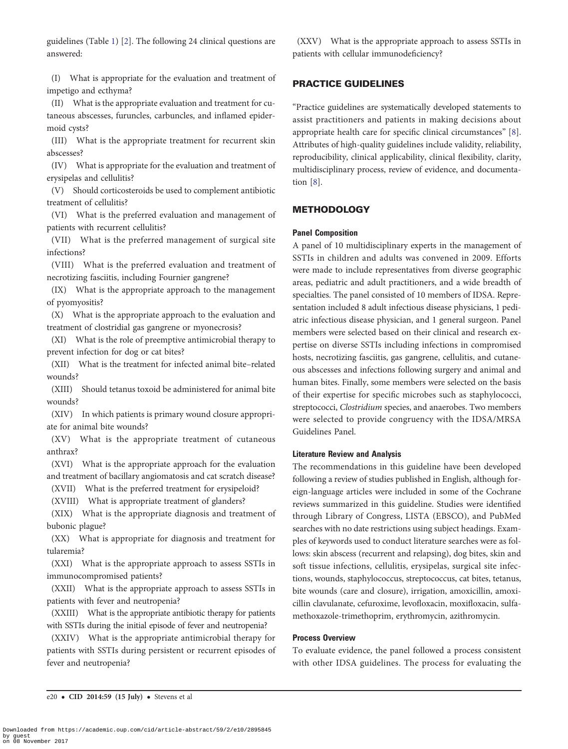guidelines (Table [1\)](#page-3-0) [[2](#page-36-0)]. The following 24 clinical questions are answered:

(I) What is appropriate for the evaluation and treatment of impetigo and ecthyma?

(II) What is the appropriate evaluation and treatment for cutaneous abscesses, furuncles, carbuncles, and inflamed epidermoid cysts?

(III) What is the appropriate treatment for recurrent skin abscesses?

(IV) What is appropriate for the evaluation and treatment of erysipelas and cellulitis?

(V) Should corticosteroids be used to complement antibiotic treatment of cellulitis?

(VI) What is the preferred evaluation and management of patients with recurrent cellulitis?

(VII) What is the preferred management of surgical site infections?

(VIII) What is the preferred evaluation and treatment of necrotizing fasciitis, including Fournier gangrene?

(IX) What is the appropriate approach to the management of pyomyositis?

(X) What is the appropriate approach to the evaluation and treatment of clostridial gas gangrene or myonecrosis?

(XI) What is the role of preemptive antimicrobial therapy to prevent infection for dog or cat bites?

(XII) What is the treatment for infected animal bite–related wounds?

(XIII) Should tetanus toxoid be administered for animal bite wounds?

(XIV) In which patients is primary wound closure appropriate for animal bite wounds?

(XV) What is the appropriate treatment of cutaneous anthrax?

(XVI) What is the appropriate approach for the evaluation and treatment of bacillary angiomatosis and cat scratch disease?

(XVII) What is the preferred treatment for erysipeloid?

(XVIII) What is appropriate treatment of glanders?

(XIX) What is the appropriate diagnosis and treatment of bubonic plague?

(XX) What is appropriate for diagnosis and treatment for tularemia?

(XXI) What is the appropriate approach to assess SSTIs in immunocompromised patients?

(XXII) What is the appropriate approach to assess SSTIs in patients with fever and neutropenia?

(XXIII) What is the appropriate antibiotic therapy for patients with SSTIs during the initial episode of fever and neutropenia?

(XXIV) What is the appropriate antimicrobial therapy for patients with SSTIs during persistent or recurrent episodes of fever and neutropenia?

(XXV) What is the appropriate approach to assess SSTIs in patients with cellular immunodeficiency?

## PRACTICE GUIDELINES

"Practice guidelines are systematically developed statements to assist practitioners and patients in making decisions about appropriate health care for specific clinical circumstances" [[8\]](#page-36-0). Attributes of high-quality guidelines include validity, reliability, reproducibility, clinical applicability, clinical flexibility, clarity, multidisciplinary process, review of evidence, and documentation [\[8\]](#page-36-0).

## **METHODOLOGY**

#### Panel Composition

A panel of 10 multidisciplinary experts in the management of SSTIs in children and adults was convened in 2009. Efforts were made to include representatives from diverse geographic areas, pediatric and adult practitioners, and a wide breadth of specialties. The panel consisted of 10 members of IDSA. Representation included 8 adult infectious disease physicians, 1 pediatric infectious disease physician, and 1 general surgeon. Panel members were selected based on their clinical and research expertise on diverse SSTIs including infections in compromised hosts, necrotizing fasciitis, gas gangrene, cellulitis, and cutaneous abscesses and infections following surgery and animal and human bites. Finally, some members were selected on the basis of their expertise for specific microbes such as staphylococci, streptococci, Clostridium species, and anaerobes. Two members were selected to provide congruency with the IDSA/MRSA Guidelines Panel.

#### Literature Review and Analysis

The recommendations in this guideline have been developed following a review of studies published in English, although foreign-language articles were included in some of the Cochrane reviews summarized in this guideline. Studies were identified through Library of Congress, LISTA (EBSCO), and PubMed searches with no date restrictions using subject headings. Examples of keywords used to conduct literature searches were as follows: skin abscess (recurrent and relapsing), dog bites, skin and soft tissue infections, cellulitis, erysipelas, surgical site infections, wounds, staphylococcus, streptococcus, cat bites, tetanus, bite wounds (care and closure), irrigation, amoxicillin, amoxicillin clavulanate, cefuroxime, levofloxacin, moxifloxacin, sulfamethoxazole-trimethoprim, erythromycin, azithromycin.

#### Process Overview

To evaluate evidence, the panel followed a process consistent with other IDSA guidelines. The process for evaluating the

e20 • CID 2014:59 (15 July) • Stevens et al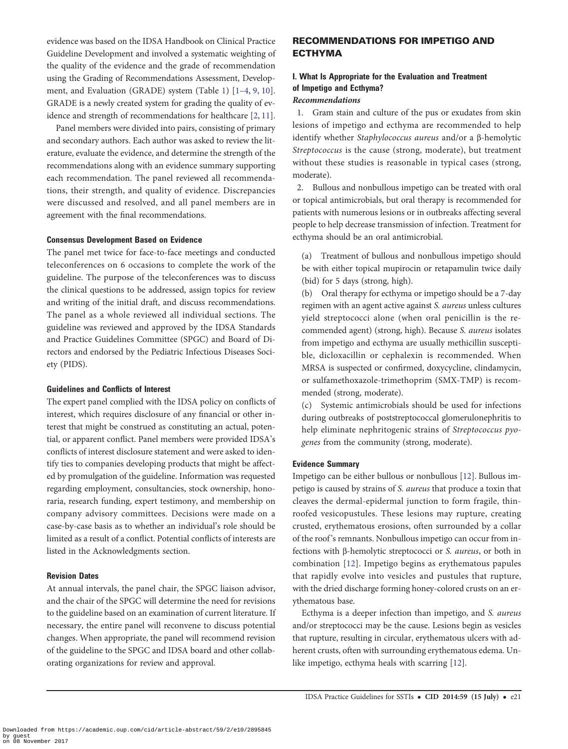evidence was based on the IDSA Handbook on Clinical Practice Guideline Development and involved a systematic weighting of the quality of the evidence and the grade of recommendation using the Grading of Recommendations Assessment, Development, and Evaluation (GRADE) system (Table [1](#page-3-0)) [[1](#page-36-0)–[4,](#page-36-0) [9](#page-36-0), [10\]](#page-36-0). GRADE is a newly created system for grading the quality of evidence and strength of recommendations for healthcare [\[2,](#page-36-0) [11\]](#page-36-0).

Panel members were divided into pairs, consisting of primary and secondary authors. Each author was asked to review the literature, evaluate the evidence, and determine the strength of the recommendations along with an evidence summary supporting each recommendation. The panel reviewed all recommendations, their strength, and quality of evidence. Discrepancies were discussed and resolved, and all panel members are in agreement with the final recommendations.

#### Consensus Development Based on Evidence

The panel met twice for face-to-face meetings and conducted teleconferences on 6 occasions to complete the work of the guideline. The purpose of the teleconferences was to discuss the clinical questions to be addressed, assign topics for review and writing of the initial draft, and discuss recommendations. The panel as a whole reviewed all individual sections. The guideline was reviewed and approved by the IDSA Standards and Practice Guidelines Committee (SPGC) and Board of Directors and endorsed by the Pediatric Infectious Diseases Society (PIDS).

#### Guidelines and Conflicts of Interest

The expert panel complied with the IDSA policy on conflicts of interest, which requires disclosure of any financial or other interest that might be construed as constituting an actual, potential, or apparent conflict. Panel members were provided IDSA's conflicts of interest disclosure statement and were asked to identify ties to companies developing products that might be affected by promulgation of the guideline. Information was requested regarding employment, consultancies, stock ownership, honoraria, research funding, expert testimony, and membership on company advisory committees. Decisions were made on a case-by-case basis as to whether an individual's role should be limited as a result of a conflict. Potential conflicts of interests are listed in the Acknowledgments section.

#### Revision Dates

At annual intervals, the panel chair, the SPGC liaison advisor, and the chair of the SPGC will determine the need for revisions to the guideline based on an examination of current literature. If necessary, the entire panel will reconvene to discuss potential changes. When appropriate, the panel will recommend revision of the guideline to the SPGC and IDSA board and other collaborating organizations for review and approval.

## RECOMMENDATIONS FOR IMPETIGO AND ECTHYMA

# I. What Is Appropriate for the Evaluation and Treatment of Impetigo and Ecthyma?

## Recommendations

1. Gram stain and culture of the pus or exudates from skin lesions of impetigo and ecthyma are recommended to help identify whether Staphylococcus aureus and/or a β-hemolytic Streptococcus is the cause (strong, moderate), but treatment without these studies is reasonable in typical cases (strong, moderate).

2. Bullous and nonbullous impetigo can be treated with oral or topical antimicrobials, but oral therapy is recommended for patients with numerous lesions or in outbreaks affecting several people to help decrease transmission of infection. Treatment for ecthyma should be an oral antimicrobial.

(a) Treatment of bullous and nonbullous impetigo should be with either topical mupirocin or retapamulin twice daily (bid) for 5 days (strong, high).

(b) Oral therapy for ecthyma or impetigo should be a 7-day regimen with an agent active against S. aureus unless cultures yield streptococci alone (when oral penicillin is the recommended agent) (strong, high). Because S. aureus isolates from impetigo and ecthyma are usually methicillin susceptible, dicloxacillin or cephalexin is recommended. When MRSA is suspected or confirmed, doxycycline, clindamycin, or sulfamethoxazole-trimethoprim (SMX-TMP) is recommended (strong, moderate).

(c) Systemic antimicrobials should be used for infections during outbreaks of poststreptococcal glomerulonephritis to help eliminate nephritogenic strains of Streptococcus pyogenes from the community (strong, moderate).

#### Evidence Summary

Impetigo can be either bullous or nonbullous [\[12](#page-36-0)]. Bullous impetigo is caused by strains of S. aureus that produce a toxin that cleaves the dermal-epidermal junction to form fragile, thinroofed vesicopustules. These lesions may rupture, creating crusted, erythematous erosions, often surrounded by a collar of the roof's remnants. Nonbullous impetigo can occur from infections with β-hemolytic streptococci or S. aureus, or both in combination [\[12\]](#page-36-0). Impetigo begins as erythematous papules that rapidly evolve into vesicles and pustules that rupture, with the dried discharge forming honey-colored crusts on an erythematous base.

Ecthyma is a deeper infection than impetigo, and S. aureus and/or streptococci may be the cause. Lesions begin as vesicles that rupture, resulting in circular, erythematous ulcers with adherent crusts, often with surrounding erythematous edema. Unlike impetigo, ecthyma heals with scarring [[12\]](#page-36-0).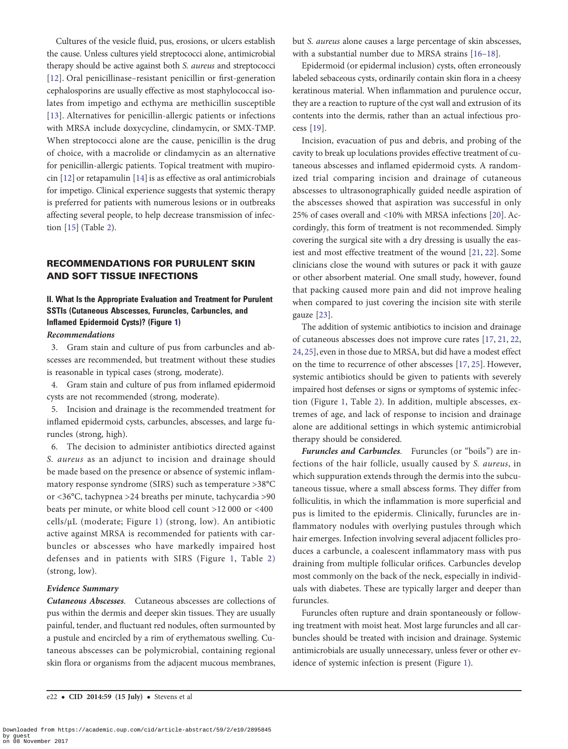Cultures of the vesicle fluid, pus, erosions, or ulcers establish the cause. Unless cultures yield streptococci alone, antimicrobial therapy should be active against both S. aureus and streptococci [\[12\]](#page-36-0). Oral penicillinase–resistant penicillin or first-generation cephalosporins are usually effective as most staphylococcal isolates from impetigo and ecthyma are methicillin susceptible [\[13\]](#page-36-0). Alternatives for penicillin-allergic patients or infections with MRSA include doxycycline, clindamycin, or SMX-TMP. When streptococci alone are the cause, penicillin is the drug of choice, with a macrolide or clindamycin as an alternative for penicillin-allergic patients. Topical treatment with mupirocin [\[12](#page-36-0)] or retapamulin [[14](#page-37-0)] is as effective as oral antimicrobials for impetigo. Clinical experience suggests that systemic therapy is preferred for patients with numerous lesions or in outbreaks affecting several people, to help decrease transmission of infection [\[15](#page-37-0)] (Table [2](#page-4-0)).

## RECOMMENDATIONS FOR PURULENT SKIN AND SOFT TISSUE INFECTIONS

## II. What Is the Appropriate Evaluation and Treatment for Purulent SSTIs (Cutaneous Abscesses, Furuncles, Carbuncles, and Inflamed Epidermoid Cysts)? (Figure [1](#page-1-0))

#### Recommendations

3. Gram stain and culture of pus from carbuncles and abscesses are recommended, but treatment without these studies is reasonable in typical cases (strong, moderate).

4. Gram stain and culture of pus from inflamed epidermoid cysts are not recommended (strong, moderate).

5. Incision and drainage is the recommended treatment for inflamed epidermoid cysts, carbuncles, abscesses, and large furuncles (strong, high).

6. The decision to administer antibiotics directed against S. aureus as an adjunct to incision and drainage should be made based on the presence or absence of systemic inflammatory response syndrome (SIRS) such as temperature >38°C or <36°C, tachypnea >24 breaths per minute, tachycardia >90 beats per minute, or white blood cell count >12 000 or <400  $cells/µL$  (moderate; Figure [1\)](#page-1-0) (strong, low). An antibiotic active against MRSA is recommended for patients with carbuncles or abscesses who have markedly impaired host defenses and in patients with SIRS (Figure [1](#page-1-0), Table [2\)](#page-4-0) (strong, low).

#### Evidence Summary

Cutaneous Abscesses. Cutaneous abscesses are collections of pus within the dermis and deeper skin tissues. They are usually painful, tender, and fluctuant red nodules, often surmounted by a pustule and encircled by a rim of erythematous swelling. Cutaneous abscesses can be polymicrobial, containing regional skin flora or organisms from the adjacent mucous membranes,

but S. aureus alone causes a large percentage of skin abscesses, with a substantial number due to MRSA strains [\[16](#page-37-0)–[18](#page-37-0)].

Epidermoid (or epidermal inclusion) cysts, often erroneously labeled sebaceous cysts, ordinarily contain skin flora in a cheesy keratinous material. When inflammation and purulence occur, they are a reaction to rupture of the cyst wall and extrusion of its contents into the dermis, rather than an actual infectious process [[19](#page-37-0)].

Incision, evacuation of pus and debris, and probing of the cavity to break up loculations provides effective treatment of cutaneous abscesses and inflamed epidermoid cysts. A randomized trial comparing incision and drainage of cutaneous abscesses to ultrasonographically guided needle aspiration of the abscesses showed that aspiration was successful in only 25% of cases overall and <10% with MRSA infections [[20\]](#page-37-0). Accordingly, this form of treatment is not recommended. Simply covering the surgical site with a dry dressing is usually the easiest and most effective treatment of the wound [\[21,](#page-37-0) [22](#page-37-0)]. Some clinicians close the wound with sutures or pack it with gauze or other absorbent material. One small study, however, found that packing caused more pain and did not improve healing when compared to just covering the incision site with sterile gauze [\[23\]](#page-37-0).

The addition of systemic antibiotics to incision and drainage of cutaneous abscesses does not improve cure rates [\[17](#page-37-0), [21,](#page-37-0) [22,](#page-37-0) [24](#page-37-0), [25\]](#page-37-0), even in those due to MRSA, but did have a modest effect on the time to recurrence of other abscesses [[17,](#page-37-0) [25\]](#page-37-0). However, systemic antibiotics should be given to patients with severely impaired host defenses or signs or symptoms of systemic infection (Figure [1](#page-1-0), Table [2](#page-4-0)). In addition, multiple abscesses, extremes of age, and lack of response to incision and drainage alone are additional settings in which systemic antimicrobial therapy should be considered.

Furuncles and Carbuncles. Furuncles (or "boils") are infections of the hair follicle, usually caused by S. aureus, in which suppuration extends through the dermis into the subcutaneous tissue, where a small abscess forms. They differ from folliculitis, in which the inflammation is more superficial and pus is limited to the epidermis. Clinically, furuncles are inflammatory nodules with overlying pustules through which hair emerges. Infection involving several adjacent follicles produces a carbuncle, a coalescent inflammatory mass with pus draining from multiple follicular orifices. Carbuncles develop most commonly on the back of the neck, especially in individuals with diabetes. These are typically larger and deeper than furuncles.

Furuncles often rupture and drain spontaneously or following treatment with moist heat. Most large furuncles and all carbuncles should be treated with incision and drainage. Systemic antimicrobials are usually unnecessary, unless fever or other evidence of systemic infection is present (Figure [1](#page-1-0)).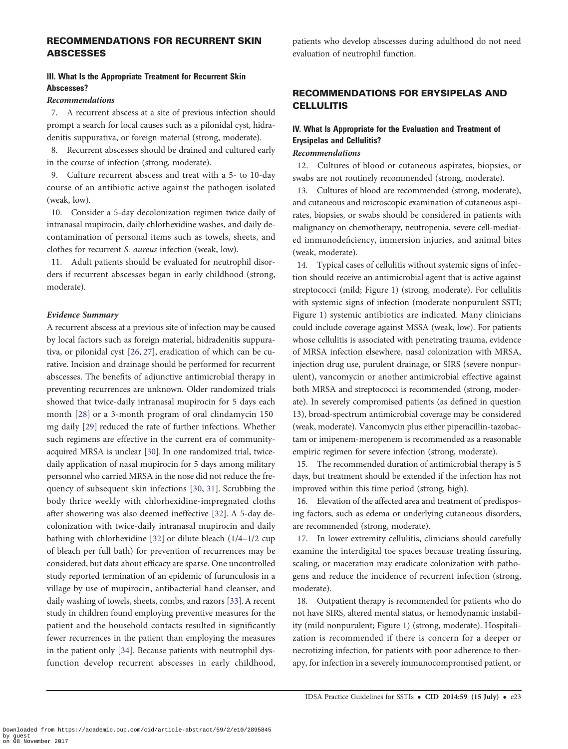## RECOMMENDATIONS FOR RECURRENT SKIN ABSCESSES

## III. What Is the Appropriate Treatment for Recurrent Skin Abscesses?

#### Recommendations

7. A recurrent abscess at a site of previous infection should prompt a search for local causes such as a pilonidal cyst, hidradenitis suppurativa, or foreign material (strong, moderate).

8. Recurrent abscesses should be drained and cultured early in the course of infection (strong, moderate).

9. Culture recurrent abscess and treat with a 5- to 10-day course of an antibiotic active against the pathogen isolated (weak, low).

10. Consider a 5-day decolonization regimen twice daily of intranasal mupirocin, daily chlorhexidine washes, and daily decontamination of personal items such as towels, sheets, and clothes for recurrent S. aureus infection (weak, low).

11. Adult patients should be evaluated for neutrophil disorders if recurrent abscesses began in early childhood (strong, moderate).

#### Evidence Summary

A recurrent abscess at a previous site of infection may be caused by local factors such as foreign material, hidradenitis suppurativa, or pilonidal cyst [[26,](#page-37-0) [27\]](#page-37-0), eradication of which can be curative. Incision and drainage should be performed for recurrent abscesses. The benefits of adjunctive antimicrobial therapy in preventing recurrences are unknown. Older randomized trials showed that twice-daily intranasal mupirocin for 5 days each month [[28](#page-37-0)] or a 3-month program of oral clindamycin 150 mg daily [\[29\]](#page-37-0) reduced the rate of further infections. Whether such regimens are effective in the current era of communityacquired MRSA is unclear [[30\]](#page-37-0). In one randomized trial, twicedaily application of nasal mupirocin for 5 days among military personnel who carried MRSA in the nose did not reduce the frequency of subsequent skin infections [[30](#page-37-0), [31](#page-37-0)]. Scrubbing the body thrice weekly with chlorhexidine-impregnated cloths after showering was also deemed ineffective [[32\]](#page-37-0). A 5-day decolonization with twice-daily intranasal mupirocin and daily bathing with chlorhexidine [[32\]](#page-37-0) or dilute bleach (1/4–1/2 cup of bleach per full bath) for prevention of recurrences may be considered, but data about efficacy are sparse. One uncontrolled study reported termination of an epidemic of furunculosis in a village by use of mupirocin, antibacterial hand cleanser, and daily washing of towels, sheets, combs, and razors [\[33](#page-37-0)]. A recent study in children found employing preventive measures for the patient and the household contacts resulted in significantly fewer recurrences in the patient than employing the measures in the patient only [\[34](#page-37-0)]. Because patients with neutrophil dysfunction develop recurrent abscesses in early childhood, patients who develop abscesses during adulthood do not need evaluation of neutrophil function.

## RECOMMENDATIONS FOR ERYSIPELAS AND **CELLULITIS**

## IV. What Is Appropriate for the Evaluation and Treatment of Erysipelas and Cellulitis? Recommendations

12. Cultures of blood or cutaneous aspirates, biopsies, or swabs are not routinely recommended (strong, moderate).

13. Cultures of blood are recommended (strong, moderate), and cutaneous and microscopic examination of cutaneous aspirates, biopsies, or swabs should be considered in patients with malignancy on chemotherapy, neutropenia, severe cell-mediated immunodeficiency, immersion injuries, and animal bites (weak, moderate).

14. Typical cases of cellulitis without systemic signs of infection should receive an antimicrobial agent that is active against streptococci (mild; Figure [1\)](#page-1-0) (strong, moderate). For cellulitis with systemic signs of infection (moderate nonpurulent SSTI; Figure [1\)](#page-1-0) systemic antibiotics are indicated. Many clinicians could include coverage against MSSA (weak, low). For patients whose cellulitis is associated with penetrating trauma, evidence of MRSA infection elsewhere, nasal colonization with MRSA, injection drug use, purulent drainage, or SIRS (severe nonpurulent), vancomycin or another antimicrobial effective against both MRSA and streptococci is recommended (strong, moderate). In severely compromised patients (as defined in question 13), broad-spectrum antimicrobial coverage may be considered (weak, moderate). Vancomycin plus either piperacillin-tazobactam or imipenem-meropenem is recommended as a reasonable empiric regimen for severe infection (strong, moderate).

15. The recommended duration of antimicrobial therapy is 5 days, but treatment should be extended if the infection has not improved within this time period (strong, high).

16. Elevation of the affected area and treatment of predisposing factors, such as edema or underlying cutaneous disorders, are recommended (strong, moderate).

17. In lower extremity cellulitis, clinicians should carefully examine the interdigital toe spaces because treating fissuring, scaling, or maceration may eradicate colonization with pathogens and reduce the incidence of recurrent infection (strong, moderate).

18. Outpatient therapy is recommended for patients who do not have SIRS, altered mental status, or hemodynamic instability (mild nonpurulent; Figure [1\)](#page-1-0) (strong, moderate). Hospitalization is recommended if there is concern for a deeper or necrotizing infection, for patients with poor adherence to therapy, for infection in a severely immunocompromised patient, or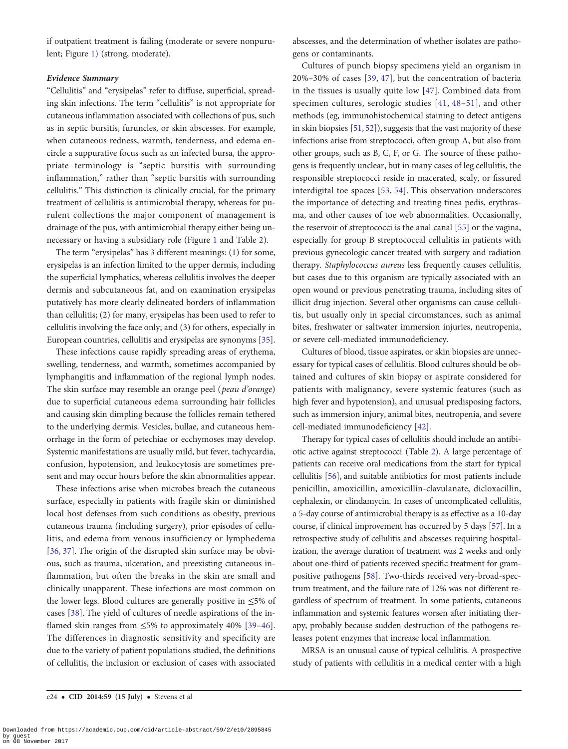if outpatient treatment is failing (moderate or severe nonpurulent; Figure [1\)](#page-1-0) (strong, moderate).

## Evidence Summary

"Cellulitis" and "erysipelas" refer to diffuse, superficial, spreading skin infections. The term "cellulitis" is not appropriate for cutaneous inflammation associated with collections of pus, such as in septic bursitis, furuncles, or skin abscesses. For example, when cutaneous redness, warmth, tenderness, and edema encircle a suppurative focus such as an infected bursa, the appropriate terminology is "septic bursitis with surrounding inflammation," rather than "septic bursitis with surrounding cellulitis." This distinction is clinically crucial, for the primary treatment of cellulitis is antimicrobial therapy, whereas for purulent collections the major component of management is drainage of the pus, with antimicrobial therapy either being unnecessary or having a subsidiary role (Figure [1](#page-1-0) and Table [2](#page-4-0)).

The term "erysipelas" has 3 different meanings: (1) for some, erysipelas is an infection limited to the upper dermis, including the superficial lymphatics, whereas cellulitis involves the deeper dermis and subcutaneous fat, and on examination erysipelas putatively has more clearly delineated borders of inflammation than cellulitis; (2) for many, erysipelas has been used to refer to cellulitis involving the face only; and (3) for others, especially in European countries, cellulitis and erysipelas are synonyms [\[35\]](#page-37-0).

These infections cause rapidly spreading areas of erythema, swelling, tenderness, and warmth, sometimes accompanied by lymphangitis and inflammation of the regional lymph nodes. The skin surface may resemble an orange peel (peau d'orange) due to superficial cutaneous edema surrounding hair follicles and causing skin dimpling because the follicles remain tethered to the underlying dermis. Vesicles, bullae, and cutaneous hemorrhage in the form of petechiae or ecchymoses may develop. Systemic manifestations are usually mild, but fever, tachycardia, confusion, hypotension, and leukocytosis are sometimes present and may occur hours before the skin abnormalities appear.

These infections arise when microbes breach the cutaneous surface, especially in patients with fragile skin or diminished local host defenses from such conditions as obesity, previous cutaneous trauma (including surgery), prior episodes of cellulitis, and edema from venous insufficiency or lymphedema [\[36](#page-37-0), [37\]](#page-37-0). The origin of the disrupted skin surface may be obvious, such as trauma, ulceration, and preexisting cutaneous inflammation, but often the breaks in the skin are small and clinically unapparent. These infections are most common on the lower legs. Blood cultures are generally positive in ≤5% of cases [[38\]](#page-37-0). The yield of cultures of needle aspirations of the inflamed skin ranges from ≤5% to approximately 40% [\[39](#page-37-0)–[46\]](#page-37-0). The differences in diagnostic sensitivity and specificity are due to the variety of patient populations studied, the definitions of cellulitis, the inclusion or exclusion of cases with associated abscesses, and the determination of whether isolates are pathogens or contaminants.

Cultures of punch biopsy specimens yield an organism in 20%–30% of cases [\[39,](#page-37-0) [47](#page-37-0)], but the concentration of bacteria in the tissues is usually quite low [[47](#page-37-0)]. Combined data from specimen cultures, serologic studies [[41,](#page-37-0) [48](#page-37-0)–[51\]](#page-37-0), and other methods (eg, immunohistochemical staining to detect antigens in skin biopsies [\[51,](#page-37-0) [52](#page-37-0)]), suggests that the vast majority of these infections arise from streptococci, often group A, but also from other groups, such as B, C, F, or G. The source of these pathogens is frequently unclear, but in many cases of leg cellulitis, the responsible streptococci reside in macerated, scaly, or fissured interdigital toe spaces [\[53,](#page-37-0) [54\]](#page-37-0). This observation underscores the importance of detecting and treating tinea pedis, erythrasma, and other causes of toe web abnormalities. Occasionally, the reservoir of streptococci is the anal canal [[55\]](#page-37-0) or the vagina, especially for group B streptococcal cellulitis in patients with previous gynecologic cancer treated with surgery and radiation therapy. Staphylococcus aureus less frequently causes cellulitis, but cases due to this organism are typically associated with an open wound or previous penetrating trauma, including sites of illicit drug injection. Several other organisms can cause cellulitis, but usually only in special circumstances, such as animal bites, freshwater or saltwater immersion injuries, neutropenia, or severe cell-mediated immunodeficiency.

Cultures of blood, tissue aspirates, or skin biopsies are unnecessary for typical cases of cellulitis. Blood cultures should be obtained and cultures of skin biopsy or aspirate considered for patients with malignancy, severe systemic features (such as high fever and hypotension), and unusual predisposing factors, such as immersion injury, animal bites, neutropenia, and severe cell-mediated immunodeficiency [[42\]](#page-37-0).

Therapy for typical cases of cellulitis should include an antibiotic active against streptococci (Table [2](#page-4-0)). A large percentage of patients can receive oral medications from the start for typical cellulitis [[56\]](#page-38-0), and suitable antibiotics for most patients include penicillin, amoxicillin, amoxicillin-clavulanate, dicloxacillin, cephalexin, or clindamycin. In cases of uncomplicated cellulitis, a 5-day course of antimicrobial therapy is as effective as a 10-day course, if clinical improvement has occurred by 5 days [\[57\]](#page-38-0). In a retrospective study of cellulitis and abscesses requiring hospitalization, the average duration of treatment was 2 weeks and only about one-third of patients received specific treatment for grampositive pathogens [\[58](#page-38-0)]. Two-thirds received very-broad-spectrum treatment, and the failure rate of 12% was not different regardless of spectrum of treatment. In some patients, cutaneous inflammation and systemic features worsen after initiating therapy, probably because sudden destruction of the pathogens releases potent enzymes that increase local inflammation.

MRSA is an unusual cause of typical cellulitis. A prospective study of patients with cellulitis in a medical center with a high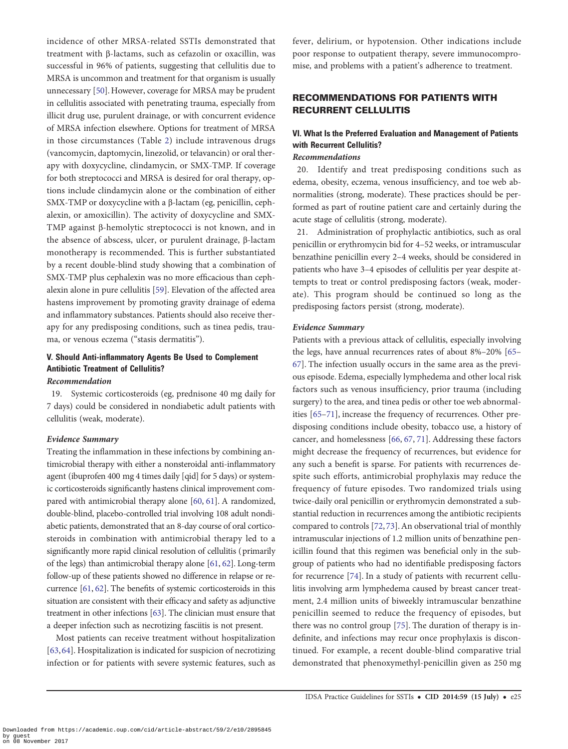incidence of other MRSA-related SSTIs demonstrated that treatment with β-lactams, such as cefazolin or oxacillin, was successful in 96% of patients, suggesting that cellulitis due to MRSA is uncommon and treatment for that organism is usually unnecessary [\[50](#page-37-0)]. However, coverage for MRSA may be prudent in cellulitis associated with penetrating trauma, especially from illicit drug use, purulent drainage, or with concurrent evidence of MRSA infection elsewhere. Options for treatment of MRSA in those circumstances (Table [2](#page-4-0)) include intravenous drugs (vancomycin, daptomycin, linezolid, or telavancin) or oral therapy with doxycycline, clindamycin, or SMX-TMP. If coverage for both streptococci and MRSA is desired for oral therapy, options include clindamycin alone or the combination of either SMX-TMP or doxycycline with a β-lactam (eg, penicillin, cephalexin, or amoxicillin). The activity of doxycycline and SMX-TMP against β-hemolytic streptococci is not known, and in the absence of abscess, ulcer, or purulent drainage, β-lactam monotherapy is recommended. This is further substantiated by a recent double-blind study showing that a combination of SMX-TMP plus cephalexin was no more efficacious than cephalexin alone in pure cellulitis [[59\]](#page-38-0). Elevation of the affected area hastens improvement by promoting gravity drainage of edema and inflammatory substances. Patients should also receive therapy for any predisposing conditions, such as tinea pedis, trauma, or venous eczema ("stasis dermatitis").

# V. Should Anti-inflammatory Agents Be Used to Complement Antibiotic Treatment of Cellulitis?

## Recommendation

19. Systemic corticosteroids (eg, prednisone 40 mg daily for 7 days) could be considered in nondiabetic adult patients with cellulitis (weak, moderate).

#### Evidence Summary

Treating the inflammation in these infections by combining antimicrobial therapy with either a nonsteroidal anti-inflammatory agent (ibuprofen 400 mg 4 times daily [qid] for 5 days) or systemic corticosteroids significantly hastens clinical improvement compared with antimicrobial therapy alone [\[60](#page-38-0), [61](#page-38-0)]. A randomized, double-blind, placebo-controlled trial involving 108 adult nondiabetic patients, demonstrated that an 8-day course of oral corticosteroids in combination with antimicrobial therapy led to a significantly more rapid clinical resolution of cellulitis (primarily of the legs) than antimicrobial therapy alone [[61](#page-38-0), [62](#page-38-0)]. Long-term follow-up of these patients showed no difference in relapse or recurrence [[61,](#page-38-0) [62](#page-38-0)]. The benefits of systemic corticosteroids in this situation are consistent with their efficacy and safety as adjunctive treatment in other infections [[63\]](#page-38-0). The clinician must ensure that a deeper infection such as necrotizing fasciitis is not present.

Most patients can receive treatment without hospitalization [\[63](#page-38-0), [64\]](#page-38-0). Hospitalization is indicated for suspicion of necrotizing infection or for patients with severe systemic features, such as fever, delirium, or hypotension. Other indications include poor response to outpatient therapy, severe immunocompromise, and problems with a patient's adherence to treatment.

## RECOMMENDATIONS FOR PATIENTS WITH RECURRENT CELLULITIS

## VI. What Is the Preferred Evaluation and Management of Patients with Recurrent Cellulitis?

#### Recommendations

20. Identify and treat predisposing conditions such as edema, obesity, eczema, venous insufficiency, and toe web abnormalities (strong, moderate). These practices should be performed as part of routine patient care and certainly during the acute stage of cellulitis (strong, moderate).

21. Administration of prophylactic antibiotics, such as oral penicillin or erythromycin bid for 4–52 weeks, or intramuscular benzathine penicillin every 2–4 weeks, should be considered in patients who have 3–4 episodes of cellulitis per year despite attempts to treat or control predisposing factors (weak, moderate). This program should be continued so long as the predisposing factors persist (strong, moderate).

#### Evidence Summary

Patients with a previous attack of cellulitis, especially involving the legs, have annual recurrences rates of about 8%–20% [[65](#page-38-0)– [67](#page-38-0)]. The infection usually occurs in the same area as the previous episode. Edema, especially lymphedema and other local risk factors such as venous insufficiency, prior trauma (including surgery) to the area, and tinea pedis or other toe web abnormalities [\[65](#page-38-0)–[71](#page-38-0)], increase the frequency of recurrences. Other predisposing conditions include obesity, tobacco use, a history of cancer, and homelessness [\[66](#page-38-0), [67,](#page-38-0) [71\]](#page-38-0). Addressing these factors might decrease the frequency of recurrences, but evidence for any such a benefit is sparse. For patients with recurrences despite such efforts, antimicrobial prophylaxis may reduce the frequency of future episodes. Two randomized trials using twice-daily oral penicillin or erythromycin demonstrated a substantial reduction in recurrences among the antibiotic recipients compared to controls [\[72](#page-38-0), [73\]](#page-38-0).An observational trial of monthly intramuscular injections of 1.2 million units of benzathine penicillin found that this regimen was beneficial only in the subgroup of patients who had no identifiable predisposing factors for recurrence [[74\]](#page-38-0). In a study of patients with recurrent cellulitis involving arm lymphedema caused by breast cancer treatment, 2.4 million units of biweekly intramuscular benzathine penicillin seemed to reduce the frequency of episodes, but there was no control group [[75\]](#page-38-0). The duration of therapy is indefinite, and infections may recur once prophylaxis is discontinued. For example, a recent double-blind comparative trial demonstrated that phenoxymethyl-penicillin given as 250 mg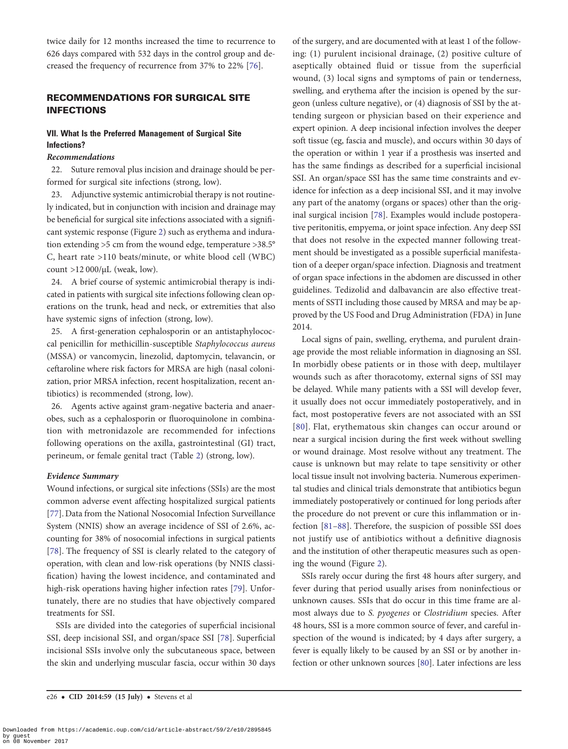twice daily for 12 months increased the time to recurrence to 626 days compared with 532 days in the control group and decreased the frequency of recurrence from 37% to 22% [[76\]](#page-38-0).

## RECOMMENDATIONS FOR SURGICAL SITE INFECTIONS

#### VII. What Is the Preferred Management of Surgical Site Infections?

#### Recommendations

22. Suture removal plus incision and drainage should be performed for surgical site infections (strong, low).

23. Adjunctive systemic antimicrobial therapy is not routinely indicated, but in conjunction with incision and drainage may be beneficial for surgical site infections associated with a significant systemic response (Figure [2](#page-2-0)) such as erythema and induration extending >5 cm from the wound edge, temperature >38.5° C, heart rate >110 beats/minute, or white blood cell (WBC) count >12 000/µL (weak, low).

24. A brief course of systemic antimicrobial therapy is indicated in patients with surgical site infections following clean operations on the trunk, head and neck, or extremities that also have systemic signs of infection (strong, low).

25. A first-generation cephalosporin or an antistaphylococcal penicillin for methicillin-susceptible Staphylococcus aureus (MSSA) or vancomycin, linezolid, daptomycin, telavancin, or ceftaroline where risk factors for MRSA are high (nasal colonization, prior MRSA infection, recent hospitalization, recent antibiotics) is recommended (strong, low).

26. Agents active against gram-negative bacteria and anaerobes, such as a cephalosporin or fluoroquinolone in combination with metronidazole are recommended for infections following operations on the axilla, gastrointestinal (GI) tract, perineum, or female genital tract (Table [2\)](#page-4-0) (strong, low).

#### Evidence Summary

Wound infections, or surgical site infections (SSIs) are the most common adverse event affecting hospitalized surgical patients [\[77](#page-38-0)]. Data from the National Nosocomial Infection Surveillance System (NNIS) show an average incidence of SSI of 2.6%, accounting for 38% of nosocomial infections in surgical patients [\[78](#page-38-0)]. The frequency of SSI is clearly related to the category of operation, with clean and low-risk operations (by NNIS classification) having the lowest incidence, and contaminated and high-risk operations having higher infection rates [\[79](#page-38-0)]. Unfortunately, there are no studies that have objectively compared treatments for SSI.

SSIs are divided into the categories of superficial incisional SSI, deep incisional SSI, and organ/space SSI [[78\]](#page-38-0). Superficial incisional SSIs involve only the subcutaneous space, between the skin and underlying muscular fascia, occur within 30 days

of the surgery, and are documented with at least 1 of the following: (1) purulent incisional drainage, (2) positive culture of aseptically obtained fluid or tissue from the superficial wound, (3) local signs and symptoms of pain or tenderness, swelling, and erythema after the incision is opened by the surgeon (unless culture negative), or (4) diagnosis of SSI by the attending surgeon or physician based on their experience and expert opinion. A deep incisional infection involves the deeper soft tissue (eg, fascia and muscle), and occurs within 30 days of the operation or within 1 year if a prosthesis was inserted and has the same findings as described for a superficial incisional SSI. An organ/space SSI has the same time constraints and evidence for infection as a deep incisional SSI, and it may involve any part of the anatomy (organs or spaces) other than the original surgical incision [[78](#page-38-0)]. Examples would include postoperative peritonitis, empyema, or joint space infection. Any deep SSI that does not resolve in the expected manner following treatment should be investigated as a possible superficial manifestation of a deeper organ/space infection. Diagnosis and treatment of organ space infections in the abdomen are discussed in other guidelines. Tedizolid and dalbavancin are also effective treatments of SSTI including those caused by MRSA and may be approved by the US Food and Drug Administration (FDA) in June 2014.

Local signs of pain, swelling, erythema, and purulent drainage provide the most reliable information in diagnosing an SSI. In morbidly obese patients or in those with deep, multilayer wounds such as after thoracotomy, external signs of SSI may be delayed. While many patients with a SSI will develop fever, it usually does not occur immediately postoperatively, and in fact, most postoperative fevers are not associated with an SSI [\[80](#page-38-0)]. Flat, erythematous skin changes can occur around or near a surgical incision during the first week without swelling or wound drainage. Most resolve without any treatment. The cause is unknown but may relate to tape sensitivity or other local tissue insult not involving bacteria. Numerous experimental studies and clinical trials demonstrate that antibiotics begun immediately postoperatively or continued for long periods after the procedure do not prevent or cure this inflammation or infection [[81](#page-38-0)–[88](#page-38-0)]. Therefore, the suspicion of possible SSI does not justify use of antibiotics without a definitive diagnosis and the institution of other therapeutic measures such as opening the wound (Figure [2](#page-2-0)).

SSIs rarely occur during the first 48 hours after surgery, and fever during that period usually arises from noninfectious or unknown causes. SSIs that do occur in this time frame are almost always due to S. pyogenes or Clostridium species. After 48 hours, SSI is a more common source of fever, and careful inspection of the wound is indicated; by 4 days after surgery, a fever is equally likely to be caused by an SSI or by another infection or other unknown sources [[80\]](#page-38-0). Later infections are less

e26 • CID 2014:59 (15 July) • Stevens et al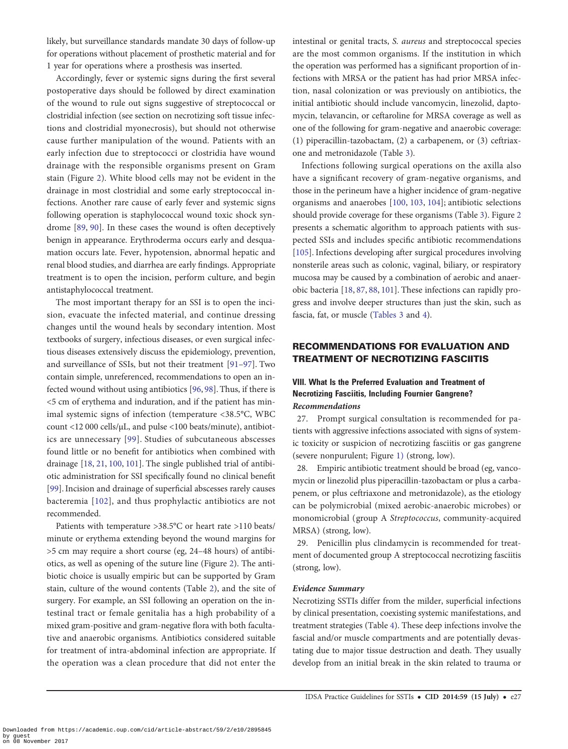likely, but surveillance standards mandate 30 days of follow-up for operations without placement of prosthetic material and for 1 year for operations where a prosthesis was inserted.

Accordingly, fever or systemic signs during the first several postoperative days should be followed by direct examination of the wound to rule out signs suggestive of streptococcal or clostridial infection (see section on necrotizing soft tissue infections and clostridial myonecrosis), but should not otherwise cause further manipulation of the wound. Patients with an early infection due to streptococci or clostridia have wound drainage with the responsible organisms present on Gram stain (Figure [2\)](#page-2-0). White blood cells may not be evident in the drainage in most clostridial and some early streptococcal infections. Another rare cause of early fever and systemic signs following operation is staphylococcal wound toxic shock syndrome [\[89,](#page-38-0) [90](#page-38-0)]. In these cases the wound is often deceptively benign in appearance. Erythroderma occurs early and desquamation occurs late. Fever, hypotension, abnormal hepatic and renal blood studies, and diarrhea are early findings. Appropriate treatment is to open the incision, perform culture, and begin antistaphylococcal treatment.

The most important therapy for an SSI is to open the incision, evacuate the infected material, and continue dressing changes until the wound heals by secondary intention. Most textbooks of surgery, infectious diseases, or even surgical infectious diseases extensively discuss the epidemiology, prevention, and surveillance of SSIs, but not their treatment [\[91](#page-38-0)–[97\]](#page-38-0). Two contain simple, unreferenced, recommendations to open an infected wound without using antibiotics [\[96](#page-38-0), [98\]](#page-38-0). Thus, if there is <5 cm of erythema and induration, and if the patient has minimal systemic signs of infection (temperature <38.5°C, WBC count <12 000 cells/µL, and pulse <100 beats/minute), antibiotics are unnecessary [\[99\]](#page-38-0). Studies of subcutaneous abscesses found little or no benefit for antibiotics when combined with drainage [\[18,](#page-37-0) [21,](#page-37-0) [100](#page-38-0), [101](#page-39-0)]. The single published trial of antibiotic administration for SSI specifically found no clinical benefit [\[99](#page-38-0)]. Incision and drainage of superficial abscesses rarely causes bacteremia [[102](#page-39-0)], and thus prophylactic antibiotics are not recommended.

Patients with temperature >38.5°C or heart rate >110 beats/ minute or erythema extending beyond the wound margins for >5 cm may require a short course (eg, 24–48 hours) of antibiotics, as well as opening of the suture line (Figure [2](#page-2-0)). The antibiotic choice is usually empiric but can be supported by Gram stain, culture of the wound contents (Table [2\)](#page-4-0), and the site of surgery. For example, an SSI following an operation on the intestinal tract or female genitalia has a high probability of a mixed gram-positive and gram-negative flora with both facultative and anaerobic organisms. Antibiotics considered suitable for treatment of intra-abdominal infection are appropriate. If the operation was a clean procedure that did not enter the

intestinal or genital tracts, S. aureus and streptococcal species are the most common organisms. If the institution in which the operation was performed has a significant proportion of infections with MRSA or the patient has had prior MRSA infection, nasal colonization or was previously on antibiotics, the initial antibiotic should include vancomycin, linezolid, daptomycin, telavancin, or ceftaroline for MRSA coverage as well as one of the following for gram-negative and anaerobic coverage: (1) piperacillin-tazobactam, (2) a carbapenem, or (3) ceftriaxone and metronidazole (Table [3\)](#page-18-0).

Infections following surgical operations on the axilla also have a significant recovery of gram-negative organisms, and those in the perineum have a higher incidence of gram-negative organisms and anaerobes [\[100](#page-38-0), [103](#page-39-0), [104\]](#page-39-0); antibiotic selections should provide coverage for these organisms (Table [3](#page-18-0)). Figure [2](#page-2-0) presents a schematic algorithm to approach patients with suspected SSIs and includes specific antibiotic recommendations [\[105\]](#page-39-0). Infections developing after surgical procedures involving nonsterile areas such as colonic, vaginal, biliary, or respiratory mucosa may be caused by a combination of aerobic and anaerobic bacteria [[18,](#page-37-0) [87,](#page-38-0) [88,](#page-38-0) [101](#page-39-0)]. These infections can rapidly progress and involve deeper structures than just the skin, such as fascia, fat, or muscle [\(Tables 3](#page-18-0) and [4](#page-19-0)).

## RECOMMENDATIONS FOR EVALUATION AND TREATMENT OF NECROTIZING FASCIITIS

## VIII. What Is the Preferred Evaluation and Treatment of Necrotizing Fasciitis, Including Fournier Gangrene? Recommendations

27. Prompt surgical consultation is recommended for patients with aggressive infections associated with signs of systemic toxicity or suspicion of necrotizing fasciitis or gas gangrene (severe nonpurulent; Figure [1\)](#page-1-0) (strong, low).

28. Empiric antibiotic treatment should be broad (eg, vancomycin or linezolid plus piperacillin-tazobactam or plus a carbapenem, or plus ceftriaxone and metronidazole), as the etiology can be polymicrobial (mixed aerobic-anaerobic microbes) or monomicrobial (group A Streptococcus, community-acquired MRSA) (strong, low).

29. Penicillin plus clindamycin is recommended for treatment of documented group A streptococcal necrotizing fasciitis (strong, low).

#### Evidence Summary

Necrotizing SSTIs differ from the milder, superficial infections by clinical presentation, coexisting systemic manifestations, and treatment strategies (Table [4](#page-19-0)). These deep infections involve the fascial and/or muscle compartments and are potentially devastating due to major tissue destruction and death. They usually develop from an initial break in the skin related to trauma or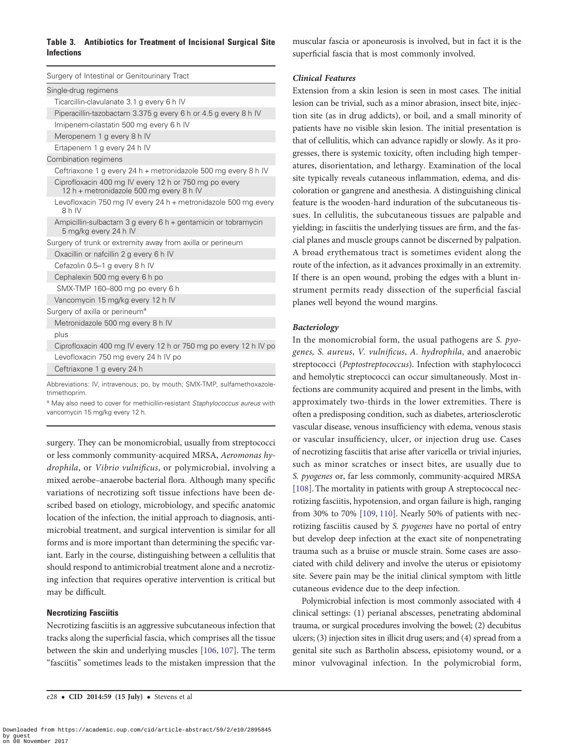## <span id="page-18-0"></span>Table 3. Antibiotics for Treatment of Incisional Surgical Site Infections

| Surgery of Intestinal or Genitourinary Tract                                                      |
|---------------------------------------------------------------------------------------------------|
| Single-drug regimens                                                                              |
| Ticarcillin-clavulanate 3.1 g every 6 h IV                                                        |
| Piperacillin-tazobactam 3.375 g every 6 h or 4.5 g every 8 h IV                                   |
| Imipenem-cilastatin 500 mg every 6 h IV                                                           |
| Meropenem 1 g every 8 h IV                                                                        |
| Ertapenem 1 g every 24 h IV                                                                       |
| Combination regimens                                                                              |
| Ceftriaxone 1 g every 24 h + metronidazole 500 mg every 8 h IV                                    |
| Ciprofloxacin 400 mg IV every 12 h or 750 mg po every<br>12 h + metronidazole 500 mg every 8 h IV |
| Levofloxacin 750 mg IV every 24 h + metronidazole 500 mg every<br>8h IV                           |
| Ampicillin-sulbactam 3 g every 6 h + gentamicin or tobramycin<br>5 mg/kg every 24 h IV            |
| Surgery of trunk or extremity away from axilla or perineum                                        |
| Oxacillin or nafcillin 2 g every 6 h IV                                                           |
| Cefazolin 0.5-1 g every 8 h IV                                                                    |
| Cephalexin 500 mg every 6 h po                                                                    |
| SMX-TMP 160-800 mg po every 6 h                                                                   |
| Vancomycin 15 mg/kg every 12 h IV                                                                 |
| Surgery of axilla or perineum <sup>a</sup>                                                        |
| Metronidazole 500 mg every 8 h IV                                                                 |
| plus                                                                                              |
| Ciprofloxacin 400 mg IV every 12 h or 750 mg po every 12 h IV po                                  |
| Levofloxacin 750 mg every 24 h IV po                                                              |
| Ceftriaxone 1 g every 24 h                                                                        |
| Abbreviations: IV, intravenous; po, by mouth; SMX-TMP, sulfamethoxazole-                          |

Abbreviations: IV, intravenous; po, by mouth; SMX-TMP, sulfamethoxazoletrimethoprim.

<sup>a</sup> May also need to cover for methicillin-resistant Staphylococcus aureus with vancomycin 15 mg/kg every 12 h.

surgery. They can be monomicrobial, usually from streptococci or less commonly community-acquired MRSA, Aeromonas hydrophila, or Vibrio vulnificus, or polymicrobial, involving a mixed aerobe–anaerobe bacterial flora. Although many specific variations of necrotizing soft tissue infections have been described based on etiology, microbiology, and specific anatomic location of the infection, the initial approach to diagnosis, antimicrobial treatment, and surgical intervention is similar for all forms and is more important than determining the specific variant. Early in the course, distinguishing between a cellulitis that should respond to antimicrobial treatment alone and a necrotizing infection that requires operative intervention is critical but may be difficult.

#### Necrotizing Fasciitis

Necrotizing fasciitis is an aggressive subcutaneous infection that tracks along the superficial fascia, which comprises all the tissue between the skin and underlying muscles [[106](#page-39-0), [107](#page-39-0)]. The term "fasciitis" sometimes leads to the mistaken impression that the muscular fascia or aponeurosis is involved, but in fact it is the superficial fascia that is most commonly involved.

#### Clinical Features

Extension from a skin lesion is seen in most cases. The initial lesion can be trivial, such as a minor abrasion, insect bite, injection site (as in drug addicts), or boil, and a small minority of patients have no visible skin lesion. The initial presentation is that of cellulitis, which can advance rapidly or slowly. As it progresses, there is systemic toxicity, often including high temperatures, disorientation, and lethargy. Examination of the local site typically reveals cutaneous inflammation, edema, and discoloration or gangrene and anesthesia. A distinguishing clinical feature is the wooden-hard induration of the subcutaneous tissues. In cellulitis, the subcutaneous tissues are palpable and yielding; in fasciitis the underlying tissues are firm, and the fascial planes and muscle groups cannot be discerned by palpation. A broad erythematous tract is sometimes evident along the route of the infection, as it advances proximally in an extremity. If there is an open wound, probing the edges with a blunt instrument permits ready dissection of the superficial fascial planes well beyond the wound margins.

#### Bacteriology

In the monomicrobial form, the usual pathogens are S. pyogenes, S. aureus, V. vulnificus, A. hydrophila, and anaerobic streptococci (Peptostreptococcus). Infection with staphylococci and hemolytic streptococci can occur simultaneously. Most infections are community acquired and present in the limbs, with approximately two-thirds in the lower extremities. There is often a predisposing condition, such as diabetes, arteriosclerotic vascular disease, venous insufficiency with edema, venous stasis or vascular insufficiency, ulcer, or injection drug use. Cases of necrotizing fasciitis that arise after varicella or trivial injuries, such as minor scratches or insect bites, are usually due to S. pyogenes or, far less commonly, community-acquired MRSA [\[108\]](#page-39-0). The mortality in patients with group A streptococcal necrotizing fasciitis, hypotension, and organ failure is high, ranging from 30% to 70% [\[109,](#page-39-0) [110\]](#page-39-0). Nearly 50% of patients with necrotizing fasciitis caused by S. pyogenes have no portal of entry but develop deep infection at the exact site of nonpenetrating trauma such as a bruise or muscle strain. Some cases are associated with child delivery and involve the uterus or episiotomy site. Severe pain may be the initial clinical symptom with little cutaneous evidence due to the deep infection.

Polymicrobial infection is most commonly associated with 4 clinical settings: (1) perianal abscesses, penetrating abdominal trauma, or surgical procedures involving the bowel; (2) decubitus ulcers; (3) injection sites in illicit drug users; and (4) spread from a genital site such as Bartholin abscess, episiotomy wound, or a minor vulvovaginal infection. In the polymicrobial form,

e28 • CID 2014:59 (15 July) • Stevens et al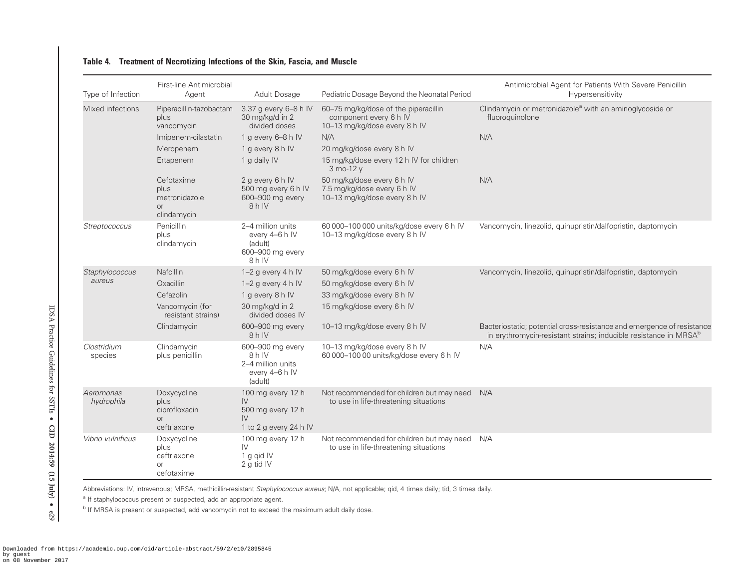| Type of Infection       | First-line Antimicrobial<br>Agent                                | Adult Dosage                                                                 | Pediatric Dosage Beyond the Neonatal Period                                                     | Antimicrobial Agent for Patients With Severe Penicillin<br>Hypersensitivity                                                                            |
|-------------------------|------------------------------------------------------------------|------------------------------------------------------------------------------|-------------------------------------------------------------------------------------------------|--------------------------------------------------------------------------------------------------------------------------------------------------------|
| Mixed infections        | Piperacillin-tazobactam<br>plus<br>vancomycin                    | 3.37 g every 6-8 h IV<br>30 mg/kg/d in 2<br>divided doses                    | 60-75 mg/kg/dose of the piperacillin<br>component every 6 h IV<br>10-13 mg/kg/dose every 8 h IV | Clindamycin or metronidazole <sup>a</sup> with an aminoglycoside or<br>fluoroguinolone                                                                 |
|                         | Imipenem-cilastatin                                              | 1 g every 6-8 h IV                                                           | N/A                                                                                             | N/A                                                                                                                                                    |
|                         | Meropenem                                                        | 1 g every 8 h IV                                                             | 20 mg/kg/dose every 8 h IV                                                                      |                                                                                                                                                        |
|                         | Ertapenem                                                        | 1 q daily IV                                                                 | 15 mg/kg/dose every 12 h IV for children<br>3 mo-12 y                                           |                                                                                                                                                        |
|                         | Cefotaxime<br>plus<br>metronidazole<br>$\alpha$<br>clindamycin   | 2 g every 6 h IV<br>500 mg every 6 h IV<br>600-900 mg every<br>8hIV          | 50 mg/kg/dose every 6 h IV<br>7.5 mg/kg/dose every 6 h IV<br>10-13 mg/kg/dose every 8 h IV      | N/A                                                                                                                                                    |
| Streptococcus           | Penicillin<br>plus<br>clindamycin                                | 2-4 million units<br>every 4-6 h IV<br>(adult)<br>600-900 mg every<br>8hIV   | 60 000-100 000 units/kg/dose every 6 h IV<br>10-13 mg/kg/dose every 8 h IV                      | Vancomycin, linezolid, quinupristin/dalfopristin, daptomycin                                                                                           |
| Staphylococcus          | Nafcillin                                                        | 1-2 g every $4 h IV$                                                         | 50 mg/kg/dose every 6 h IV                                                                      | Vancomycin, linezolid, quinupristin/dalfopristin, daptomycin                                                                                           |
| aureus                  | Oxacillin                                                        | 1-2 g every 4 h IV                                                           | 50 mg/kg/dose every 6 h IV                                                                      |                                                                                                                                                        |
|                         | Cefazolin                                                        | 1 g every 8 h IV                                                             | 33 mg/kg/dose every 8 h IV                                                                      |                                                                                                                                                        |
|                         | Vancomycin (for<br>resistant strains)                            | 30 mg/kg/d in 2<br>divided doses IV                                          | 15 mg/kg/dose every 6 h IV                                                                      |                                                                                                                                                        |
|                         | Clindamycin                                                      | 600-900 mg every<br>8hIV                                                     | 10-13 mg/kg/dose every 8 h IV                                                                   | Bacteriostatic; potential cross-resistance and emergence of resistance<br>in erythromycin-resistant strains; inducible resistance in MRSA <sup>b</sup> |
| Clostridium<br>species  | Clindamycin<br>plus penicillin                                   | 600-900 mg every<br>8hIV<br>2-4 million units<br>every 4-6 h IV<br>(adult)   | 10-13 mg/kg/dose every 8 h IV<br>60 000-100 00 units/kg/dose every 6 h IV                       | N/A                                                                                                                                                    |
| Aeromonas<br>hydrophila | Doxycycline<br>plus<br>ciprofloxacin<br><b>or</b><br>ceftriaxone | 100 mg every 12 h<br>IV<br>500 mg every 12 h<br>IV<br>1 to 2 g every 24 h IV | Not recommended for children but may need<br>to use in life-threatening situations              | N/A                                                                                                                                                    |
| Vibrio vulnificus       | Doxycycline<br>plus<br>ceftriaxone<br><b>or</b><br>cefotaxime    | 100 mg every 12 h<br>IV<br>1 g gid IV<br>2 q tid IV                          | Not recommended for children but may need<br>to use in life-threatening situations              | N/A                                                                                                                                                    |

## <span id="page-19-0"></span>Table 4. Treatment of Necrotizing Infections of the Skin, Fascia, and Muscle

Abbreviations: IV, intravenous; MRSA, methicillin-resistant Staphylococcus aureus; N/A, not applicable; qid, 4 times daily; tid, 3 times daily.

<sup>a</sup> If staphylococcus present or suspected, add an appropriate agent.

<sup>b</sup> If MRSA is present or suspected, add vancomycin not to exceed the maximum adult daily dose.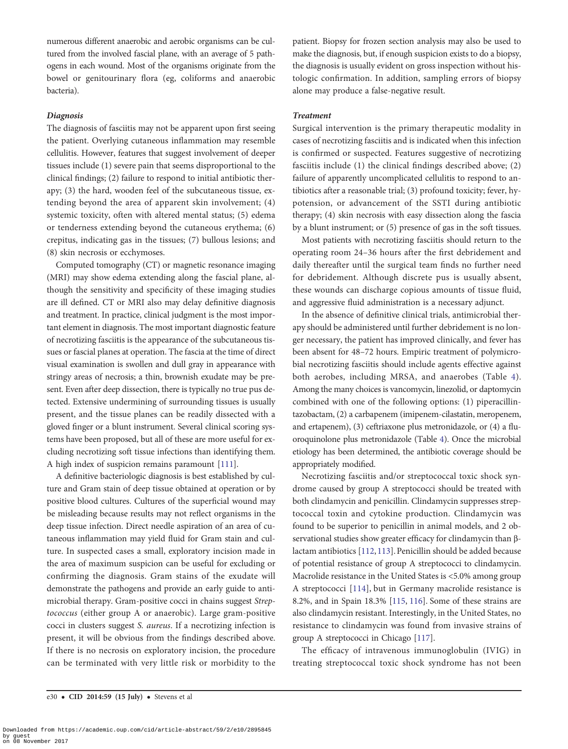numerous different anaerobic and aerobic organisms can be cultured from the involved fascial plane, with an average of 5 pathogens in each wound. Most of the organisms originate from the bowel or genitourinary flora (eg, coliforms and anaerobic bacteria).

#### Diagnosis

The diagnosis of fasciitis may not be apparent upon first seeing the patient. Overlying cutaneous inflammation may resemble cellulitis. However, features that suggest involvement of deeper tissues include (1) severe pain that seems disproportional to the clinical findings; (2) failure to respond to initial antibiotic therapy; (3) the hard, wooden feel of the subcutaneous tissue, extending beyond the area of apparent skin involvement; (4) systemic toxicity, often with altered mental status; (5) edema or tenderness extending beyond the cutaneous erythema; (6) crepitus, indicating gas in the tissues; (7) bullous lesions; and (8) skin necrosis or ecchymoses.

Computed tomography (CT) or magnetic resonance imaging (MRI) may show edema extending along the fascial plane, although the sensitivity and specificity of these imaging studies are ill defined. CT or MRI also may delay definitive diagnosis and treatment. In practice, clinical judgment is the most important element in diagnosis. The most important diagnostic feature of necrotizing fasciitis is the appearance of the subcutaneous tissues or fascial planes at operation. The fascia at the time of direct visual examination is swollen and dull gray in appearance with stringy areas of necrosis; a thin, brownish exudate may be present. Even after deep dissection, there is typically no true pus detected. Extensive undermining of surrounding tissues is usually present, and the tissue planes can be readily dissected with a gloved finger or a blunt instrument. Several clinical scoring systems have been proposed, but all of these are more useful for excluding necrotizing soft tissue infections than identifying them. A high index of suspicion remains paramount [[111](#page-39-0)].

A definitive bacteriologic diagnosis is best established by culture and Gram stain of deep tissue obtained at operation or by positive blood cultures. Cultures of the superficial wound may be misleading because results may not reflect organisms in the deep tissue infection. Direct needle aspiration of an area of cutaneous inflammation may yield fluid for Gram stain and culture. In suspected cases a small, exploratory incision made in the area of maximum suspicion can be useful for excluding or confirming the diagnosis. Gram stains of the exudate will demonstrate the pathogens and provide an early guide to antimicrobial therapy. Gram-positive cocci in chains suggest Streptococcus (either group A or anaerobic). Large gram-positive cocci in clusters suggest S. aureus. If a necrotizing infection is present, it will be obvious from the findings described above. If there is no necrosis on exploratory incision, the procedure can be terminated with very little risk or morbidity to the patient. Biopsy for frozen section analysis may also be used to make the diagnosis, but, if enough suspicion exists to do a biopsy, the diagnosis is usually evident on gross inspection without histologic confirmation. In addition, sampling errors of biopsy alone may produce a false-negative result.

#### **Treatment**

Surgical intervention is the primary therapeutic modality in cases of necrotizing fasciitis and is indicated when this infection is confirmed or suspected. Features suggestive of necrotizing fasciitis include (1) the clinical findings described above; (2) failure of apparently uncomplicated cellulitis to respond to antibiotics after a reasonable trial; (3) profound toxicity; fever, hypotension, or advancement of the SSTI during antibiotic therapy; (4) skin necrosis with easy dissection along the fascia by a blunt instrument; or (5) presence of gas in the soft tissues.

Most patients with necrotizing fasciitis should return to the operating room 24–36 hours after the first debridement and daily thereafter until the surgical team finds no further need for debridement. Although discrete pus is usually absent, these wounds can discharge copious amounts of tissue fluid, and aggressive fluid administration is a necessary adjunct.

In the absence of definitive clinical trials, antimicrobial therapy should be administered until further debridement is no longer necessary, the patient has improved clinically, and fever has been absent for 48–72 hours. Empiric treatment of polymicrobial necrotizing fasciitis should include agents effective against both aerobes, including MRSA, and anaerobes (Table [4](#page-19-0)). Among the many choices is vancomycin, linezolid, or daptomycin combined with one of the following options: (1) piperacillintazobactam, (2) a carbapenem (imipenem-cilastatin, meropenem, and ertapenem), (3) ceftriaxone plus metronidazole, or (4) a fluoroquinolone plus metronidazole (Table [4](#page-19-0)). Once the microbial etiology has been determined, the antibiotic coverage should be appropriately modified.

Necrotizing fasciitis and/or streptococcal toxic shock syndrome caused by group A streptococci should be treated with both clindamycin and penicillin. Clindamycin suppresses streptococcal toxin and cytokine production. Clindamycin was found to be superior to penicillin in animal models, and 2 observational studies show greater efficacy for clindamycin than βlactam antibiotics [[112](#page-39-0), [113](#page-39-0)]. Penicillin should be added because of potential resistance of group A streptococci to clindamycin. Macrolide resistance in the United States is <5.0% among group A streptococci [[114\]](#page-39-0), but in Germany macrolide resistance is 8.2%, and in Spain 18.3% [\[115,](#page-39-0) [116\]](#page-39-0). Some of these strains are also clindamycin resistant. Interestingly, in the United States, no resistance to clindamycin was found from invasive strains of group A streptococci in Chicago [\[117\]](#page-39-0).

The efficacy of intravenous immunoglobulin (IVIG) in treating streptococcal toxic shock syndrome has not been

Downloaded from https://academic.oup.com/cid/article-abstract/59/2/e10/2895845 by guest on 08 November 2017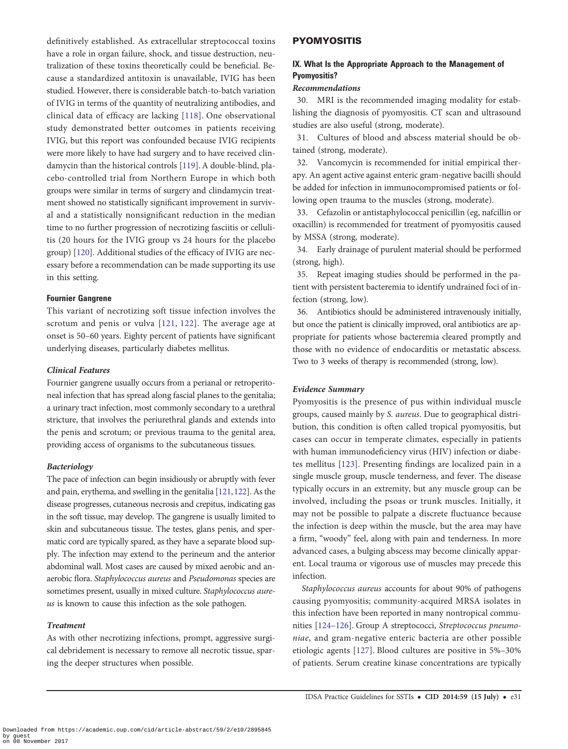definitively established. As extracellular streptococcal toxins have a role in organ failure, shock, and tissue destruction, neutralization of these toxins theoretically could be beneficial. Because a standardized antitoxin is unavailable, IVIG has been studied. However, there is considerable batch-to-batch variation of IVIG in terms of the quantity of neutralizing antibodies, and clinical data of efficacy are lacking [\[118](#page-39-0)]. One observational study demonstrated better outcomes in patients receiving IVIG, but this report was confounded because IVIG recipients were more likely to have had surgery and to have received clindamycin than the historical controls [[119](#page-39-0)]. A double-blind, placebo-controlled trial from Northern Europe in which both groups were similar in terms of surgery and clindamycin treatment showed no statistically significant improvement in survival and a statistically nonsignificant reduction in the median time to no further progression of necrotizing fasciitis or cellulitis (20 hours for the IVIG group vs 24 hours for the placebo group) [[120\]](#page-39-0). Additional studies of the efficacy of IVIG are necessary before a recommendation can be made supporting its use in this setting.

#### Fournier Gangrene

This variant of necrotizing soft tissue infection involves the scrotum and penis or vulva [[121](#page-39-0), [122\]](#page-39-0). The average age at onset is 50–60 years. Eighty percent of patients have significant underlying diseases, particularly diabetes mellitus.

## Clinical Features

Fournier gangrene usually occurs from a perianal or retroperitoneal infection that has spread along fascial planes to the genitalia; a urinary tract infection, most commonly secondary to a urethral stricture, that involves the periurethral glands and extends into the penis and scrotum; or previous trauma to the genital area, providing access of organisms to the subcutaneous tissues.

#### Bacteriology

The pace of infection can begin insidiously or abruptly with fever and pain, erythema, and swelling in the genitalia [\[121,122\]](#page-39-0). As the disease progresses, cutaneous necrosis and crepitus, indicating gas in the soft tissue, may develop. The gangrene is usually limited to skin and subcutaneous tissue. The testes, glans penis, and spermatic cord are typically spared, as they have a separate blood supply. The infection may extend to the perineum and the anterior abdominal wall. Most cases are caused by mixed aerobic and anaerobic flora. Staphylococcus aureus and Pseudomonas species are sometimes present, usually in mixed culture. Staphylococcus aureus is known to cause this infection as the sole pathogen.

#### Treatment

As with other necrotizing infections, prompt, aggressive surgical debridement is necessary to remove all necrotic tissue, sparing the deeper structures when possible.

## **PYOMYOSITIS**

## IX. What Is the Appropriate Approach to the Management of Pyomyositis?

#### Recommendations

30. MRI is the recommended imaging modality for establishing the diagnosis of pyomyositis. CT scan and ultrasound studies are also useful (strong, moderate).

31. Cultures of blood and abscess material should be obtained (strong, moderate).

32. Vancomycin is recommended for initial empirical therapy. An agent active against enteric gram-negative bacilli should be added for infection in immunocompromised patients or following open trauma to the muscles (strong, moderate).

33. Cefazolin or antistaphylococcal penicillin (eg, nafcillin or oxacillin) is recommended for treatment of pyomyositis caused by MSSA (strong, moderate).

34. Early drainage of purulent material should be performed (strong, high).

35. Repeat imaging studies should be performed in the patient with persistent bacteremia to identify undrained foci of infection (strong, low).

36. Antibiotics should be administered intravenously initially, but once the patient is clinically improved, oral antibiotics are appropriate for patients whose bacteremia cleared promptly and those with no evidence of endocarditis or metastatic abscess. Two to 3 weeks of therapy is recommended (strong, low).

## Evidence Summary

Pyomyositis is the presence of pus within individual muscle groups, caused mainly by S. aureus. Due to geographical distribution, this condition is often called tropical pyomyositis, but cases can occur in temperate climates, especially in patients with human immunodeficiency virus (HIV) infection or diabetes mellitus [[123\]](#page-39-0). Presenting findings are localized pain in a single muscle group, muscle tenderness, and fever. The disease typically occurs in an extremity, but any muscle group can be involved, including the psoas or trunk muscles. Initially, it may not be possible to palpate a discrete fluctuance because the infection is deep within the muscle, but the area may have a firm, "woody" feel, along with pain and tenderness. In more advanced cases, a bulging abscess may become clinically apparent. Local trauma or vigorous use of muscles may precede this infection.

Staphylococcus aureus accounts for about 90% of pathogens causing pyomyositis; community-acquired MRSA isolates in this infection have been reported in many nontropical communities [\[124](#page-39-0)–[126\]](#page-39-0). Group A streptococci, Streptococcus pneumoniae, and gram-negative enteric bacteria are other possible etiologic agents [\[127](#page-39-0)]. Blood cultures are positive in 5%–30% of patients. Serum creatine kinase concentrations are typically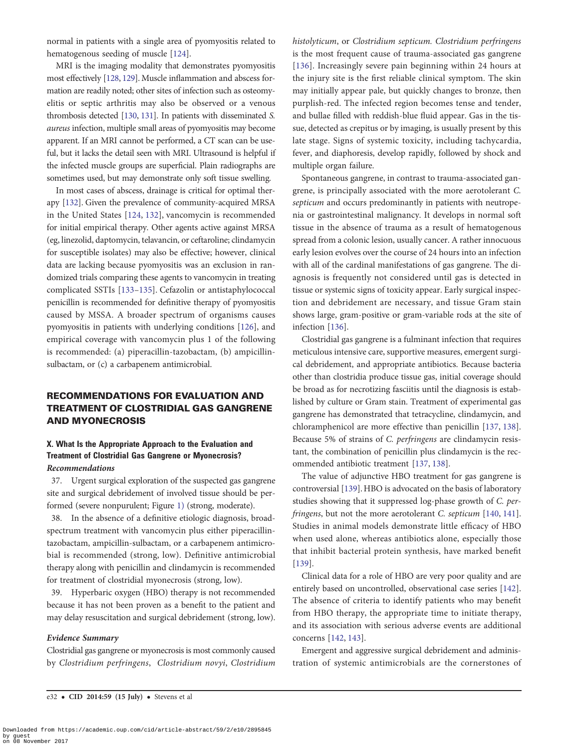normal in patients with a single area of pyomyositis related to hematogenous seeding of muscle [[124\]](#page-39-0).

MRI is the imaging modality that demonstrates pyomyositis most effectively [\[128](#page-39-0), [129](#page-39-0)]. Muscle inflammation and abscess formation are readily noted; other sites of infection such as osteomyelitis or septic arthritis may also be observed or a venous thrombosis detected [[130](#page-39-0), [131](#page-39-0)]. In patients with disseminated S. aureus infection, multiple small areas of pyomyositis may become apparent. If an MRI cannot be performed, a CT scan can be useful, but it lacks the detail seen with MRI. Ultrasound is helpful if the infected muscle groups are superficial. Plain radiographs are sometimes used, but may demonstrate only soft tissue swelling.

In most cases of abscess, drainage is critical for optimal therapy [\[132\]](#page-39-0). Given the prevalence of community-acquired MRSA in the United States [[124](#page-39-0), [132\]](#page-39-0), vancomycin is recommended for initial empirical therapy. Other agents active against MRSA (eg, linezolid, daptomycin, telavancin, or ceftaroline; clindamycin for susceptible isolates) may also be effective; however, clinical data are lacking because pyomyositis was an exclusion in randomized trials comparing these agents to vancomycin in treating complicated SSTIs [[133](#page-39-0)–[135](#page-39-0)]. Cefazolin or antistaphylococcal penicillin is recommended for definitive therapy of pyomyositis caused by MSSA. A broader spectrum of organisms causes pyomyositis in patients with underlying conditions [[126](#page-39-0)], and empirical coverage with vancomycin plus 1 of the following is recommended: (a) piperacillin-tazobactam, (b) ampicillinsulbactam, or (c) a carbapenem antimicrobial.

## RECOMMENDATIONS FOR EVALUATION AND TREATMENT OF CLOSTRIDIAL GAS GANGRENE AND MYONECROSIS

# X. What Is the Appropriate Approach to the Evaluation and Treatment of Clostridial Gas Gangrene or Myonecrosis?

#### Recommendations

37. Urgent surgical exploration of the suspected gas gangrene site and surgical debridement of involved tissue should be performed (severe nonpurulent; Figure [1\)](#page-1-0) (strong, moderate).

38. In the absence of a definitive etiologic diagnosis, broadspectrum treatment with vancomycin plus either piperacillintazobactam, ampicillin-sulbactam, or a carbapenem antimicrobial is recommended (strong, low). Definitive antimicrobial therapy along with penicillin and clindamycin is recommended for treatment of clostridial myonecrosis (strong, low).

39. Hyperbaric oxygen (HBO) therapy is not recommended because it has not been proven as a benefit to the patient and may delay resuscitation and surgical debridement (strong, low).

#### Evidence Summary

Clostridial gas gangrene or myonecrosis is most commonly caused by Clostridium perfringens, Clostridium novyi, Clostridium histolyticum, or Clostridium septicum. Clostridium perfringens is the most frequent cause of trauma-associated gas gangrene [\[136](#page-39-0)]. Increasingly severe pain beginning within 24 hours at the injury site is the first reliable clinical symptom. The skin may initially appear pale, but quickly changes to bronze, then purplish-red. The infected region becomes tense and tender, and bullae filled with reddish-blue fluid appear. Gas in the tissue, detected as crepitus or by imaging, is usually present by this late stage. Signs of systemic toxicity, including tachycardia, fever, and diaphoresis, develop rapidly, followed by shock and multiple organ failure.

Spontaneous gangrene, in contrast to trauma-associated gangrene, is principally associated with the more aerotolerant C. septicum and occurs predominantly in patients with neutropenia or gastrointestinal malignancy. It develops in normal soft tissue in the absence of trauma as a result of hematogenous spread from a colonic lesion, usually cancer. A rather innocuous early lesion evolves over the course of 24 hours into an infection with all of the cardinal manifestations of gas gangrene. The diagnosis is frequently not considered until gas is detected in tissue or systemic signs of toxicity appear. Early surgical inspection and debridement are necessary, and tissue Gram stain shows large, gram-positive or gram-variable rods at the site of infection [[136](#page-39-0)].

Clostridial gas gangrene is a fulminant infection that requires meticulous intensive care, supportive measures, emergent surgical debridement, and appropriate antibiotics. Because bacteria other than clostridia produce tissue gas, initial coverage should be broad as for necrotizing fasciitis until the diagnosis is established by culture or Gram stain. Treatment of experimental gas gangrene has demonstrated that tetracycline, clindamycin, and chloramphenicol are more effective than penicillin [[137](#page-39-0), [138\]](#page-39-0). Because 5% of strains of C. perfringens are clindamycin resistant, the combination of penicillin plus clindamycin is the recommended antibiotic treatment [\[137,](#page-39-0) [138\]](#page-39-0).

The value of adjunctive HBO treatment for gas gangrene is controversial [[139\]](#page-39-0). HBO is advocated on the basis of laboratory studies showing that it suppressed log-phase growth of C. per-fringens, but not the more aerotolerant C. septicum [[140,](#page-39-0) [141\]](#page-39-0). Studies in animal models demonstrate little efficacy of HBO when used alone, whereas antibiotics alone, especially those that inhibit bacterial protein synthesis, have marked benefit [\[139\]](#page-39-0).

Clinical data for a role of HBO are very poor quality and are entirely based on uncontrolled, observational case series [[142\]](#page-39-0). The absence of criteria to identify patients who may benefit from HBO therapy, the appropriate time to initiate therapy, and its association with serious adverse events are additional concerns [[142,](#page-39-0) [143](#page-39-0)].

Emergent and aggressive surgical debridement and administration of systemic antimicrobials are the cornerstones of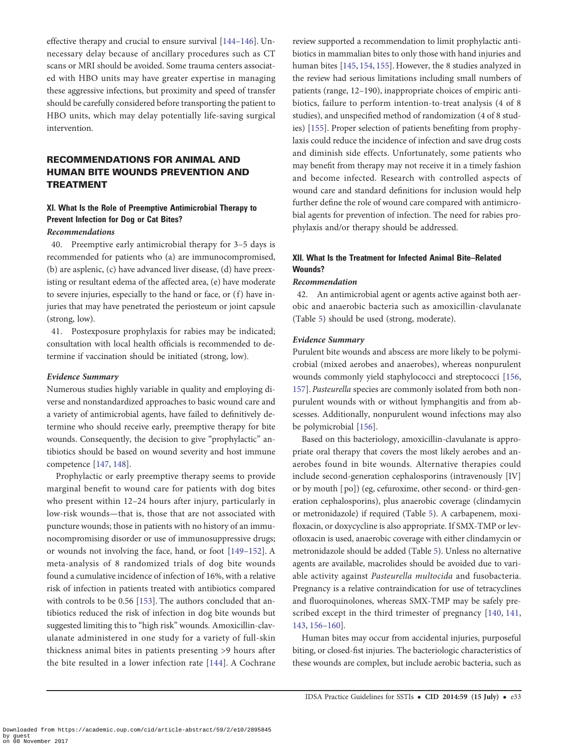effective therapy and crucial to ensure survival [[144](#page-39-0)–[146](#page-40-0)]. Unnecessary delay because of ancillary procedures such as CT scans or MRI should be avoided. Some trauma centers associated with HBO units may have greater expertise in managing these aggressive infections, but proximity and speed of transfer should be carefully considered before transporting the patient to HBO units, which may delay potentially life-saving surgical intervention.

## RECOMMENDATIONS FOR ANIMAL AND HUMAN BITE WOUNDS PREVENTION AND TREATMENT

## XI. What Is the Role of Preemptive Antimicrobial Therapy to Prevent Infection for Dog or Cat Bites?

#### Recommendations

40. Preemptive early antimicrobial therapy for 3–5 days is recommended for patients who (a) are immunocompromised, (b) are asplenic, (c) have advanced liver disease, (d) have preexisting or resultant edema of the affected area, (e) have moderate to severe injuries, especially to the hand or face, or (f) have injuries that may have penetrated the periosteum or joint capsule (strong, low).

41. Postexposure prophylaxis for rabies may be indicated; consultation with local health officials is recommended to determine if vaccination should be initiated (strong, low).

#### Evidence Summary

Numerous studies highly variable in quality and employing diverse and nonstandardized approaches to basic wound care and a variety of antimicrobial agents, have failed to definitively determine who should receive early, preemptive therapy for bite wounds. Consequently, the decision to give "prophylactic" antibiotics should be based on wound severity and host immune competence [\[147](#page-40-0), [148\]](#page-40-0).

Prophylactic or early preemptive therapy seems to provide marginal benefit to wound care for patients with dog bites who present within 12–24 hours after injury, particularly in low-risk wounds—that is, those that are not associated with puncture wounds; those in patients with no history of an immunocompromising disorder or use of immunosuppressive drugs; or wounds not involving the face, hand, or foot [\[149](#page-40-0)–[152\]](#page-40-0). A meta-analysis of 8 randomized trials of dog bite wounds found a cumulative incidence of infection of 16%, with a relative risk of infection in patients treated with antibiotics compared with controls to be 0.56 [[153](#page-40-0)]. The authors concluded that antibiotics reduced the risk of infection in dog bite wounds but suggested limiting this to "high risk" wounds. Amoxicillin-clavulanate administered in one study for a variety of full-skin thickness animal bites in patients presenting >9 hours after the bite resulted in a lower infection rate [[144](#page-39-0)]. A Cochrane review supported a recommendation to limit prophylactic antibiotics in mammalian bites to only those with hand injuries and human bites [[145](#page-40-0), [154,](#page-40-0) [155](#page-40-0)]. However, the 8 studies analyzed in the review had serious limitations including small numbers of patients (range, 12–190), inappropriate choices of empiric antibiotics, failure to perform intention-to-treat analysis (4 of 8 studies), and unspecified method of randomization (4 of 8 studies) [[155\]](#page-40-0). Proper selection of patients benefiting from prophylaxis could reduce the incidence of infection and save drug costs and diminish side effects. Unfortunately, some patients who may benefit from therapy may not receive it in a timely fashion and become infected. Research with controlled aspects of wound care and standard definitions for inclusion would help further define the role of wound care compared with antimicrobial agents for prevention of infection. The need for rabies prophylaxis and/or therapy should be addressed.

## XII. What Is the Treatment for Infected Animal Bite–Related Wounds?

#### Recommendation

42. An antimicrobial agent or agents active against both aerobic and anaerobic bacteria such as amoxicillin-clavulanate (Table [5\)](#page-24-0) should be used (strong, moderate).

#### Evidence Summary

Purulent bite wounds and abscess are more likely to be polymicrobial (mixed aerobes and anaerobes), whereas nonpurulent wounds commonly yield staphylococci and streptococci [[156,](#page-40-0) [157\]](#page-40-0). Pasteurella species are commonly isolated from both nonpurulent wounds with or without lymphangitis and from abscesses. Additionally, nonpurulent wound infections may also be polymicrobial [\[156\]](#page-40-0).

Based on this bacteriology, amoxicillin-clavulanate is appropriate oral therapy that covers the most likely aerobes and anaerobes found in bite wounds. Alternative therapies could include second-generation cephalosporins (intravenously [IV] or by mouth [ po]) (eg, cefuroxime, other second- or third-generation cephalosporins), plus anaerobic coverage (clindamycin or metronidazole) if required (Table [5\)](#page-24-0). A carbapenem, moxifloxacin, or doxycycline is also appropriate. If SMX-TMP or levofloxacin is used, anaerobic coverage with either clindamycin or metronidazole should be added (Table [5\)](#page-24-0). Unless no alternative agents are available, macrolides should be avoided due to variable activity against Pasteurella multocida and fusobacteria. Pregnancy is a relative contraindication for use of tetracyclines and fluoroquinolones, whereas SMX-TMP may be safely prescribed except in the third trimester of pregnancy [[140](#page-39-0), [141,](#page-39-0) [143,](#page-39-0) [156](#page-40-0)–[160\]](#page-40-0).

Human bites may occur from accidental injuries, purposeful biting, or closed-fist injuries. The bacteriologic characteristics of these wounds are complex, but include aerobic bacteria, such as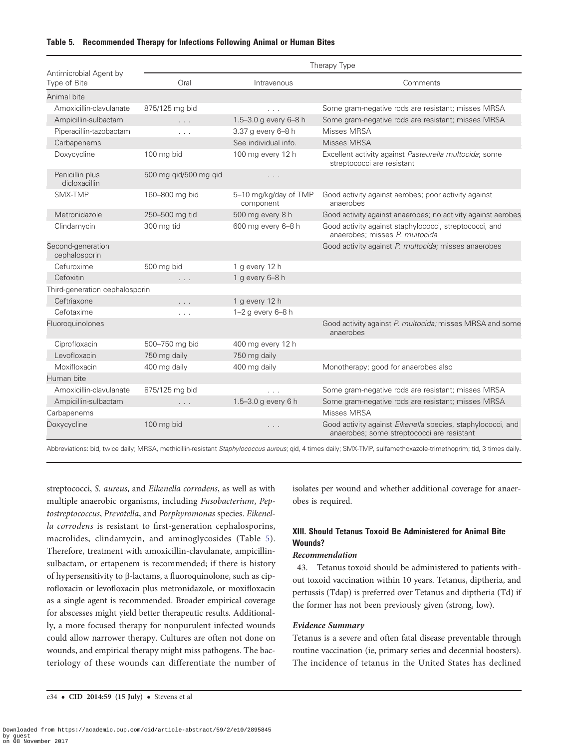|                                        |                       |                                    | Therapy Type                                                                                              |
|----------------------------------------|-----------------------|------------------------------------|-----------------------------------------------------------------------------------------------------------|
| Antimicrobial Agent by<br>Type of Bite | Oral                  | Intravenous                        | Comments                                                                                                  |
| Animal bite                            |                       |                                    |                                                                                                           |
| Amoxicillin-clavulanate                | 875/125 mg bid        | $\sim$ $\sim$                      | Some gram-negative rods are resistant; misses MRSA                                                        |
| Ampicillin-sulbactam                   |                       | 1.5-3.0 g every 6-8 h              | Some gram-negative rods are resistant; misses MRSA                                                        |
| Piperacillin-tazobactam                | $\sim$ $\sim$ $\sim$  | 3.37 g every 6-8 h                 | Misses MRSA                                                                                               |
| Carbapenems                            |                       | See individual info.               | Misses MRSA                                                                                               |
| Doxycycline                            | 100 mg bid            | 100 mg every 12 h                  | Excellent activity against Pasteurella multocida; some<br>streptococci are resistant                      |
| Penicillin plus<br>dicloxacillin       | 500 mg gid/500 mg gid |                                    |                                                                                                           |
| SMX-TMP                                | 160-800 mg bid        | 5-10 mg/kg/day of TMP<br>component | Good activity against aerobes; poor activity against<br>anaerobes                                         |
| Metronidazole                          | 250-500 mg tid        | 500 mg every 8 h                   | Good activity against anaerobes; no activity against aerobes                                              |
| Clindamycin                            | 300 mg tid            | 600 mg every 6-8 h                 | Good activity against staphylococci, streptococci, and<br>anaerobes: misses P. multocida                  |
| Second-generation<br>cephalosporin     |                       |                                    | Good activity against P. multocida; misses anaerobes                                                      |
| Cefuroxime                             | 500 mg bid            | 1 g every 12 h                     |                                                                                                           |
| Cefoxitin                              |                       | 1 g every 6-8 h                    |                                                                                                           |
| Third-generation cephalosporin         |                       |                                    |                                                                                                           |
| Ceftriaxone                            | .                     | 1 g every 12 h                     |                                                                                                           |
| Cefotaxime                             | .                     | $1-2$ g every 6-8 h                |                                                                                                           |
| Fluoroquinolones                       |                       |                                    | Good activity against P. multocida; misses MRSA and some<br>anaerobes                                     |
| Ciprofloxacin                          | 500-750 mg bid        | 400 mg every 12 h                  |                                                                                                           |
| Levofloxacin                           | 750 mg daily          | 750 mg daily                       |                                                                                                           |
| Moxifloxacin                           | 400 mg daily          | 400 mg daily                       | Monotherapy; good for anaerobes also                                                                      |
| Human bite                             |                       |                                    |                                                                                                           |
| Amoxicillin-clavulanate                | 875/125 mg bid        |                                    | Some gram-negative rods are resistant; misses MRSA                                                        |
| Ampicillin-sulbactam                   |                       | 1.5-3.0 g every 6 h                | Some gram-negative rods are resistant; misses MRSA                                                        |
| Carbapenems                            |                       |                                    | Misses MRSA                                                                                               |
| Doxycycline                            | 100 mg bid            | .                                  | Good activity against Eikenella species, staphylococci, and<br>anaerobes; some streptococci are resistant |

#### <span id="page-24-0"></span>Table 5. Recommended Therapy for Infections Following Animal or Human Bites

Abbreviations: bid, twice daily; MRSA, methicillin-resistant Staphylococcus aureus; qid, 4 times daily; SMX-TMP, sulfamethoxazole-trimethoprim; tid, 3 times daily.

streptococci, S. aureus, and Eikenella corrodens, as well as with multiple anaerobic organisms, including Fusobacterium, Peptostreptococcus, Prevotella, and Porphyromonas species. Eikenella corrodens is resistant to first-generation cephalosporins, macrolides, clindamycin, and aminoglycosides (Table 5). Therefore, treatment with amoxicillin-clavulanate, ampicillinsulbactam, or ertapenem is recommended; if there is history of hypersensitivity to β-lactams, a fluoroquinolone, such as ciprofloxacin or levofloxacin plus metronidazole, or moxifloxacin as a single agent is recommended. Broader empirical coverage for abscesses might yield better therapeutic results. Additionally, a more focused therapy for nonpurulent infected wounds could allow narrower therapy. Cultures are often not done on wounds, and empirical therapy might miss pathogens. The bacteriology of these wounds can differentiate the number of isolates per wound and whether additional coverage for anaerobes is required.

## XIII. Should Tetanus Toxoid Be Administered for Animal Bite Wounds?

#### Recommendation

43. Tetanus toxoid should be administered to patients without toxoid vaccination within 10 years. Tetanus, diptheria, and pertussis (Tdap) is preferred over Tetanus and diptheria (Td) if the former has not been previously given (strong, low).

#### Evidence Summary

Tetanus is a severe and often fatal disease preventable through routine vaccination (ie, primary series and decennial boosters). The incidence of tetanus in the United States has declined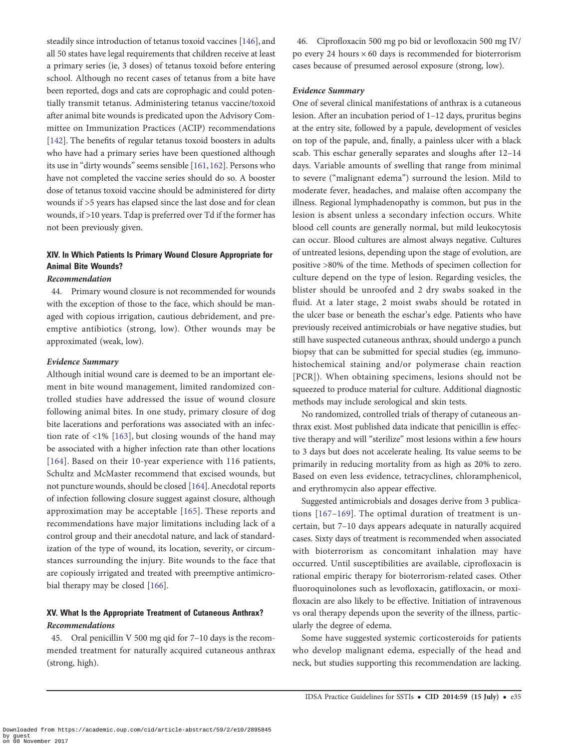steadily since introduction of tetanus toxoid vaccines [\[146\]](#page-40-0), and all 50 states have legal requirements that children receive at least a primary series (ie, 3 doses) of tetanus toxoid before entering school. Although no recent cases of tetanus from a bite have been reported, dogs and cats are coprophagic and could potentially transmit tetanus. Administering tetanus vaccine/toxoid after animal bite wounds is predicated upon the Advisory Committee on Immunization Practices (ACIP) recommendations [\[142\]](#page-39-0). The benefits of regular tetanus toxoid boosters in adults who have had a primary series have been questioned although its use in "dirty wounds" seems sensible [\[161,](#page-40-0) [162](#page-40-0)]. Persons who have not completed the vaccine series should do so. A booster dose of tetanus toxoid vaccine should be administered for dirty wounds if >5 years has elapsed since the last dose and for clean wounds, if >10 years. Tdap is preferred over Td if the former has not been previously given.

## XIV. In Which Patients Is Primary Wound Closure Appropriate for Animal Bite Wounds?

#### Recommendation

44. Primary wound closure is not recommended for wounds with the exception of those to the face, which should be managed with copious irrigation, cautious debridement, and preemptive antibiotics (strong, low). Other wounds may be approximated (weak, low).

#### Evidence Summary

Although initial wound care is deemed to be an important element in bite wound management, limited randomized controlled studies have addressed the issue of wound closure following animal bites. In one study, primary closure of dog bite lacerations and perforations was associated with an infection rate of <1% [\[163](#page-40-0)], but closing wounds of the hand may be associated with a higher infection rate than other locations [\[164\]](#page-40-0). Based on their 10-year experience with 116 patients, Schultz and McMaster recommend that excised wounds, but not puncture wounds, should be closed [\[164\]](#page-40-0).Anecdotal reports of infection following closure suggest against closure, although approximation may be acceptable [[165](#page-40-0)]. These reports and recommendations have major limitations including lack of a control group and their anecdotal nature, and lack of standardization of the type of wound, its location, severity, or circumstances surrounding the injury. Bite wounds to the face that are copiously irrigated and treated with preemptive antimicrobial therapy may be closed [\[166\]](#page-40-0).

## XV. What Is the Appropriate Treatment of Cutaneous Anthrax? Recommendations

45. Oral penicillin V 500 mg qid for 7–10 days is the recommended treatment for naturally acquired cutaneous anthrax (strong, high).

46. Ciprofloxacin 500 mg po bid or levofloxacin 500 mg IV/ po every 24 hours  $\times$  60 days is recommended for bioterrorism cases because of presumed aerosol exposure (strong, low).

## Evidence Summary

One of several clinical manifestations of anthrax is a cutaneous lesion. After an incubation period of 1–12 days, pruritus begins at the entry site, followed by a papule, development of vesicles on top of the papule, and, finally, a painless ulcer with a black scab. This eschar generally separates and sloughs after 12–14 days. Variable amounts of swelling that range from minimal to severe ("malignant edema") surround the lesion. Mild to moderate fever, headaches, and malaise often accompany the illness. Regional lymphadenopathy is common, but pus in the lesion is absent unless a secondary infection occurs. White blood cell counts are generally normal, but mild leukocytosis can occur. Blood cultures are almost always negative. Cultures of untreated lesions, depending upon the stage of evolution, are positive >80% of the time. Methods of specimen collection for culture depend on the type of lesion. Regarding vesicles, the blister should be unroofed and 2 dry swabs soaked in the fluid. At a later stage, 2 moist swabs should be rotated in the ulcer base or beneath the eschar's edge. Patients who have previously received antimicrobials or have negative studies, but still have suspected cutaneous anthrax, should undergo a punch biopsy that can be submitted for special studies (eg, immunohistochemical staining and/or polymerase chain reaction [PCR]). When obtaining specimens, lesions should not be squeezed to produce material for culture. Additional diagnostic methods may include serological and skin tests.

No randomized, controlled trials of therapy of cutaneous anthrax exist. Most published data indicate that penicillin is effective therapy and will "sterilize" most lesions within a few hours to 3 days but does not accelerate healing. Its value seems to be primarily in reducing mortality from as high as 20% to zero. Based on even less evidence, tetracyclines, chloramphenicol, and erythromycin also appear effective.

Suggested antimicrobials and dosages derive from 3 publications [[167](#page-40-0)–[169\]](#page-40-0). The optimal duration of treatment is uncertain, but 7–10 days appears adequate in naturally acquired cases. Sixty days of treatment is recommended when associated with bioterrorism as concomitant inhalation may have occurred. Until susceptibilities are available, ciprofloxacin is rational empiric therapy for bioterrorism-related cases. Other fluoroquinolones such as levofloxacin, gatifloxacin, or moxifloxacin are also likely to be effective. Initiation of intravenous vs oral therapy depends upon the severity of the illness, particularly the degree of edema.

Some have suggested systemic corticosteroids for patients who develop malignant edema, especially of the head and neck, but studies supporting this recommendation are lacking.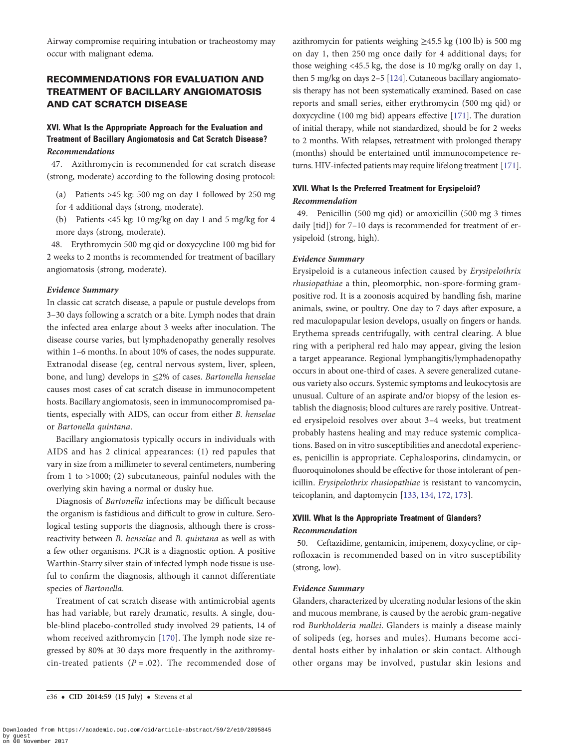Airway compromise requiring intubation or tracheostomy may occur with malignant edema.

## RECOMMENDATIONS FOR EVALUATION AND TREATMENT OF BACILLARY ANGIOMATOSIS AND CAT SCRATCH DISEASE

## XVI. What Is the Appropriate Approach for the Evaluation and Treatment of Bacillary Angiomatosis and Cat Scratch Disease? Recommendations

47. Azithromycin is recommended for cat scratch disease (strong, moderate) according to the following dosing protocol:

(a) Patients >45 kg: 500 mg on day 1 followed by 250 mg for 4 additional days (strong, moderate).

(b) Patients <45 kg: 10 mg/kg on day 1 and 5 mg/kg for 4 more days (strong, moderate).

48. Erythromycin 500 mg qid or doxycycline 100 mg bid for 2 weeks to 2 months is recommended for treatment of bacillary angiomatosis (strong, moderate).

#### Evidence Summary

In classic cat scratch disease, a papule or pustule develops from 3–30 days following a scratch or a bite. Lymph nodes that drain the infected area enlarge about 3 weeks after inoculation. The disease course varies, but lymphadenopathy generally resolves within 1–6 months. In about 10% of cases, the nodes suppurate. Extranodal disease (eg, central nervous system, liver, spleen, bone, and lung) develops in ≤2% of cases. Bartonella henselae causes most cases of cat scratch disease in immunocompetent hosts. Bacillary angiomatosis, seen in immunocompromised patients, especially with AIDS, can occur from either B. henselae or Bartonella quintana.

Bacillary angiomatosis typically occurs in individuals with AIDS and has 2 clinical appearances: (1) red papules that vary in size from a millimeter to several centimeters, numbering from 1 to >1000; (2) subcutaneous, painful nodules with the overlying skin having a normal or dusky hue.

Diagnosis of Bartonella infections may be difficult because the organism is fastidious and difficult to grow in culture. Serological testing supports the diagnosis, although there is crossreactivity between B. henselae and B. quintana as well as with a few other organisms. PCR is a diagnostic option. A positive Warthin-Starry silver stain of infected lymph node tissue is useful to confirm the diagnosis, although it cannot differentiate species of Bartonella.

Treatment of cat scratch disease with antimicrobial agents has had variable, but rarely dramatic, results. A single, double-blind placebo-controlled study involved 29 patients, 14 of whom received azithromycin [[170](#page-40-0)]. The lymph node size regressed by 80% at 30 days more frequently in the azithromycin-treated patients ( $P = .02$ ). The recommended dose of azithromycin for patients weighing  $\geq$ 45.5 kg (100 lb) is 500 mg on day 1, then 250 mg once daily for 4 additional days; for those weighing <45.5 kg, the dose is 10 mg/kg orally on day 1, then 5 mg/kg on days 2–5 [\[124\]](#page-39-0). Cutaneous bacillary angiomatosis therapy has not been systematically examined. Based on case reports and small series, either erythromycin (500 mg qid) or doxycycline (100 mg bid) appears effective [\[171\]](#page-40-0). The duration of initial therapy, while not standardized, should be for 2 weeks to 2 months. With relapses, retreatment with prolonged therapy (months) should be entertained until immunocompetence returns. HIV-infected patients may require lifelong treatment [\[171\]](#page-40-0).

#### XVII. What Is the Preferred Treatment for Erysipeloid? Recommendation

49. Penicillin (500 mg qid) or amoxicillin (500 mg 3 times daily [tid]) for 7–10 days is recommended for treatment of erysipeloid (strong, high).

#### Evidence Summary

Erysipeloid is a cutaneous infection caused by Erysipelothrix rhusiopathiae a thin, pleomorphic, non-spore-forming grampositive rod. It is a zoonosis acquired by handling fish, marine animals, swine, or poultry. One day to 7 days after exposure, a red maculopapular lesion develops, usually on fingers or hands. Erythema spreads centrifugally, with central clearing. A blue ring with a peripheral red halo may appear, giving the lesion a target appearance. Regional lymphangitis/lymphadenopathy occurs in about one-third of cases. A severe generalized cutaneous variety also occurs. Systemic symptoms and leukocytosis are unusual. Culture of an aspirate and/or biopsy of the lesion establish the diagnosis; blood cultures are rarely positive. Untreated erysipeloid resolves over about 3–4 weeks, but treatment probably hastens healing and may reduce systemic complications. Based on in vitro susceptibilities and anecdotal experiences, penicillin is appropriate. Cephalosporins, clindamycin, or fluoroquinolones should be effective for those intolerant of penicillin. Erysipelothrix rhusiopathiae is resistant to vancomycin, teicoplanin, and daptomycin [[133,](#page-39-0) [134](#page-39-0), [172](#page-40-0), [173](#page-40-0)].

## XVIII. What Is the Appropriate Treatment of Glanders? Recommendation

50. Ceftazidime, gentamicin, imipenem, doxycycline, or ciprofloxacin is recommended based on in vitro susceptibility (strong, low).

#### Evidence Summary

Glanders, characterized by ulcerating nodular lesions of the skin and mucous membrane, is caused by the aerobic gram-negative rod Burkholderia mallei. Glanders is mainly a disease mainly of solipeds (eg, horses and mules). Humans become accidental hosts either by inhalation or skin contact. Although other organs may be involved, pustular skin lesions and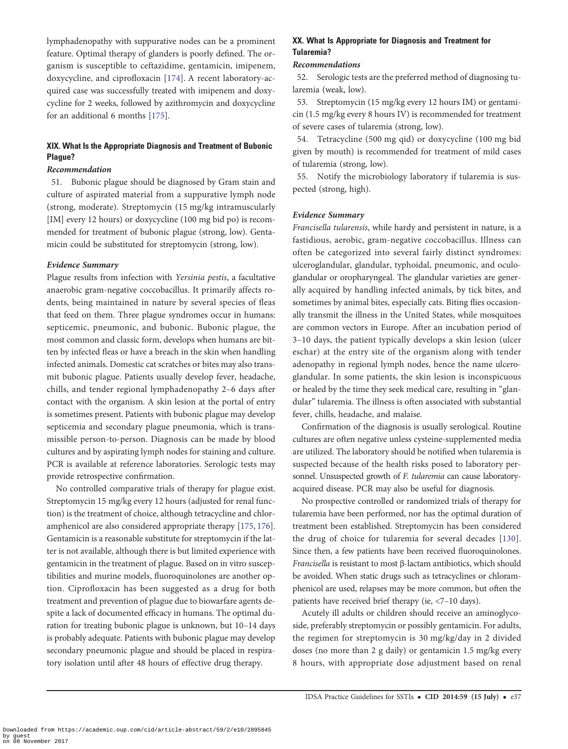lymphadenopathy with suppurative nodes can be a prominent feature. Optimal therapy of glanders is poorly defined. The organism is susceptible to ceftazidime, gentamicin, imipenem, doxycycline, and ciprofloxacin [[174\]](#page-40-0). A recent laboratory-acquired case was successfully treated with imipenem and doxycycline for 2 weeks, followed by azithromycin and doxycycline for an additional 6 months [[175](#page-40-0)].

## XIX. What Is the Appropriate Diagnosis and Treatment of Bubonic Plague?

#### Recommendation

51. Bubonic plague should be diagnosed by Gram stain and culture of aspirated material from a suppurative lymph node (strong, moderate). Streptomycin (15 mg/kg intramuscularly [IM] every 12 hours) or doxycycline (100 mg bid po) is recommended for treatment of bubonic plague (strong, low). Gentamicin could be substituted for streptomycin (strong, low).

#### Evidence Summary

Plague results from infection with Yersinia pestis, a facultative anaerobic gram-negative coccobacillus. It primarily affects rodents, being maintained in nature by several species of fleas that feed on them. Three plague syndromes occur in humans: septicemic, pneumonic, and bubonic. Bubonic plague, the most common and classic form, develops when humans are bitten by infected fleas or have a breach in the skin when handling infected animals. Domestic cat scratches or bites may also transmit bubonic plague. Patients usually develop fever, headache, chills, and tender regional lymphadenopathy 2–6 days after contact with the organism. A skin lesion at the portal of entry is sometimes present. Patients with bubonic plague may develop septicemia and secondary plague pneumonia, which is transmissible person-to-person. Diagnosis can be made by blood cultures and by aspirating lymph nodes for staining and culture. PCR is available at reference laboratories. Serologic tests may provide retrospective confirmation.

No controlled comparative trials of therapy for plague exist. Streptomycin 15 mg/kg every 12 hours (adjusted for renal function) is the treatment of choice, although tetracycline and chloramphenicol are also considered appropriate therapy [\[175](#page-40-0), [176\]](#page-40-0). Gentamicin is a reasonable substitute for streptomycin if the latter is not available, although there is but limited experience with gentamicin in the treatment of plague. Based on in vitro susceptibilities and murine models, fluoroquinolones are another option. Ciprofloxacin has been suggested as a drug for both treatment and prevention of plague due to biowarfare agents despite a lack of documented efficacy in humans. The optimal duration for treating bubonic plague is unknown, but 10–14 days is probably adequate. Patients with bubonic plague may develop secondary pneumonic plague and should be placed in respiratory isolation until after 48 hours of effective drug therapy.

## XX. What Is Appropriate for Diagnosis and Treatment for Tularemia?

#### Recommendations

52. Serologic tests are the preferred method of diagnosing tularemia (weak, low).

53. Streptomycin (15 mg/kg every 12 hours IM) or gentamicin (1.5 mg/kg every 8 hours IV) is recommended for treatment of severe cases of tularemia (strong, low).

54. Tetracycline (500 mg qid) or doxycycline (100 mg bid given by mouth) is recommended for treatment of mild cases of tularemia (strong, low).

55. Notify the microbiology laboratory if tularemia is suspected (strong, high).

#### Evidence Summary

Francisella tularensis, while hardy and persistent in nature, is a fastidious, aerobic, gram-negative coccobacillus. Illness can often be categorized into several fairly distinct syndromes: ulceroglandular, glandular, typhoidal, pneumonic, and oculoglandular or oropharyngeal. The glandular varieties are generally acquired by handling infected animals, by tick bites, and sometimes by animal bites, especially cats. Biting flies occasionally transmit the illness in the United States, while mosquitoes are common vectors in Europe. After an incubation period of 3–10 days, the patient typically develops a skin lesion (ulcer eschar) at the entry site of the organism along with tender adenopathy in regional lymph nodes, hence the name ulceroglandular. In some patients, the skin lesion is inconspicuous or healed by the time they seek medical care, resulting in "glandular" tularemia. The illness is often associated with substantial fever, chills, headache, and malaise.

Confirmation of the diagnosis is usually serological. Routine cultures are often negative unless cysteine-supplemented media are utilized. The laboratory should be notified when tularemia is suspected because of the health risks posed to laboratory personnel. Unsuspected growth of F. tularemia can cause laboratoryacquired disease. PCR may also be useful for diagnosis.

No prospective controlled or randomized trials of therapy for tularemia have been performed, nor has the optimal duration of treatment been established. Streptomycin has been considered the drug of choice for tularemia for several decades [\[130](#page-39-0)]. Since then, a few patients have been received fluoroquinolones. Francisella is resistant to most β-lactam antibiotics, which should be avoided. When static drugs such as tetracyclines or chloramphenicol are used, relapses may be more common, but often the patients have received brief therapy (ie, <7–10 days).

Acutely ill adults or children should receive an aminoglycoside, preferably streptomycin or possibly gentamicin. For adults, the regimen for streptomycin is 30 mg/kg/day in 2 divided doses (no more than 2 g daily) or gentamicin 1.5 mg/kg every 8 hours, with appropriate dose adjustment based on renal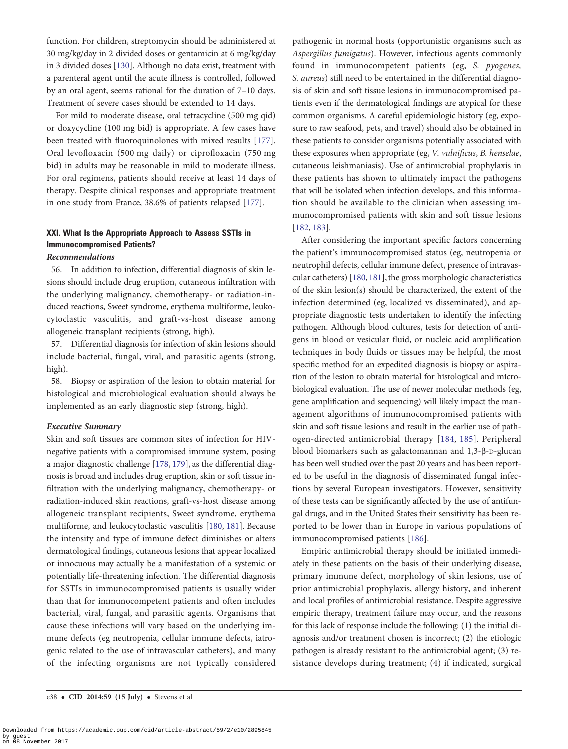function. For children, streptomycin should be administered at 30 mg/kg/day in 2 divided doses or gentamicin at 6 mg/kg/day in 3 divided doses [[130](#page-39-0)]. Although no data exist, treatment with a parenteral agent until the acute illness is controlled, followed by an oral agent, seems rational for the duration of 7–10 days. Treatment of severe cases should be extended to 14 days.

For mild to moderate disease, oral tetracycline (500 mg qid) or doxycycline (100 mg bid) is appropriate. A few cases have been treated with fluoroquinolones with mixed results [[177\]](#page-40-0). Oral levofloxacin (500 mg daily) or ciprofloxacin (750 mg bid) in adults may be reasonable in mild to moderate illness. For oral regimens, patients should receive at least 14 days of therapy. Despite clinical responses and appropriate treatment in one study from France, 38.6% of patients relapsed [\[177\]](#page-40-0).

## XXI. What Is the Appropriate Approach to Assess SSTIs in Immunocompromised Patients?

#### Recommendations

56. In addition to infection, differential diagnosis of skin lesions should include drug eruption, cutaneous infiltration with the underlying malignancy, chemotherapy- or radiation-induced reactions, Sweet syndrome, erythema multiforme, leukocytoclastic vasculitis, and graft-vs-host disease among allogeneic transplant recipients (strong, high).

57. Differential diagnosis for infection of skin lesions should include bacterial, fungal, viral, and parasitic agents (strong, high).

58. Biopsy or aspiration of the lesion to obtain material for histological and microbiological evaluation should always be implemented as an early diagnostic step (strong, high).

#### Executive Summary

Skin and soft tissues are common sites of infection for HIVnegative patients with a compromised immune system, posing a major diagnostic challenge [\[178](#page-40-0), [179\]](#page-40-0), as the differential diagnosis is broad and includes drug eruption, skin or soft tissue infiltration with the underlying malignancy, chemotherapy- or radiation-induced skin reactions, graft-vs-host disease among allogeneic transplant recipients, Sweet syndrome, erythema multiforme, and leukocytoclastic vasculitis [\[180](#page-40-0), [181](#page-40-0)]. Because the intensity and type of immune defect diminishes or alters dermatological findings, cutaneous lesions that appear localized or innocuous may actually be a manifestation of a systemic or potentially life-threatening infection. The differential diagnosis for SSTIs in immunocompromised patients is usually wider than that for immunocompetent patients and often includes bacterial, viral, fungal, and parasitic agents. Organisms that cause these infections will vary based on the underlying immune defects (eg neutropenia, cellular immune defects, iatrogenic related to the use of intravascular catheters), and many of the infecting organisms are not typically considered

pathogenic in normal hosts (opportunistic organisms such as Aspergillus fumigatus). However, infectious agents commonly found in immunocompetent patients (eg, S. pyogenes, S. aureus) still need to be entertained in the differential diagnosis of skin and soft tissue lesions in immunocompromised patients even if the dermatological findings are atypical for these common organisms. A careful epidemiologic history (eg, exposure to raw seafood, pets, and travel) should also be obtained in these patients to consider organisms potentially associated with these exposures when appropriate (eg, V. vulnificus, B. henselae, cutaneous leishmaniasis). Use of antimicrobial prophylaxis in these patients has shown to ultimately impact the pathogens that will be isolated when infection develops, and this information should be available to the clinician when assessing immunocompromised patients with skin and soft tissue lesions [\[182,](#page-40-0) [183\]](#page-40-0).

After considering the important specific factors concerning the patient's immunocompromised status (eg, neutropenia or neutrophil defects, cellular immune defect, presence of intravascular catheters) [[180](#page-40-0), [181](#page-40-0)], the gross morphologic characteristics of the skin lesion(s) should be characterized, the extent of the infection determined (eg, localized vs disseminated), and appropriate diagnostic tests undertaken to identify the infecting pathogen. Although blood cultures, tests for detection of antigens in blood or vesicular fluid, or nucleic acid amplification techniques in body fluids or tissues may be helpful, the most specific method for an expedited diagnosis is biopsy or aspiration of the lesion to obtain material for histological and microbiological evaluation. The use of newer molecular methods (eg, gene amplification and sequencing) will likely impact the management algorithms of immunocompromised patients with skin and soft tissue lesions and result in the earlier use of pathogen-directed antimicrobial therapy [[184,](#page-40-0) [185\]](#page-40-0). Peripheral blood biomarkers such as galactomannan and 1,3-β-D-glucan has been well studied over the past 20 years and has been reported to be useful in the diagnosis of disseminated fungal infections by several European investigators. However, sensitivity of these tests can be significantly affected by the use of antifungal drugs, and in the United States their sensitivity has been reported to be lower than in Europe in various populations of immunocompromised patients [\[186](#page-40-0)].

Empiric antimicrobial therapy should be initiated immediately in these patients on the basis of their underlying disease, primary immune defect, morphology of skin lesions, use of prior antimicrobial prophylaxis, allergy history, and inherent and local profiles of antimicrobial resistance. Despite aggressive empiric therapy, treatment failure may occur, and the reasons for this lack of response include the following: (1) the initial diagnosis and/or treatment chosen is incorrect; (2) the etiologic pathogen is already resistant to the antimicrobial agent; (3) resistance develops during treatment; (4) if indicated, surgical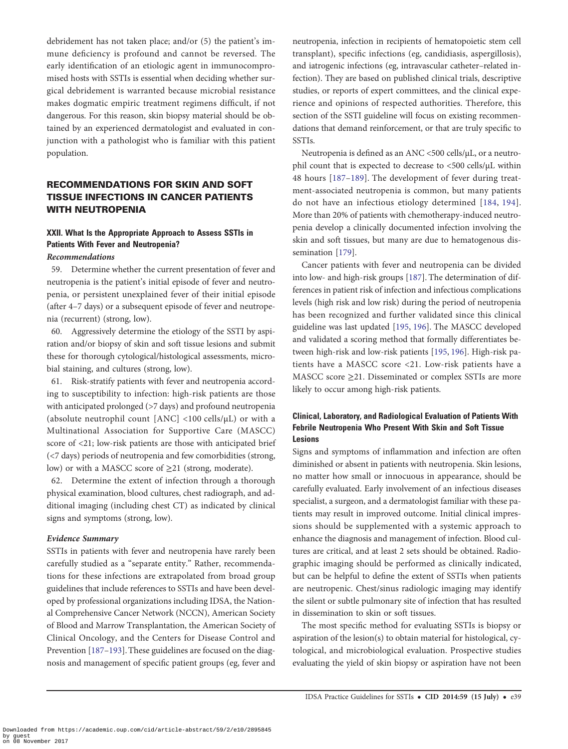debridement has not taken place; and/or (5) the patient's immune deficiency is profound and cannot be reversed. The early identification of an etiologic agent in immunocompromised hosts with SSTIs is essential when deciding whether surgical debridement is warranted because microbial resistance makes dogmatic empiric treatment regimens difficult, if not dangerous. For this reason, skin biopsy material should be obtained by an experienced dermatologist and evaluated in conjunction with a pathologist who is familiar with this patient population.

## RECOMMENDATIONS FOR SKIN AND SOFT TISSUE INFECTIONS IN CANCER PATIENTS WITH NEUTROPENIA

# XXII. What Is the Appropriate Approach to Assess SSTIs in Patients With Fever and Neutropenia?

## Recommendations

59. Determine whether the current presentation of fever and neutropenia is the patient's initial episode of fever and neutropenia, or persistent unexplained fever of their initial episode (after 4–7 days) or a subsequent episode of fever and neutropenia (recurrent) (strong, low).

60. Aggressively determine the etiology of the SSTI by aspiration and/or biopsy of skin and soft tissue lesions and submit these for thorough cytological/histological assessments, microbial staining, and cultures (strong, low).

61. Risk-stratify patients with fever and neutropenia according to susceptibility to infection: high-risk patients are those with anticipated prolonged (>7 days) and profound neutropenia (absolute neutrophil count [ANC] <100 cells/µL) or with a Multinational Association for Supportive Care (MASCC) score of <21; low-risk patients are those with anticipated brief (<7 days) periods of neutropenia and few comorbidities (strong, low) or with a MASCC score of ≥21 (strong, moderate).

62. Determine the extent of infection through a thorough physical examination, blood cultures, chest radiograph, and additional imaging (including chest CT) as indicated by clinical signs and symptoms (strong, low).

#### Evidence Summary

SSTIs in patients with fever and neutropenia have rarely been carefully studied as a "separate entity." Rather, recommendations for these infections are extrapolated from broad group guidelines that include references to SSTIs and have been developed by professional organizations including IDSA, the National Comprehensive Cancer Network (NCCN), American Society of Blood and Marrow Transplantation, the American Society of Clinical Oncology, and the Centers for Disease Control and Prevention [\[187](#page-40-0)–[193\]](#page-40-0). These guidelines are focused on the diagnosis and management of specific patient groups (eg, fever and

neutropenia, infection in recipients of hematopoietic stem cell transplant), specific infections (eg, candidiasis, aspergillosis), and iatrogenic infections (eg, intravascular catheter–related infection). They are based on published clinical trials, descriptive studies, or reports of expert committees, and the clinical experience and opinions of respected authorities. Therefore, this section of the SSTI guideline will focus on existing recommendations that demand reinforcement, or that are truly specific to SSTIs.

Neutropenia is defined as an ANC <500 cells/µL, or a neutrophil count that is expected to decrease to <500 cells/µL within 48 hours [[187](#page-40-0)–[189\]](#page-40-0). The development of fever during treatment-associated neutropenia is common, but many patients do not have an infectious etiology determined [[184](#page-40-0), [194](#page-41-0)]. More than 20% of patients with chemotherapy-induced neutropenia develop a clinically documented infection involving the skin and soft tissues, but many are due to hematogenous dis-semination [\[179\]](#page-40-0).

Cancer patients with fever and neutropenia can be divided into low- and high-risk groups [\[187](#page-40-0)]. The determination of differences in patient risk of infection and infectious complications levels (high risk and low risk) during the period of neutropenia has been recognized and further validated since this clinical guideline was last updated [[195,](#page-41-0) [196\]](#page-41-0). The MASCC developed and validated a scoring method that formally differentiates between high-risk and low-risk patients [[195,](#page-41-0) [196](#page-41-0)]. High-risk patients have a MASCC score <21. Low-risk patients have a MASCC score  $\geq$ 21. Disseminated or complex SSTIs are more likely to occur among high-risk patients.

## Clinical, Laboratory, and Radiological Evaluation of Patients With Febrile Neutropenia Who Present With Skin and Soft Tissue Lesions

Signs and symptoms of inflammation and infection are often diminished or absent in patients with neutropenia. Skin lesions, no matter how small or innocuous in appearance, should be carefully evaluated. Early involvement of an infectious diseases specialist, a surgeon, and a dermatologist familiar with these patients may result in improved outcome. Initial clinical impressions should be supplemented with a systemic approach to enhance the diagnosis and management of infection. Blood cultures are critical, and at least 2 sets should be obtained. Radiographic imaging should be performed as clinically indicated, but can be helpful to define the extent of SSTIs when patients are neutropenic. Chest/sinus radiologic imaging may identify the silent or subtle pulmonary site of infection that has resulted in dissemination to skin or soft tissues.

The most specific method for evaluating SSTIs is biopsy or aspiration of the lesion(s) to obtain material for histological, cytological, and microbiological evaluation. Prospective studies evaluating the yield of skin biopsy or aspiration have not been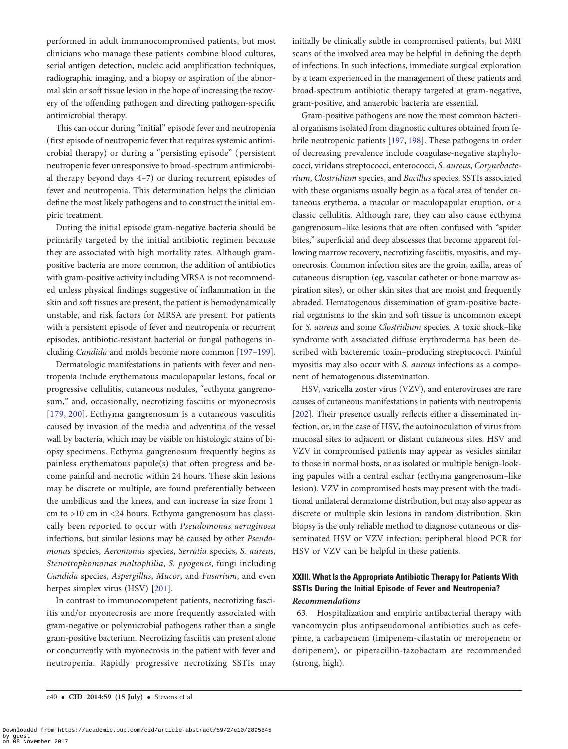performed in adult immunocompromised patients, but most clinicians who manage these patients combine blood cultures, serial antigen detection, nucleic acid amplification techniques, radiographic imaging, and a biopsy or aspiration of the abnormal skin or soft tissue lesion in the hope of increasing the recovery of the offending pathogen and directing pathogen-specific antimicrobial therapy.

This can occur during "initial" episode fever and neutropenia (first episode of neutropenic fever that requires systemic antimicrobial therapy) or during a "persisting episode" ( persistent neutropenic fever unresponsive to broad-spectrum antimicrobial therapy beyond days 4–7) or during recurrent episodes of fever and neutropenia. This determination helps the clinician define the most likely pathogens and to construct the initial empiric treatment.

During the initial episode gram-negative bacteria should be primarily targeted by the initial antibiotic regimen because they are associated with high mortality rates. Although grampositive bacteria are more common, the addition of antibiotics with gram-positive activity including MRSA is not recommended unless physical findings suggestive of inflammation in the skin and soft tissues are present, the patient is hemodynamically unstable, and risk factors for MRSA are present. For patients with a persistent episode of fever and neutropenia or recurrent episodes, antibiotic-resistant bacterial or fungal pathogens including Candida and molds become more common [\[197](#page-41-0)–[199\]](#page-41-0).

Dermatologic manifestations in patients with fever and neutropenia include erythematous maculopapular lesions, focal or progressive cellulitis, cutaneous nodules, "ecthyma gangrenosum," and, occasionally, necrotizing fasciitis or myonecrosis [\[179,](#page-40-0) [200](#page-41-0)]. Ecthyma gangrenosum is a cutaneous vasculitis caused by invasion of the media and adventitia of the vessel wall by bacteria, which may be visible on histologic stains of biopsy specimens. Ecthyma gangrenosum frequently begins as painless erythematous papule(s) that often progress and become painful and necrotic within 24 hours. These skin lesions may be discrete or multiple, are found preferentially between the umbilicus and the knees, and can increase in size from 1 cm to >10 cm in <24 hours. Ecthyma gangrenosum has classically been reported to occur with Pseudomonas aeruginosa infections, but similar lesions may be caused by other Pseudomonas species, Aeromonas species, Serratia species, S. aureus, Stenotrophomonas maltophilia, S. pyogenes, fungi including Candida species, Aspergillus, Mucor, and Fusarium, and even herpes simplex virus (HSV) [\[201](#page-41-0)].

In contrast to immunocompetent patients, necrotizing fasciitis and/or myonecrosis are more frequently associated with gram-negative or polymicrobial pathogens rather than a single gram-positive bacterium. Necrotizing fasciitis can present alone or concurrently with myonecrosis in the patient with fever and neutropenia. Rapidly progressive necrotizing SSTIs may initially be clinically subtle in compromised patients, but MRI scans of the involved area may be helpful in defining the depth of infections. In such infections, immediate surgical exploration by a team experienced in the management of these patients and broad-spectrum antibiotic therapy targeted at gram-negative, gram-positive, and anaerobic bacteria are essential.

Gram-positive pathogens are now the most common bacterial organisms isolated from diagnostic cultures obtained from febrile neutropenic patients [\[197,](#page-41-0) [198](#page-41-0)]. These pathogens in order of decreasing prevalence include coagulase-negative staphylococci, viridans streptococci, enterococci, S. aureus, Corynebacterium, Clostridium species, and Bacillus species. SSTIs associated with these organisms usually begin as a focal area of tender cutaneous erythema, a macular or maculopapular eruption, or a classic cellulitis. Although rare, they can also cause ecthyma gangrenosum–like lesions that are often confused with "spider bites," superficial and deep abscesses that become apparent following marrow recovery, necrotizing fasciitis, myositis, and myonecrosis. Common infection sites are the groin, axilla, areas of cutaneous disruption (eg, vascular catheter or bone marrow aspiration sites), or other skin sites that are moist and frequently abraded. Hematogenous dissemination of gram-positive bacterial organisms to the skin and soft tissue is uncommon except for S. aureus and some Clostridium species. A toxic shock–like syndrome with associated diffuse erythroderma has been described with bacteremic toxin–producing streptococci. Painful myositis may also occur with S. aureus infections as a component of hematogenous dissemination.

HSV, varicella zoster virus (VZV), and enteroviruses are rare causes of cutaneous manifestations in patients with neutropenia [\[202\]](#page-41-0). Their presence usually reflects either a disseminated infection, or, in the case of HSV, the autoinoculation of virus from mucosal sites to adjacent or distant cutaneous sites. HSV and VZV in compromised patients may appear as vesicles similar to those in normal hosts, or as isolated or multiple benign-looking papules with a central eschar (ecthyma gangrenosum–like lesion). VZV in compromised hosts may present with the traditional unilateral dermatome distribution, but may also appear as discrete or multiple skin lesions in random distribution. Skin biopsy is the only reliable method to diagnose cutaneous or disseminated HSV or VZV infection; peripheral blood PCR for HSV or VZV can be helpful in these patients.

## XXIII. What Is the Appropriate Antibiotic Therapy for Patients With SSTIs During the Initial Episode of Fever and Neutropenia? Recommendations

63. Hospitalization and empiric antibacterial therapy with vancomycin plus antipseudomonal antibiotics such as cefepime, a carbapenem (imipenem-cilastatin or meropenem or doripenem), or piperacillin-tazobactam are recommended (strong, high).

e40 • CID 2014:59 (15 July) • Stevens et al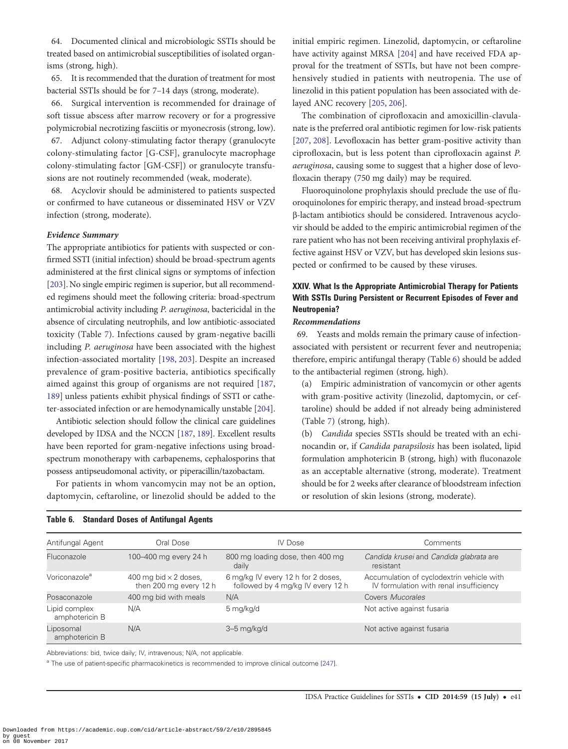<span id="page-31-0"></span>64. Documented clinical and microbiologic SSTIs should be treated based on antimicrobial susceptibilities of isolated organisms (strong, high).

65. It is recommended that the duration of treatment for most bacterial SSTIs should be for 7–14 days (strong, moderate).

66. Surgical intervention is recommended for drainage of soft tissue abscess after marrow recovery or for a progressive polymicrobial necrotizing fasciitis or myonecrosis (strong, low).

67. Adjunct colony-stimulating factor therapy (granulocyte colony-stimulating factor [G-CSF], granulocyte macrophage colony-stimulating factor [GM-CSF]) or granulocyte transfusions are not routinely recommended (weak, moderate).

68. Acyclovir should be administered to patients suspected or confirmed to have cutaneous or disseminated HSV or VZV infection (strong, moderate).

#### Evidence Summary

The appropriate antibiotics for patients with suspected or confirmed SSTI (initial infection) should be broad-spectrum agents administered at the first clinical signs or symptoms of infection [\[203\]](#page-41-0). No single empiric regimen is superior, but all recommended regimens should meet the following criteria: broad-spectrum antimicrobial activity including P. aeruginosa, bactericidal in the absence of circulating neutrophils, and low antibiotic-associated toxicity (Table [7\)](#page-32-0). Infections caused by gram-negative bacilli including P. aeruginosa have been associated with the highest infection-associated mortality [[198](#page-41-0), [203\]](#page-41-0). Despite an increased prevalence of gram-positive bacteria, antibiotics specifically aimed against this group of organisms are not required [[187,](#page-40-0) [189\]](#page-40-0) unless patients exhibit physical findings of SSTI or catheter-associated infection or are hemodynamically unstable [[204\]](#page-41-0).

Antibiotic selection should follow the clinical care guidelines developed by IDSA and the NCCN [\[187,](#page-40-0) [189](#page-40-0)]. Excellent results have been reported for gram-negative infections using broadspectrum monotherapy with carbapenems, cephalosporins that possess antipseudomonal activity, or piperacillin/tazobactam.

For patients in whom vancomycin may not be an option, daptomycin, ceftaroline, or linezolid should be added to the

Table 6. Standard Doses of Antifungal Agents

initial empiric regimen. Linezolid, daptomycin, or ceftaroline have activity against MRSA [[204\]](#page-41-0) and have received FDA approval for the treatment of SSTIs, but have not been comprehensively studied in patients with neutropenia. The use of linezolid in this patient population has been associated with delayed ANC recovery [[205](#page-41-0), [206](#page-41-0)].

The combination of ciprofloxacin and amoxicillin-clavulanate is the preferred oral antibiotic regimen for low-risk patients [\[207,](#page-41-0) [208](#page-41-0)]. Levofloxacin has better gram-positive activity than ciprofloxacin, but is less potent than ciprofloxacin against P. aeruginosa, causing some to suggest that a higher dose of levofloxacin therapy (750 mg daily) may be required.

Fluoroquinolone prophylaxis should preclude the use of fluoroquinolones for empiric therapy, and instead broad-spectrum β-lactam antibiotics should be considered. Intravenous acyclovir should be added to the empiric antimicrobial regimen of the rare patient who has not been receiving antiviral prophylaxis effective against HSV or VZV, but has developed skin lesions suspected or confirmed to be caused by these viruses.

## XXIV. What Is the Appropriate Antimicrobial Therapy for Patients With SSTIs During Persistent or Recurrent Episodes of Fever and Neutropenia?

#### Recommendations

69. Yeasts and molds remain the primary cause of infectionassociated with persistent or recurrent fever and neutropenia; therefore, empiric antifungal therapy (Table 6) should be added to the antibacterial regimen (strong, high).

(a) Empiric administration of vancomycin or other agents with gram-positive activity (linezolid, daptomycin, or ceftaroline) should be added if not already being administered (Table [7](#page-32-0)) (strong, high).

(b) Candida species SSTIs should be treated with an echinocandin or, if Candida parapsilosis has been isolated, lipid formulation amphotericin B (strong, high) with fluconazole as an acceptable alternative (strong, moderate). Treatment should be for 2 weeks after clearance of bloodstream infection or resolution of skin lesions (strong, moderate).

| Oral Dose                                              | <b>IV</b> Dose                                                          | Comments                                                                             |
|--------------------------------------------------------|-------------------------------------------------------------------------|--------------------------------------------------------------------------------------|
| 100-400 mg every 24 h                                  | 800 mg loading dose, then 400 mg<br>daily                               | Candida krusei and Candida glabrata are<br>resistant                                 |
| 400 mg bid $\times$ 2 doses,<br>then 200 mg every 12 h | 6 mg/kg IV every 12 h for 2 doses,<br>followed by 4 mg/kg IV every 12 h | Accumulation of cyclodextrin vehicle with<br>IV formulation with renal insufficiency |
| 400 mg bid with meals                                  | N/A                                                                     | Covers Mucorales                                                                     |
| N/A                                                    | 5 mg/kg/d                                                               | Not active against fusaria                                                           |
| N/A                                                    | $3-5$ mg/kg/d                                                           | Not active against fusaria                                                           |
|                                                        |                                                                         |                                                                                      |

Abbreviations: bid, twice daily; IV, intravenous; N/A, not applicable.

<sup>a</sup> The use of patient-specific pharmacokinetics is recommended to improve clinical outcome [\[247\]](#page-42-0).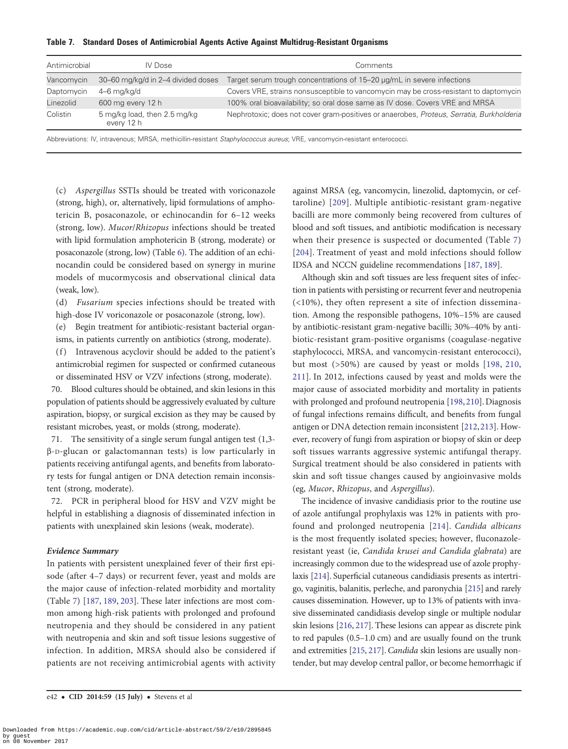<span id="page-32-0"></span>Table 7. Standard Doses of Antimicrobial Agents Active Against Multidrug-Resistant Organisms

| Antimicrobial | IV Dose                                    | Comments                                                                                 |
|---------------|--------------------------------------------|------------------------------------------------------------------------------------------|
| Vancomycin    | 30–60 mg/kg/d in 2–4 divided doses         | Target serum trough concentrations of 15-20 µg/mL in severe infections                   |
| Daptomycin    | $4-6$ mg/kg/d                              | Covers VRE, strains nonsusceptible to vancomycin may be cross-resistant to daptomycin    |
| Linezolid     | 600 mg every 12 h                          | 100% oral bioavailability; so oral dose same as IV dose. Covers VRE and MRSA             |
| Colistin      | 5 mg/kg load, then 2.5 mg/kg<br>every 12 h | Nephrotoxic; does not cover gram-positives or anaerobes, Proteus, Serratia, Burkholderia |

Abbreviations: IV, intravenous; MRSA, methicillin-resistant Staphylococcus aureus; VRE, vancomycin-resistant enterococci.

(c) Aspergillus SSTIs should be treated with voriconazole (strong, high), or, alternatively, lipid formulations of amphotericin B, posaconazole, or echinocandin for 6–12 weeks (strong, low). Mucor/Rhizopus infections should be treated with lipid formulation amphotericin B (strong, moderate) or posaconazole (strong, low) (Table [6\)](#page-31-0). The addition of an echinocandin could be considered based on synergy in murine models of mucormycosis and observational clinical data (weak, low).

(d) Fusarium species infections should be treated with high-dose IV voriconazole or posaconazole (strong, low).

- (e) Begin treatment for antibiotic-resistant bacterial organisms, in patients currently on antibiotics (strong, moderate).
- (f) Intravenous acyclovir should be added to the patient's antimicrobial regimen for suspected or confirmed cutaneous or disseminated HSV or VZV infections (strong, moderate).

70. Blood cultures should be obtained, and skin lesions in this population of patients should be aggressively evaluated by culture aspiration, biopsy, or surgical excision as they may be caused by resistant microbes, yeast, or molds (strong, moderate).

71. The sensitivity of a single serum fungal antigen test (1,3 β-D-glucan or galactomannan tests) is low particularly in patients receiving antifungal agents, and benefits from laboratory tests for fungal antigen or DNA detection remain inconsistent (strong, moderate).

72. PCR in peripheral blood for HSV and VZV might be helpful in establishing a diagnosis of disseminated infection in patients with unexplained skin lesions (weak, moderate).

#### Evidence Summary

In patients with persistent unexplained fever of their first episode (after 4–7 days) or recurrent fever, yeast and molds are the major cause of infection-related morbidity and mortality (Table 7) [\[187,](#page-40-0) [189,](#page-40-0) [203\]](#page-41-0). These later infections are most common among high-risk patients with prolonged and profound neutropenia and they should be considered in any patient with neutropenia and skin and soft tissue lesions suggestive of infection. In addition, MRSA should also be considered if patients are not receiving antimicrobial agents with activity

against MRSA (eg, vancomycin, linezolid, daptomycin, or ceftaroline) [[209](#page-41-0)]. Multiple antibiotic-resistant gram-negative bacilli are more commonly being recovered from cultures of blood and soft tissues, and antibiotic modification is necessary when their presence is suspected or documented (Table 7) [\[204](#page-41-0)]. Treatment of yeast and mold infections should follow IDSA and NCCN guideline recommendations [\[187,](#page-40-0) [189\]](#page-40-0).

Although skin and soft tissues are less frequent sites of infection in patients with persisting or recurrent fever and neutropenia (<10%), they often represent a site of infection dissemination. Among the responsible pathogens, 10%–15% are caused by antibiotic-resistant gram-negative bacilli; 30%–40% by antibiotic-resistant gram-positive organisms (coagulase-negative staphylococci, MRSA, and vancomycin-resistant enterococci), but most (>50%) are caused by yeast or molds [[198,](#page-41-0) [210,](#page-41-0) [211\]](#page-41-0). In 2012, infections caused by yeast and molds were the major cause of associated morbidity and mortality in patients with prolonged and profound neutropenia [\[198,](#page-41-0) [210](#page-41-0)]. Diagnosis of fungal infections remains difficult, and benefits from fungal antigen or DNA detection remain inconsistent [\[212](#page-41-0), [213](#page-41-0)]. However, recovery of fungi from aspiration or biopsy of skin or deep soft tissues warrants aggressive systemic antifungal therapy. Surgical treatment should be also considered in patients with skin and soft tissue changes caused by angioinvasive molds (eg, Mucor, Rhizopus, and Aspergillus).

The incidence of invasive candidiasis prior to the routine use of azole antifungal prophylaxis was 12% in patients with profound and prolonged neutropenia [\[214](#page-41-0)]. Candida albicans is the most frequently isolated species; however, fluconazoleresistant yeast (ie, Candida krusei and Candida glabrata) are increasingly common due to the widespread use of azole prophylaxis [\[214](#page-41-0)]. Superficial cutaneous candidiasis presents as intertrigo, vaginitis, balanitis, perleche, and paronychia [\[215\]](#page-41-0) and rarely causes dissemination. However, up to 13% of patients with invasive disseminated candidiasis develop single or multiple nodular skin lesions [[216,](#page-41-0) [217](#page-41-0)]. These lesions can appear as discrete pink to red papules (0.5–1.0 cm) and are usually found on the trunk and extremities [\[215,](#page-41-0) [217\]](#page-41-0). Candida skin lesions are usually nontender, but may develop central pallor, or become hemorrhagic if

e42 • CID 2014:59 (15 July) • Stevens et al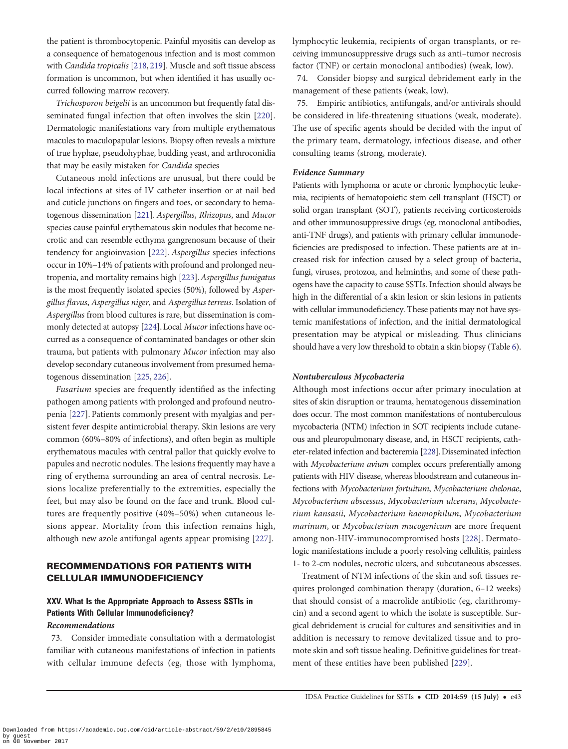the patient is thrombocytopenic. Painful myositis can develop as a consequence of hematogenous infection and is most common with Candida tropicalis [[218](#page-41-0), [219](#page-41-0)]. Muscle and soft tissue abscess formation is uncommon, but when identified it has usually occurred following marrow recovery.

Trichosporon beigelii is an uncommon but frequently fatal disseminated fungal infection that often involves the skin [[220\]](#page-41-0). Dermatologic manifestations vary from multiple erythematous macules to maculopapular lesions. Biopsy often reveals a mixture of true hyphae, pseudohyphae, budding yeast, and arthroconidia that may be easily mistaken for Candida species

Cutaneous mold infections are unusual, but there could be local infections at sites of IV catheter insertion or at nail bed and cuticle junctions on fingers and toes, or secondary to hematogenous dissemination [\[221](#page-41-0)]. Aspergillus, Rhizopus, and Mucor species cause painful erythematous skin nodules that become necrotic and can resemble ecthyma gangrenosum because of their tendency for angioinvasion [\[222\]](#page-41-0). Aspergillus species infections occur in 10%–14% of patients with profound and prolonged neutropenia, and mortality remains high [\[223](#page-41-0)].Aspergillus fumigatus is the most frequently isolated species (50%), followed by Aspergillus flavus, Aspergillus niger, and Aspergillus terreus. Isolation of Aspergillus from blood cultures is rare, but dissemination is commonly detected at autopsy [[224\]](#page-41-0). Local Mucor infections have occurred as a consequence of contaminated bandages or other skin trauma, but patients with pulmonary Mucor infection may also develop secondary cutaneous involvement from presumed hematogenous dissemination [\[225](#page-41-0), [226\]](#page-41-0).

Fusarium species are frequently identified as the infecting pathogen among patients with prolonged and profound neutropenia [\[227\]](#page-41-0). Patients commonly present with myalgias and persistent fever despite antimicrobial therapy. Skin lesions are very common (60%–80% of infections), and often begin as multiple erythematous macules with central pallor that quickly evolve to papules and necrotic nodules. The lesions frequently may have a ring of erythema surrounding an area of central necrosis. Lesions localize preferentially to the extremities, especially the feet, but may also be found on the face and trunk. Blood cultures are frequently positive (40%–50%) when cutaneous lesions appear. Mortality from this infection remains high, although new azole antifungal agents appear promising [[227\]](#page-41-0).

## RECOMMENDATIONS FOR PATIENTS WITH CELLULAR IMMUNODEFICIENCY

## XXV. What Is the Appropriate Approach to Assess SSTIs in Patients With Cellular Immunodeficiency?

#### Recommendations

73. Consider immediate consultation with a dermatologist familiar with cutaneous manifestations of infection in patients with cellular immune defects (eg, those with lymphoma, lymphocytic leukemia, recipients of organ transplants, or receiving immunosuppressive drugs such as anti–tumor necrosis factor (TNF) or certain monoclonal antibodies) (weak, low).

74. Consider biopsy and surgical debridement early in the management of these patients (weak, low).

75. Empiric antibiotics, antifungals, and/or antivirals should be considered in life-threatening situations (weak, moderate). The use of specific agents should be decided with the input of the primary team, dermatology, infectious disease, and other consulting teams (strong, moderate).

#### Evidence Summary

Patients with lymphoma or acute or chronic lymphocytic leukemia, recipients of hematopoietic stem cell transplant (HSCT) or solid organ transplant (SOT), patients receiving corticosteroids and other immunosuppressive drugs (eg, monoclonal antibodies, anti-TNF drugs), and patients with primary cellular immunodeficiencies are predisposed to infection. These patients are at increased risk for infection caused by a select group of bacteria, fungi, viruses, protozoa, and helminths, and some of these pathogens have the capacity to cause SSTIs. Infection should always be high in the differential of a skin lesion or skin lesions in patients with cellular immunodeficiency. These patients may not have systemic manifestations of infection, and the initial dermatological presentation may be atypical or misleading. Thus clinicians should have a very low threshold to obtain a skin biopsy (Table [6\)](#page-31-0).

#### Nontuberculous Mycobacteria

Although most infections occur after primary inoculation at sites of skin disruption or trauma, hematogenous dissemination does occur. The most common manifestations of nontuberculous mycobacteria (NTM) infection in SOT recipients include cutaneous and pleuropulmonary disease, and, in HSCT recipients, catheter-related infection and bacteremia [\[228\]](#page-41-0).Disseminated infection with Mycobacterium avium complex occurs preferentially among patients with HIV disease, whereas bloodstream and cutaneous infections with Mycobacterium fortuitum, Mycobacterium chelonae, Mycobacterium abscessus, Mycobacterium ulcerans, Mycobacterium kansasii, Mycobacterium haemophilum, Mycobacterium marinum, or Mycobacterium mucogenicum are more frequent among non-HIV-immunocompromised hosts [\[228\]](#page-41-0). Dermatologic manifestations include a poorly resolving cellulitis, painless 1- to 2-cm nodules, necrotic ulcers, and subcutaneous abscesses.

Treatment of NTM infections of the skin and soft tissues requires prolonged combination therapy (duration, 6–12 weeks) that should consist of a macrolide antibiotic (eg, clarithromycin) and a second agent to which the isolate is susceptible. Surgical debridement is crucial for cultures and sensitivities and in addition is necessary to remove devitalized tissue and to promote skin and soft tissue healing. Definitive guidelines for treatment of these entities have been published [[229\]](#page-41-0).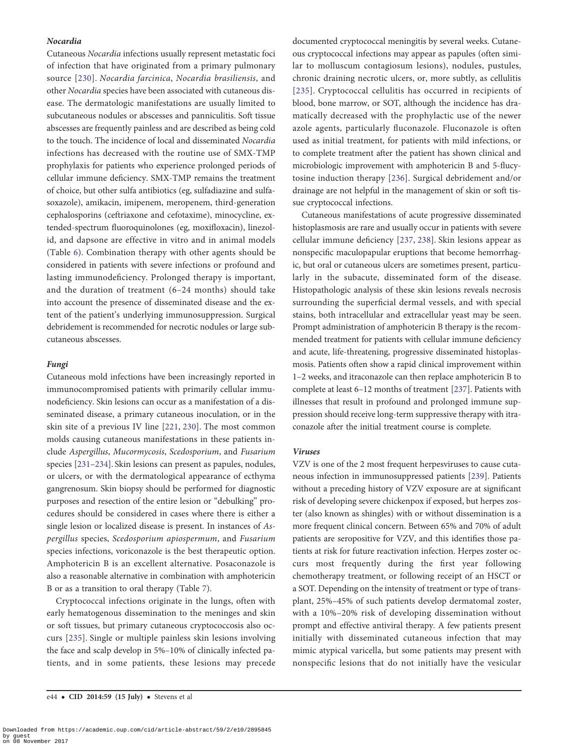#### Nocardia

Cutaneous Nocardia infections usually represent metastatic foci of infection that have originated from a primary pulmonary source [\[230\]](#page-41-0). Nocardia farcinica, Nocardia brasiliensis, and other Nocardia species have been associated with cutaneous disease. The dermatologic manifestations are usually limited to subcutaneous nodules or abscesses and panniculitis. Soft tissue abscesses are frequently painless and are described as being cold to the touch. The incidence of local and disseminated Nocardia infections has decreased with the routine use of SMX-TMP prophylaxis for patients who experience prolonged periods of cellular immune deficiency. SMX-TMP remains the treatment of choice, but other sulfa antibiotics (eg, sulfadiazine and sulfasoxazole), amikacin, imipenem, meropenem, third-generation cephalosporins (ceftriaxone and cefotaxime), minocycline, extended-spectrum fluoroquinolones (eg, moxifloxacin), linezolid, and dapsone are effective in vitro and in animal models (Table [6\)](#page-31-0). Combination therapy with other agents should be considered in patients with severe infections or profound and lasting immunodeficiency. Prolonged therapy is important, and the duration of treatment (6–24 months) should take into account the presence of disseminated disease and the extent of the patient's underlying immunosuppression. Surgical debridement is recommended for necrotic nodules or large subcutaneous abscesses.

#### Fungi

Cutaneous mold infections have been increasingly reported in immunocompromised patients with primarily cellular immunodeficiency. Skin lesions can occur as a manifestation of a disseminated disease, a primary cutaneous inoculation, or in the skin site of a previous IV line [[221,](#page-41-0) [230](#page-41-0)]. The most common molds causing cutaneous manifestations in these patients include Aspergillus, Mucormycosis, Scedosporium, and Fusarium species [[231](#page-41-0)–[234](#page-41-0)]. Skin lesions can present as papules, nodules, or ulcers, or with the dermatological appearance of ecthyma gangrenosum. Skin biopsy should be performed for diagnostic purposes and resection of the entire lesion or "debulking" procedures should be considered in cases where there is either a single lesion or localized disease is present. In instances of Aspergillus species, Scedosporium apiospermum, and Fusarium species infections, voriconazole is the best therapeutic option. Amphotericin B is an excellent alternative. Posaconazole is also a reasonable alternative in combination with amphotericin B or as a transition to oral therapy (Table [7\)](#page-32-0).

Cryptococcal infections originate in the lungs, often with early hematogenous dissemination to the meninges and skin or soft tissues, but primary cutaneous cryptococcosis also occurs [[235\]](#page-41-0). Single or multiple painless skin lesions involving the face and scalp develop in 5%–10% of clinically infected patients, and in some patients, these lesions may precede documented cryptococcal meningitis by several weeks. Cutaneous cryptococcal infections may appear as papules (often similar to molluscum contagiosum lesions), nodules, pustules, chronic draining necrotic ulcers, or, more subtly, as cellulitis [\[235\]](#page-41-0). Cryptococcal cellulitis has occurred in recipients of blood, bone marrow, or SOT, although the incidence has dramatically decreased with the prophylactic use of the newer azole agents, particularly fluconazole. Fluconazole is often used as initial treatment, for patients with mild infections, or to complete treatment after the patient has shown clinical and microbiologic improvement with amphotericin B and 5-flucytosine induction therapy [\[236](#page-41-0)]. Surgical debridement and/or drainage are not helpful in the management of skin or soft tissue cryptococcal infections.

Cutaneous manifestations of acute progressive disseminated histoplasmosis are rare and usually occur in patients with severe cellular immune deficiency [\[237](#page-42-0), [238\]](#page-42-0). Skin lesions appear as nonspecific maculopapular eruptions that become hemorrhagic, but oral or cutaneous ulcers are sometimes present, particularly in the subacute, disseminated form of the disease. Histopathologic analysis of these skin lesions reveals necrosis surrounding the superficial dermal vessels, and with special stains, both intracellular and extracellular yeast may be seen. Prompt administration of amphotericin B therapy is the recommended treatment for patients with cellular immune deficiency and acute, life-threatening, progressive disseminated histoplasmosis. Patients often show a rapid clinical improvement within 1–2 weeks, and itraconazole can then replace amphotericin B to complete at least 6–12 months of treatment [[237](#page-42-0)]. Patients with illnesses that result in profound and prolonged immune suppression should receive long-term suppressive therapy with itraconazole after the initial treatment course is complete.

#### Viruses

VZV is one of the 2 most frequent herpesviruses to cause cutaneous infection in immunosuppressed patients [[239](#page-42-0)]. Patients without a preceding history of VZV exposure are at significant risk of developing severe chickenpox if exposed, but herpes zoster (also known as shingles) with or without dissemination is a more frequent clinical concern. Between 65% and 70% of adult patients are seropositive for VZV, and this identifies those patients at risk for future reactivation infection. Herpes zoster occurs most frequently during the first year following chemotherapy treatment, or following receipt of an HSCT or a SOT. Depending on the intensity of treatment or type of transplant, 25%–45% of such patients develop dermatomal zoster, with a 10%–20% risk of developing dissemination without prompt and effective antiviral therapy. A few patients present initially with disseminated cutaneous infection that may mimic atypical varicella, but some patients may present with nonspecific lesions that do not initially have the vesicular

e44 • CID 2014:59 (15 July) • Stevens et al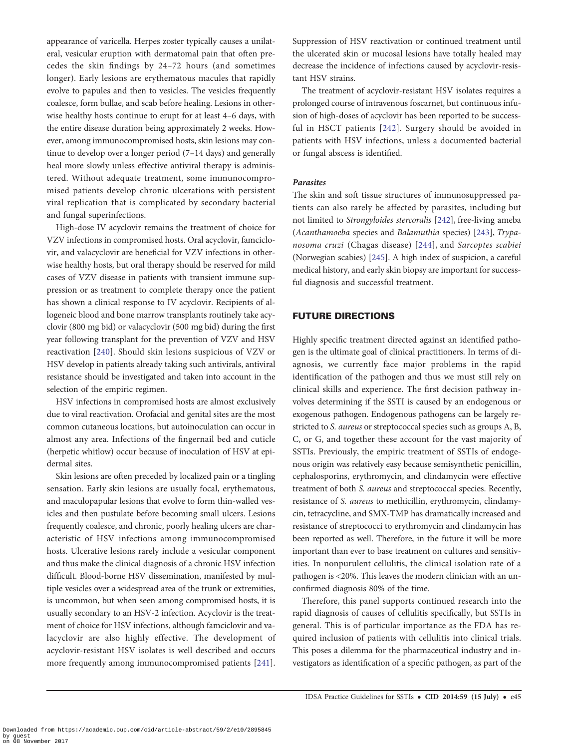appearance of varicella. Herpes zoster typically causes a unilateral, vesicular eruption with dermatomal pain that often precedes the skin findings by 24–72 hours (and sometimes longer). Early lesions are erythematous macules that rapidly evolve to papules and then to vesicles. The vesicles frequently coalesce, form bullae, and scab before healing. Lesions in otherwise healthy hosts continue to erupt for at least 4–6 days, with the entire disease duration being approximately 2 weeks. However, among immunocompromised hosts, skin lesions may continue to develop over a longer period (7–14 days) and generally heal more slowly unless effective antiviral therapy is administered. Without adequate treatment, some immunocompromised patients develop chronic ulcerations with persistent viral replication that is complicated by secondary bacterial and fungal superinfections.

High-dose IV acyclovir remains the treatment of choice for VZV infections in compromised hosts. Oral acyclovir, famciclovir, and valacyclovir are beneficial for VZV infections in otherwise healthy hosts, but oral therapy should be reserved for mild cases of VZV disease in patients with transient immune suppression or as treatment to complete therapy once the patient has shown a clinical response to IV acyclovir. Recipients of allogeneic blood and bone marrow transplants routinely take acyclovir (800 mg bid) or valacyclovir (500 mg bid) during the first year following transplant for the prevention of VZV and HSV reactivation [[240\]](#page-42-0). Should skin lesions suspicious of VZV or HSV develop in patients already taking such antivirals, antiviral resistance should be investigated and taken into account in the selection of the empiric regimen.

HSV infections in compromised hosts are almost exclusively due to viral reactivation. Orofacial and genital sites are the most common cutaneous locations, but autoinoculation can occur in almost any area. Infections of the fingernail bed and cuticle (herpetic whitlow) occur because of inoculation of HSV at epidermal sites.

Skin lesions are often preceded by localized pain or a tingling sensation. Early skin lesions are usually focal, erythematous, and maculopapular lesions that evolve to form thin-walled vesicles and then pustulate before becoming small ulcers. Lesions frequently coalesce, and chronic, poorly healing ulcers are characteristic of HSV infections among immunocompromised hosts. Ulcerative lesions rarely include a vesicular component and thus make the clinical diagnosis of a chronic HSV infection difficult. Blood-borne HSV dissemination, manifested by multiple vesicles over a widespread area of the trunk or extremities, is uncommon, but when seen among compromised hosts, it is usually secondary to an HSV-2 infection. Acyclovir is the treatment of choice for HSV infections, although famciclovir and valacyclovir are also highly effective. The development of acyclovir-resistant HSV isolates is well described and occurs more frequently among immunocompromised patients [[241\]](#page-42-0).

Suppression of HSV reactivation or continued treatment until the ulcerated skin or mucosal lesions have totally healed may decrease the incidence of infections caused by acyclovir-resistant HSV strains.

The treatment of acyclovir-resistant HSV isolates requires a prolonged course of intravenous foscarnet, but continuous infusion of high-doses of acyclovir has been reported to be successful in HSCT patients [[242](#page-42-0)]. Surgery should be avoided in patients with HSV infections, unless a documented bacterial or fungal abscess is identified.

#### **Parasites**

The skin and soft tissue structures of immunosuppressed patients can also rarely be affected by parasites, including but not limited to Strongyloides stercoralis [\[242](#page-42-0)], free-living ameba (Acanthamoeba species and Balamuthia species) [\[243\]](#page-42-0), Trypanosoma cruzi (Chagas disease) [\[244\]](#page-42-0), and Sarcoptes scabiei (Norwegian scabies) [[245](#page-42-0)]. A high index of suspicion, a careful medical history, and early skin biopsy are important for successful diagnosis and successful treatment.

#### FUTURE DIRECTIONS

Highly specific treatment directed against an identified pathogen is the ultimate goal of clinical practitioners. In terms of diagnosis, we currently face major problems in the rapid identification of the pathogen and thus we must still rely on clinical skills and experience. The first decision pathway involves determining if the SSTI is caused by an endogenous or exogenous pathogen. Endogenous pathogens can be largely restricted to S. aureus or streptococcal species such as groups A, B, C, or G, and together these account for the vast majority of SSTIs. Previously, the empiric treatment of SSTIs of endogenous origin was relatively easy because semisynthetic penicillin, cephalosporins, erythromycin, and clindamycin were effective treatment of both S. aureus and streptococcal species. Recently, resistance of S. aureus to methicillin, erythromycin, clindamycin, tetracycline, and SMX-TMP has dramatically increased and resistance of streptococci to erythromycin and clindamycin has been reported as well. Therefore, in the future it will be more important than ever to base treatment on cultures and sensitivities. In nonpurulent cellulitis, the clinical isolation rate of a pathogen is <20%. This leaves the modern clinician with an unconfirmed diagnosis 80% of the time.

Therefore, this panel supports continued research into the rapid diagnosis of causes of cellulitis specifically, but SSTIs in general. This is of particular importance as the FDA has required inclusion of patients with cellulitis into clinical trials. This poses a dilemma for the pharmaceutical industry and investigators as identification of a specific pathogen, as part of the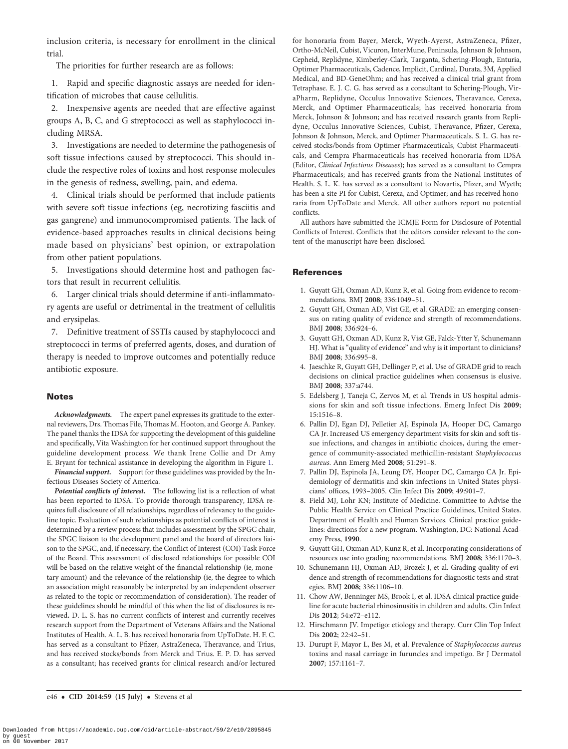<span id="page-36-0"></span>inclusion criteria, is necessary for enrollment in the clinical trial.

The priorities for further research are as follows:

1. Rapid and specific diagnostic assays are needed for identification of microbes that cause cellulitis.

2. Inexpensive agents are needed that are effective against groups A, B, C, and G streptococci as well as staphylococci including MRSA.

3. Investigations are needed to determine the pathogenesis of soft tissue infections caused by streptococci. This should include the respective roles of toxins and host response molecules in the genesis of redness, swelling, pain, and edema.

4. Clinical trials should be performed that include patients with severe soft tissue infections (eg, necrotizing fasciitis and gas gangrene) and immunocompromised patients. The lack of evidence-based approaches results in clinical decisions being made based on physicians' best opinion, or extrapolation from other patient populations.

5. Investigations should determine host and pathogen factors that result in recurrent cellulitis.

6. Larger clinical trials should determine if anti-inflammatory agents are useful or detrimental in the treatment of cellulitis and erysipelas.

7. Definitive treatment of SSTIs caused by staphylococci and streptococci in terms of preferred agents, doses, and duration of therapy is needed to improve outcomes and potentially reduce antibiotic exposure.

#### **Notes**

Acknowledgments. The expert panel expresses its gratitude to the external reviewers, Drs. Thomas File, Thomas M. Hooton, and George A. Pankey. The panel thanks the IDSA for supporting the development of this guideline and specifically, Vita Washington for her continued support throughout the guideline development process. We thank Irene Collie and Dr Amy E. Bryant for technical assistance in developing the algorithm in Figure [1.](#page-1-0)

Financial support. Support for these guidelines was provided by the Infectious Diseases Society of America.

Potential conflicts of interest. The following list is a reflection of what has been reported to IDSA. To provide thorough transparency, IDSA requires full disclosure of all relationships, regardless of relevancy to the guideline topic. Evaluation of such relationships as potential conflicts of interest is determined by a review process that includes assessment by the SPGC chair, the SPGC liaison to the development panel and the board of directors liaison to the SPGC, and, if necessary, the Conflict of Interest (COI) Task Force of the Board. This assessment of disclosed relationships for possible COI will be based on the relative weight of the financial relationship (ie, monetary amount) and the relevance of the relationship (ie, the degree to which an association might reasonably be interpreted by an independent observer as related to the topic or recommendation of consideration). The reader of these guidelines should be mindful of this when the list of disclosures is reviewed. D. L. S. has no current conflicts of interest and currently receives research support from the Department of Veterans Affairs and the National Institutes of Health. A. L. B. has received honoraria from UpToDate. H. F. C. has served as a consultant to Pfizer, AstraZeneca, Theravance, and Trius, and has received stocks/bonds from Merck and Trius. E. P. D. has served as a consultant; has received grants for clinical research and/or lectured for honoraria from Bayer, Merck, Wyeth-Ayerst, AstraZeneca, Pfizer, Ortho-McNeil, Cubist, Vicuron, InterMune, Peninsula, Johnson & Johnson, Cepheid, Replidyne, Kimberley-Clark, Targanta, Schering-Plough, Enturia, Optimer Pharmaceuticals, Cadence, Implicit, Cardinal, Durata, 3M, Applied Medical, and BD-GeneOhm; and has received a clinical trial grant from Tetraphase. E. J. C. G. has served as a consultant to Schering-Plough, ViraPharm, Replidyne, Occulus Innovative Sciences, Theravance, Cerexa, Merck, and Optimer Pharmaceuticals; has received honoraria from Merck, Johnson & Johnson; and has received research grants from Replidyne, Occulus Innovative Sciences, Cubist, Theravance, Pfizer, Cerexa, Johnson & Johnson, Merck, and Optimer Pharmaceuticals. S. L. G. has received stocks/bonds from Optimer Pharmaceuticals, Cubist Pharmaceuticals, and Cempra Pharmaceuticals has received honoraria from IDSA (Editor, Clinical Infectious Diseases); has served as a consultant to Cempra Pharmaceuticals; and has received grants from the National Institutes of Health. S. L. K. has served as a consultant to Novartis, Pfizer, and Wyeth; has been a site PI for Cubist, Cerexa, and Optimer; and has received honoraria from UpToDate and Merck. All other authors report no potential conflicts.

All authors have submitted the ICMJE Form for Disclosure of Potential Conflicts of Interest. Conflicts that the editors consider relevant to the content of the manuscript have been disclosed.

#### **References**

- 1. Guyatt GH, Oxman AD, Kunz R, et al. Going from evidence to recommendations. BMJ 2008; 336:1049–51.
- 2. Guyatt GH, Oxman AD, Vist GE, et al. GRADE: an emerging consensus on rating quality of evidence and strength of recommendations. BMJ 2008; 336:924–6.
- 3. Guyatt GH, Oxman AD, Kunz R, Vist GE, Falck-Ytter Y, Schunemann HJ. What is "quality of evidence" and why is it important to clinicians? BMJ 2008; 336:995–8.
- 4. Jaeschke R, Guyatt GH, Dellinger P, et al. Use of GRADE grid to reach decisions on clinical practice guidelines when consensus is elusive. BMJ 2008; 337:a744.
- 5. Edelsberg J, Taneja C, Zervos M, et al. Trends in US hospital admissions for skin and soft tissue infections. Emerg Infect Dis 2009; 15:1516–8.
- 6. Pallin DJ, Egan DJ, Pelletier AJ, Espinola JA, Hooper DC, Camargo CA Jr. Increased US emergency department visits for skin and soft tissue infections, and changes in antibiotic choices, during the emergence of community-associated methicillin-resistant Staphylococcus aureus. Ann Emerg Med 2008; 51:291–8.
- 7. Pallin DJ, Espinola JA, Leung DY, Hooper DC, Camargo CA Jr. Epidemiology of dermatitis and skin infections in United States physicians' offices, 1993–2005. Clin Infect Dis 2009; 49:901–7.
- 8. Field MJ, Lohr KN; Institute of Medicine. Committee to Advise the Public Health Service on Clinical Practice Guidelines, United States. Department of Health and Human Services. Clinical practice guidelines: directions for a new program. Washington, DC: National Academy Press, 1990.
- 9. Guyatt GH, Oxman AD, Kunz R, et al. Incorporating considerations of resources use into grading recommendations. BMJ 2008; 336:1170–3.
- 10. Schunemann HJ, Oxman AD, Brozek J, et al. Grading quality of evidence and strength of recommendations for diagnostic tests and strategies. BMJ 2008; 336:1106–10.
- 11. Chow AW, Benninger MS, Brook I, et al. IDSA clinical practice guideline for acute bacterial rhinosinusitis in children and adults. Clin Infect Dis 2012; 54:e72–e112.
- 12. Hirschmann JV. Impetigo: etiology and therapy. Curr Clin Top Infect Dis 2002; 22:42–51.
- 13. Durupt F, Mayor L, Bes M, et al. Prevalence of Staphylococcus aureus toxins and nasal carriage in furuncles and impetigo. Br J Dermatol 2007; 157:1161–7.

e46 • CID 2014:59 (15 July) • Stevens et al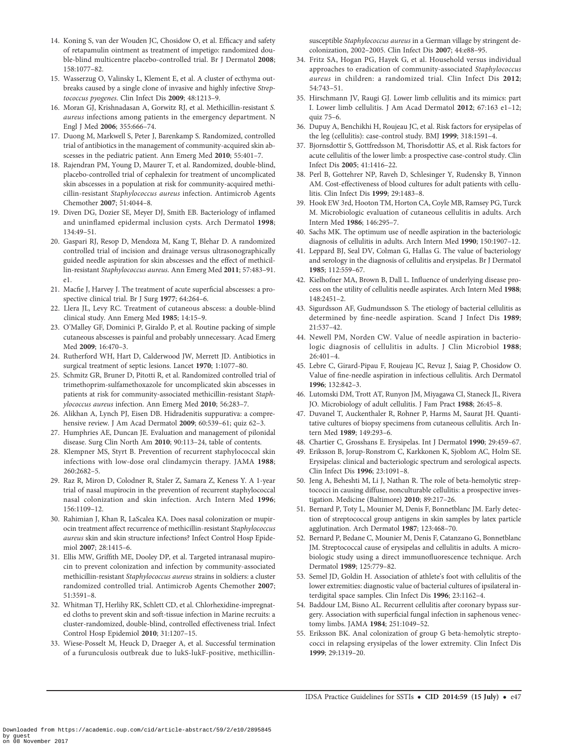- <span id="page-37-0"></span>14. Koning S, van der Wouden JC, Chosidow O, et al. Efficacy and safety of retapamulin ointment as treatment of impetigo: randomized double-blind multicentre placebo-controlled trial. Br J Dermatol 2008; 158:1077–82.
- 15. Wasserzug O, Valinsky L, Klement E, et al. A cluster of ecthyma outbreaks caused by a single clone of invasive and highly infective Streptococcus pyogenes. Clin Infect Dis 2009; 48:1213–9.
- 16. Moran GJ, Krishnadasan A, Gorwitz RJ, et al. Methicillin-resistant S. aureus infections among patients in the emergency department. N Engl J Med 2006; 355:666–74.
- 17. Duong M, Markwell S, Peter J, Barenkamp S. Randomized, controlled trial of antibiotics in the management of community-acquired skin abscesses in the pediatric patient. Ann Emerg Med 2010; 55:401–7.
- 18. Rajendran PM, Young D, Maurer T, et al. Randomized, double-blind, placebo-controlled trial of cephalexin for treatment of uncomplicated skin abscesses in a population at risk for community-acquired methicillin-resistant Staphylococcus aureus infection. Antimicrob Agents Chemother 2007; 51:4044–8.
- 19. Diven DG, Dozier SE, Meyer DJ, Smith EB. Bacteriology of inflamed and uninflamed epidermal inclusion cysts. Arch Dermatol 1998; 134:49–51.
- 20. Gaspari RJ, Resop D, Mendoza M, Kang T, Blehar D. A randomized controlled trial of incision and drainage versus ultrasonographically guided needle aspiration for skin abscesses and the effect of methicillin-resistant Staphylococcus aureus. Ann Emerg Med 2011; 57:483–91. e1.
- 21. Macfie J, Harvey J. The treatment of acute superficial abscesses: a prospective clinical trial. Br J Surg 1977; 64:264-6.
- 22. Llera JL, Levy RC. Treatment of cutaneous abscess: a double-blind clinical study. Ann Emerg Med 1985; 14:15–9.
- 23. O'Malley GF, Dominici P, Giraldo P, et al. Routine packing of simple cutaneous abscesses is painful and probably unnecessary. Acad Emerg Med 2009; 16:470–3.
- 24. Rutherford WH, Hart D, Calderwood JW, Merrett JD. Antibiotics in surgical treatment of septic lesions. Lancet 1970; 1:1077–80.
- 25. Schmitz GR, Bruner D, Pitotti R, et al. Randomized controlled trial of trimethoprim-sulfamethoxazole for uncomplicated skin abscesses in patients at risk for community-associated methicillin-resistant Staphylococcus aureus infection. Ann Emerg Med 2010; 56:283–7.
- 26. Alikhan A, Lynch PJ, Eisen DB. Hidradenitis suppurativa: a comprehensive review. J Am Acad Dermatol 2009; 60:539-61; quiz 62-3.
- 27. Humphries AE, Duncan JE. Evaluation and management of pilonidal disease. Surg Clin North Am 2010; 90:113–24, table of contents.
- 28. Klempner MS, Styrt B. Prevention of recurrent staphylococcal skin infections with low-dose oral clindamycin therapy. JAMA 1988; 260:2682–5.
- 29. Raz R, Miron D, Colodner R, Staler Z, Samara Z, Keness Y. A 1-year trial of nasal mupirocin in the prevention of recurrent staphylococcal nasal colonization and skin infection. Arch Intern Med 1996; 156:1109–12.
- 30. Rahimian J, Khan R, LaScalea KA. Does nasal colonization or mupirocin treatment affect recurrence of methicillin-resistant Staphylococcus aureus skin and skin structure infections? Infect Control Hosp Epidemiol 2007; 28:1415–6.
- 31. Ellis MW, Griffith ME, Dooley DP, et al. Targeted intranasal mupirocin to prevent colonization and infection by community-associated methicillin-resistant Staphylococcus aureus strains in soldiers: a cluster randomized controlled trial. Antimicrob Agents Chemother 2007; 51:3591–8.
- 32. Whitman TJ, Herlihy RK, Schlett CD, et al. Chlorhexidine-impregnated cloths to prevent skin and soft-tissue infection in Marine recruits: a cluster-randomized, double-blind, controlled effectiveness trial. Infect Control Hosp Epidemiol 2010; 31:1207–15.
- 33. Wiese-Posselt M, Heuck D, Draeger A, et al. Successful termination of a furunculosis outbreak due to lukS-lukF-positive, methicillin-

susceptible Staphylococcus aureus in a German village by stringent decolonization, 2002–2005. Clin Infect Dis 2007; 44:e88–95.

- 34. Fritz SA, Hogan PG, Hayek G, et al. Household versus individual approaches to eradication of community-associated Staphylococcus aureus in children: a randomized trial. Clin Infect Dis 2012; 54:743–51.
- 35. Hirschmann JV, Raugi GJ. Lower limb cellulitis and its mimics: part I. Lower limb cellulitis. J Am Acad Dermatol 2012; 67:163 e1–12; quiz 75–6.
- 36. Dupuy A, Benchikhi H, Roujeau JC, et al. Risk factors for erysipelas of the leg (cellulitis): case-control study. BMJ 1999; 318:1591–4.
- 37. Bjornsdottir S, Gottfredsson M, Thorisdottir AS, et al. Risk factors for acute cellulitis of the lower limb: a prospective case-control study. Clin Infect Dis 2005; 41:1416–22.
- 38. Perl B, Gottehrer NP, Raveh D, Schlesinger Y, Rudensky B, Yinnon AM. Cost-effectiveness of blood cultures for adult patients with cellulitis. Clin Infect Dis 1999; 29:1483–8.
- 39. Hook EW 3rd, Hooton TM, Horton CA, Coyle MB, Ramsey PG, Turck M. Microbiologic evaluation of cutaneous cellulitis in adults. Arch Intern Med 1986; 146:295–7.
- 40. Sachs MK. The optimum use of needle aspiration in the bacteriologic diagnosis of cellulitis in adults. Arch Intern Med 1990; 150:1907–12.
- 41. Leppard BJ, Seal DV, Colman G, Hallas G. The value of bacteriology and serology in the diagnosis of cellulitis and erysipelas. Br J Dermatol 1985; 112:559–67.
- 42. Kielhofner MA, Brown B, Dall L. Influence of underlying disease process on the utility of cellulitis needle aspirates. Arch Intern Med 1988; 148:2451–2.
- 43. Sigurdsson AF, Gudmundsson S. The etiology of bacterial cellulitis as determined by fine-needle aspiration. Scand J Infect Dis 1989; 21:537–42.
- 44. Newell PM, Norden CW. Value of needle aspiration in bacteriologic diagnosis of cellulitis in adults. J Clin Microbiol 1988; 26:401–4.
- 45. Lebre C, Girard-Pipau F, Roujeau JC, Revuz J, Saiag P, Chosidow O. Value of fine-needle aspiration in infectious cellulitis. Arch Dermatol 1996; 132:842–3.
- 46. Lutomski DM, Trott AT, Runyon JM, Miyagawa CI, Staneck JL, Rivera JO. Microbiology of adult cellulitis. J Fam Pract 1988; 26:45–8.
- 47. Duvanel T, Auckenthaler R, Rohner P, Harms M, Saurat JH. Quantitative cultures of biopsy specimens from cutaneous cellulitis. Arch Intern Med 1989; 149:293–6.
- 48. Chartier C, Grosshans E. Erysipelas. Int J Dermatol 1990; 29:459–67.
- 49. Eriksson B, Jorup-Ronstrom C, Karkkonen K, Sjoblom AC, Holm SE. Erysipelas: clinical and bacteriologic spectrum and serological aspects. Clin Infect Dis 1996; 23:1091–8.
- 50. Jeng A, Beheshti M, Li J, Nathan R. The role of beta-hemolytic streptococci in causing diffuse, nonculturable cellulitis: a prospective investigation. Medicine (Baltimore) 2010; 89:217–26.
- 51. Bernard P, Toty L, Mounier M, Denis F, Bonnetblanc JM. Early detection of streptococcal group antigens in skin samples by latex particle agglutination. Arch Dermatol 1987; 123:468–70.
- 52. Bernard P, Bedane C, Mounier M, Denis F, Catanzano G, Bonnetblanc JM. Streptococcal cause of erysipelas and cellulitis in adults. A microbiologic study using a direct immunofluorescence technique. Arch Dermatol 1989; 125:779–82.
- 53. Semel JD, Goldin H. Association of athlete's foot with cellulitis of the lower extremities: diagnostic value of bacterial cultures of ipsilateral interdigital space samples. Clin Infect Dis 1996; 23:1162–4.
- 54. Baddour LM, Bisno AL. Recurrent cellulitis after coronary bypass surgery. Association with superficial fungal infection in saphenous venectomy limbs. JAMA 1984; 251:1049–52.
- 55. Eriksson BK. Anal colonization of group G beta-hemolytic streptococci in relapsing erysipelas of the lower extremity. Clin Infect Dis 1999; 29:1319–20.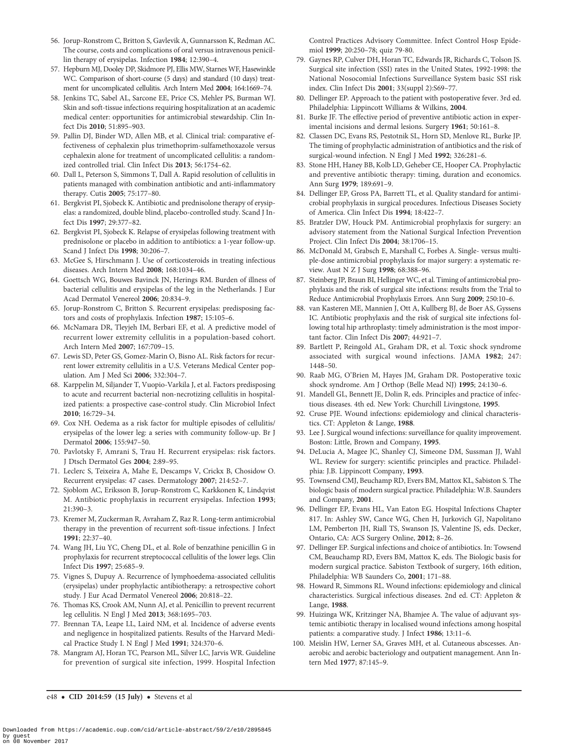- <span id="page-38-0"></span>56. Jorup-Ronstrom C, Britton S, Gavlevik A, Gunnarsson K, Redman AC. The course, costs and complications of oral versus intravenous penicillin therapy of erysipelas. Infection 1984; 12:390–4.
- 57. Hepburn MJ, Dooley DP, Skidmore PJ, Ellis MW, Starnes WF, Hasewinkle WC. Comparison of short-course (5 days) and standard (10 days) treatment for uncomplicated cellulitis. Arch Intern Med 2004; 164:1669–74.
- 58. Jenkins TC, Sabel AL, Sarcone EE, Price CS, Mehler PS, Burman WJ. Skin and soft-tissue infections requiring hospitalization at an academic medical center: opportunities for antimicrobial stewardship. Clin Infect Dis 2010; 51:895–903.
- 59. Pallin DJ, Binder WD, Allen MB, et al. Clinical trial: comparative effectiveness of cephalexin plus trimethoprim-sulfamethoxazole versus cephalexin alone for treatment of uncomplicated cellulitis: a randomized controlled trial. Clin Infect Dis 2013; 56:1754–62.
- 60. Dall L, Peterson S, Simmons T, Dall A. Rapid resolution of cellulitis in patients managed with combination antibiotic and anti-inflammatory therapy. Cutis 2005; 75:177–80.
- 61. Bergkvist PI, Sjobeck K. Antibiotic and prednisolone therapy of erysipelas: a randomized, double blind, placebo-controlled study. Scand J Infect Dis 1997; 29:377–82.
- 62. Bergkvist PI, Sjobeck K. Relapse of erysipelas following treatment with prednisolone or placebo in addition to antibiotics: a 1-year follow-up. Scand J Infect Dis 1998; 30:206–7.
- 63. McGee S, Hirschmann J. Use of corticosteroids in treating infectious diseases. Arch Intern Med 2008; 168:1034–46.
- 64. Goettsch WG, Bouwes Bavinck JN, Herings RM. Burden of illness of bacterial cellulitis and erysipelas of the leg in the Netherlands. J Eur Acad Dermatol Venereol 2006; 20:834–9.
- 65. Jorup-Ronstrom C, Britton S. Recurrent erysipelas: predisposing factors and costs of prophylaxis. Infection 1987; 15:105–6.
- 66. McNamara DR, Tleyjeh IM, Berbari EF, et al. A predictive model of recurrent lower extremity cellulitis in a population-based cohort. Arch Intern Med 2007; 167:709–15.
- 67. Lewis SD, Peter GS, Gomez-Marin O, Bisno AL. Risk factors for recurrent lower extremity cellulitis in a U.S. Veterans Medical Center population. Am J Med Sci 2006; 332:304–7.
- 68. Karppelin M, Siljander T, Vuopio-Varkila J, et al. Factors predisposing to acute and recurrent bacterial non-necrotizing cellulitis in hospitalized patients: a prospective case-control study. Clin Microbiol Infect 2010; 16:729–34.
- 69. Cox NH. Oedema as a risk factor for multiple episodes of cellulitis/ erysipelas of the lower leg: a series with community follow-up. Br J Dermatol 2006; 155:947–50.
- 70. Pavlotsky F, Amrani S, Trau H. Recurrent erysipelas: risk factors. J Dtsch Dermatol Ges 2004; 2:89–95.
- 71. Leclerc S, Teixeira A, Mahe E, Descamps V, Crickx B, Chosidow O. Recurrent erysipelas: 47 cases. Dermatology 2007; 214:52–7.
- 72. Sjoblom AC, Eriksson B, Jorup-Ronstrom C, Karkkonen K, Lindqvist M. Antibiotic prophylaxis in recurrent erysipelas. Infection 1993; 21:390–3.
- 73. Kremer M, Zuckerman R, Avraham Z, Raz R. Long-term antimicrobial therapy in the prevention of recurrent soft-tissue infections. J Infect 1991; 22:37–40.
- 74. Wang JH, Liu YC, Cheng DL, et al. Role of benzathine penicillin G in prophylaxis for recurrent streptococcal cellulitis of the lower legs. Clin Infect Dis 1997; 25:685–9.
- 75. Vignes S, Dupuy A. Recurrence of lymphoedema-associated cellulitis (erysipelas) under prophylactic antibiotherapy: a retrospective cohort study. J Eur Acad Dermatol Venereol 2006; 20:818–22.
- 76. Thomas KS, Crook AM, Nunn AJ, et al. Penicillin to prevent recurrent leg cellulitis. N Engl J Med 2013; 368:1695–703.
- 77. Brennan TA, Leape LL, Laird NM, et al. Incidence of adverse events and negligence in hospitalized patients. Results of the Harvard Medical Practice Study I. N Engl J Med 1991; 324:370–6.
- 78. Mangram AJ, Horan TC, Pearson ML, Silver LC, Jarvis WR. Guideline for prevention of surgical site infection, 1999. Hospital Infection

Control Practices Advisory Committee. Infect Control Hosp Epidemiol 1999; 20:250–78; quiz 79-80.

- 79. Gaynes RP, Culver DH, Horan TC, Edwards JR, Richards C, Tolson JS. Surgical site infection (SSI) rates in the United States, 1992-1998: the National Nosocomial Infections Surveillance System basic SSI risk index. Clin Infect Dis 2001; 33(suppl 2):S69–77.
- 80. Dellinger EP. Approach to the patient with postoperative fever. 3rd ed. Philadelphia: Lippincott Williams & Wilkins, 2004.
- 81. Burke JF. The effective period of preventive antibiotic action in experimental incisions and dermal lesions. Surgery 1961; 50:161–8.
- 82. Classen DC, Evans RS, Pestotnik SL, Horn SD, Menlove RL, Burke JP. The timing of prophylactic administration of antibiotics and the risk of surgical-wound infection. N Engl J Med 1992; 326:281–6.
- 83. Stone HH, Haney BB, Kolb LD, Geheber CE, Hooper CA. Prophylactic and preventive antibiotic therapy: timing, duration and economics. Ann Surg 1979; 189:691–9.
- 84. Dellinger EP, Gross PA, Barrett TL, et al. Quality standard for antimicrobial prophylaxis in surgical procedures. Infectious Diseases Society of America. Clin Infect Dis 1994; 18:422–7.
- 85. Bratzler DW, Houck PM. Antimicrobial prophylaxis for surgery: an advisory statement from the National Surgical Infection Prevention Project. Clin Infect Dis 2004; 38:1706–15.
- 86. McDonald M, Grabsch E, Marshall C, Forbes A. Single- versus multiple-dose antimicrobial prophylaxis for major surgery: a systematic review. Aust N Z J Surg 1998; 68:388–96.
- 87. Steinberg JP, Braun BI, Hellinger WC, et al. Timing of antimicrobial prophylaxis and the risk of surgical site infections: results from the Trial to Reduce Antimicrobial Prophylaxis Errors. Ann Surg 2009; 250:10–6.
- 88. van Kasteren ME, Mannien J, Ott A, Kullberg BJ, de Boer AS, Gyssens IC. Antibiotic prophylaxis and the risk of surgical site infections following total hip arthroplasty: timely administration is the most important factor. Clin Infect Dis 2007; 44:921–7.
- 89. Bartlett P, Reingold AL, Graham DR, et al. Toxic shock syndrome associated with surgical wound infections. JAMA 1982; 247: 1448–50.
- 90. Raab MG, O'Brien M, Hayes JM, Graham DR. Postoperative toxic shock syndrome. Am J Orthop (Belle Mead NJ) 1995; 24:130–6.
- 91. Mandell GL, Bennett JE, Dolin R, eds. Principles and practice of infectious diseases. 4th ed. New York: Churchill Livingstone, 1995.
- 92. Cruse PJE. Wound infections: epidemiology and clinical characteristics. CT: Appleton & Lange, 1988.
- 93. Lee J. Surgical wound infections: surveillance for quality improvement. Boston: Little, Brown and Company, 1995.
- 94. DeLucia A, Magee JC, Shanley CJ, Simeone DM, Sussman JJ, Wahl WL. Review for surgery: scientific principles and practice. Philadelphia: J.B. Lippincott Company, 1993.
- 95. Townsend CMJ, Beuchamp RD, Evers BM, Mattox KL, Sabiston S. The biologic basis of modern surgical practice. Philadelphia: W.B. Saunders and Company, 2001.
- 96. Dellinger EP, Evans HL, Van Eaton EG. Hospital Infections Chapter 817. In: Ashley SW, Cance WG, Chen H, Jurkovich GJ, Napolitano LM, Pemberton JH, Riall TS, Swanson JS, Valentine JS, eds. Decker, Ontario, CA: ACS Surgery Online, 2012; 8–26.
- 97. Dellinger EP. Surgical infections and choice of antibiotics. In: Towsend CM, Beauchamp RD, Evers BM, Mattox K, eds. The Biologic basis for modern surgical practice. Sabiston Textbook of surgery, 16th edition, Philadelphia: WB Saunders Co, 2001; 171–88.
- 98. Howard R, Simmons RL. Wound infections: epidemiology and clinical characteristics. Surgical infectious diseases. 2nd ed. CT: Appleton & Lange, 1988.
- 99. Huizinga WK, Kritzinger NA, Bhamjee A. The value of adjuvant systemic antibiotic therapy in localised wound infections among hospital patients: a comparative study. J Infect 1986; 13:11–6.
- 100. Meislin HW, Lerner SA, Graves MH, et al. Cutaneous abscesses. Anaerobic and aerobic bacteriology and outpatient management. Ann Intern Med 1977; 87:145–9.

e48 • CID 2014:59 (15 July) • Stevens et al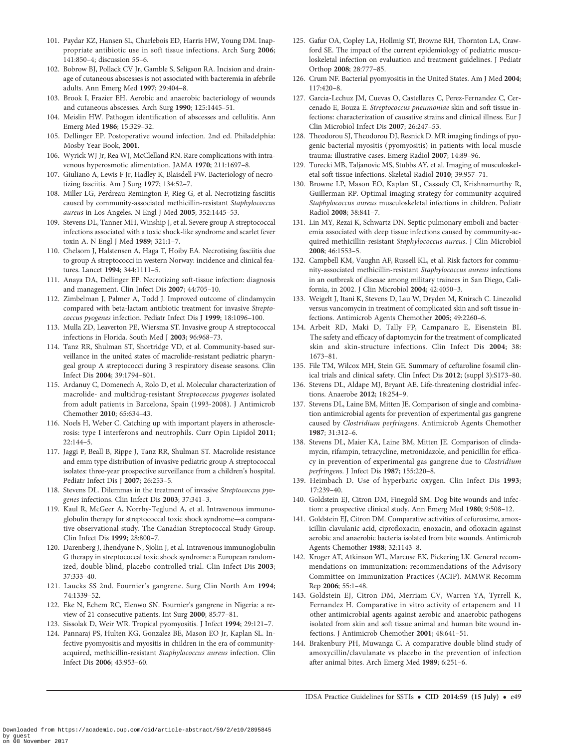- <span id="page-39-0"></span>101. Paydar KZ, Hansen SL, Charlebois ED, Harris HW, Young DM. Inappropriate antibiotic use in soft tissue infections. Arch Surg 2006; 141:850–4; discussion 55–6.
- 102. Bobrow BJ, Pollack CV Jr, Gamble S, Seligson RA. Incision and drainage of cutaneous abscesses is not associated with bacteremia in afebrile adults. Ann Emerg Med 1997; 29:404–8.
- 103. Brook I, Frazier EH. Aerobic and anaerobic bacteriology of wounds and cutaneous abscesses. Arch Surg 1990; 125:1445–51.
- 104. Meislin HW. Pathogen identification of abscesses and cellulitis. Ann Emerg Med 1986; 15:329–32.
- 105. Dellinger EP. Postoperative wound infection. 2nd ed. Philadelphia: Mosby Year Book, 2001.
- 106. Wyrick WJ Jr, Rea WJ, McClelland RN. Rare complications with intravenous hyperosmotic alimentation. JAMA 1970; 211:1697–8.
- 107. Giuliano A, Lewis F Jr, Hadley K, Blaisdell FW. Bacteriology of necrotizing fasciitis. Am J Surg 1977; 134:52–7.
- 108. Miller LG, Perdreau-Remington F, Rieg G, et al. Necrotizing fasciitis caused by community-associated methicillin-resistant Staphylococcus aureus in Los Angeles. N Engl J Med 2005; 352:1445–53.
- 109. Stevens DL, Tanner MH, Winship J, et al. Severe group A streptococcal infections associated with a toxic shock-like syndrome and scarlet fever toxin A. N Engl J Med 1989; 321:1–7.
- 110. Chelsom J, Halstensen A, Haga T, Hoiby EA. Necrotising fasciitis due to group A streptococci in western Norway: incidence and clinical features. Lancet 1994; 344:1111–5.
- 111. Anaya DA, Dellinger EP. Necrotizing soft-tissue infection: diagnosis and management. Clin Infect Dis 2007; 44:705–10.
- 112. Zimbelman J, Palmer A, Todd J. Improved outcome of clindamycin compared with beta-lactam antibiotic treatment for invasive Streptococcus pyogenes infection. Pediatr Infect Dis J 1999; 18:1096–100.
- 113. Mulla ZD, Leaverton PE, Wiersma ST. Invasive group A streptococcal infections in Florida. South Med J 2003; 96:968–73.
- 114. Tanz RR, Shulman ST, Shortridge VD, et al. Community-based surveillance in the united states of macrolide-resistant pediatric pharyngeal group A streptococci during 3 respiratory disease seasons. Clin Infect Dis 2004; 39:1794–801.
- 115. Ardanuy C, Domenech A, Rolo D, et al. Molecular characterization of macrolide- and multidrug-resistant Streptococcus pyogenes isolated from adult patients in Barcelona, Spain (1993-2008). J Antimicrob Chemother 2010; 65:634–43.
- 116. Noels H, Weber C. Catching up with important players in atherosclerosis: type I interferons and neutrophils. Curr Opin Lipidol 2011; 22:144–5.
- 117. Jaggi P, Beall B, Rippe J, Tanz RR, Shulman ST. Macrolide resistance and emm type distribution of invasive pediatric group A streptococcal isolates: three-year prospective surveillance from a children's hospital. Pediatr Infect Dis J 2007; 26:253–5.
- 118. Stevens DL. Dilemmas in the treatment of invasive Streptococcus pyogenes infections. Clin Infect Dis 2003; 37:341–3.
- 119. Kaul R, McGeer A, Norrby-Teglund A, et al. Intravenous immunoglobulin therapy for streptococcal toxic shock syndrome—a comparative observational study. The Canadian Streptococcal Study Group. Clin Infect Dis 1999; 28:800–7.
- 120. Darenberg J, Ihendyane N, Sjolin J, et al. Intravenous immunoglobulin G therapy in streptococcal toxic shock syndrome: a European randomized, double-blind, placebo-controlled trial. Clin Infect Dis 2003; 37:333–40.
- 121. Laucks SS 2nd. Fournier's gangrene. Surg Clin North Am 1994; 74:1339–52.
- 122. Eke N, Echem RC, Elenwo SN. Fournier's gangrene in Nigeria: a review of 21 consecutive patients. Int Surg 2000; 85:77–81.
- 123. Sissolak D, Weir WR. Tropical pyomyositis. J Infect 1994; 29:121–7.
- 124. Pannaraj PS, Hulten KG, Gonzalez BE, Mason EO Jr, Kaplan SL. Infective pyomyositis and myositis in children in the era of communityacquired, methicillin-resistant Staphylococcus aureus infection. Clin Infect Dis 2006; 43:953–60.
- 125. Gafur OA, Copley LA, Hollmig ST, Browne RH, Thornton LA, Crawford SE. The impact of the current epidemiology of pediatric musculoskeletal infection on evaluation and treatment guidelines. J Pediatr Orthop 2008; 28:777–85.
- 126. Crum NF. Bacterial pyomyositis in the United States. Am J Med 2004; 117:420–8.
- 127. Garcia-Lechuz JM, Cuevas O, Castellares C, Perez-Fernandez C, Cercenado E, Bouza E. Streptococcus pneumoniae skin and soft tissue infections: characterization of causative strains and clinical illness. Eur J Clin Microbiol Infect Dis 2007; 26:247–53.
- 128. Theodorou SJ, Theodorou DJ, Resnick D. MR imaging findings of pyogenic bacterial myositis ( pyomyositis) in patients with local muscle trauma: illustrative cases. Emerg Radiol 2007; 14:89–96.
- 129. Turecki MB, Taljanovic MS, Stubbs AY, et al. Imaging of musculoskeletal soft tissue infections. Skeletal Radiol 2010; 39:957–71.
- 130. Browne LP, Mason EO, Kaplan SL, Cassady CI, Krishnamurthy R, Guillerman RP. Optimal imaging strategy for community-acquired Staphylococcus aureus musculoskeletal infections in children. Pediatr Radiol 2008; 38:841–7.
- 131. Lin MY, Rezai K, Schwartz DN. Septic pulmonary emboli and bacteremia associated with deep tissue infections caused by community-acquired methicillin-resistant Staphylococcus aureus. J Clin Microbiol 2008; 46:1553–5.
- 132. Campbell KM, Vaughn AF, Russell KL, et al. Risk factors for community-associated methicillin-resistant Staphylococcus aureus infections in an outbreak of disease among military trainees in San Diego, California, in 2002. J Clin Microbiol 2004; 42:4050–3.
- 133. Weigelt J, Itani K, Stevens D, Lau W, Dryden M, Knirsch C. Linezolid versus vancomycin in treatment of complicated skin and soft tissue infections. Antimicrob Agents Chemother 2005; 49:2260–6.
- 134. Arbeit RD, Maki D, Tally FP, Campanaro E, Eisenstein BI. The safety and efficacy of daptomycin for the treatment of complicated skin and skin-structure infections. Clin Infect Dis 2004; 38: 1673–81.
- 135. File TM, Wilcox MH, Stein GE. Summary of ceftaroline fosamil clinical trials and clinical safety. Clin Infect Dis 2012; (suppl 3):S173–80.
- 136. Stevens DL, Aldape MJ, Bryant AE. Life-threatening clostridial infections. Anaerobe 2012; 18:254–9.
- 137. Stevens DL, Laine BM, Mitten JE. Comparison of single and combination antimicrobial agents for prevention of experimental gas gangrene caused by Clostridium perfringens. Antimicrob Agents Chemother 1987; 31:312–6.
- 138. Stevens DL, Maier KA, Laine BM, Mitten JE. Comparison of clindamycin, rifampin, tetracycline, metronidazole, and penicillin for efficacy in prevention of experimental gas gangrene due to Clostridium perfringens. J Infect Dis 1987; 155:220–8.
- 139. Heimbach D. Use of hyperbaric oxygen. Clin Infect Dis 1993; 17:239–40.
- 140. Goldstein EJ, Citron DM, Finegold SM. Dog bite wounds and infection: a prospective clinical study. Ann Emerg Med 1980; 9:508–12.
- 141. Goldstein EJ, Citron DM. Comparative activities of cefuroxime, amoxicillin-clavulanic acid, ciprofloxacin, enoxacin, and ofloxacin against aerobic and anaerobic bacteria isolated from bite wounds. Antimicrob Agents Chemother 1988; 32:1143–8.
- 142. Kroger AT, Atkinson WL, Marcuse EK, Pickering LK. General recommendations on immunization: recommendations of the Advisory Committee on Immunization Practices (ACIP). MMWR Recomm Rep 2006; 55:1–48.
- 143. Goldstein EJ, Citron DM, Merriam CV, Warren YA, Tyrrell K, Fernandez H. Comparative in vitro activity of ertapenem and 11 other antimicrobial agents against aerobic and anaerobic pathogens isolated from skin and soft tissue animal and human bite wound infections. J Antimicrob Chemother 2001; 48:641–51.
- 144. Brakenbury PH, Muwanga C. A comparative double blind study of amoxycillin/clavulanate vs placebo in the prevention of infection after animal bites. Arch Emerg Med 1989; 6:251–6.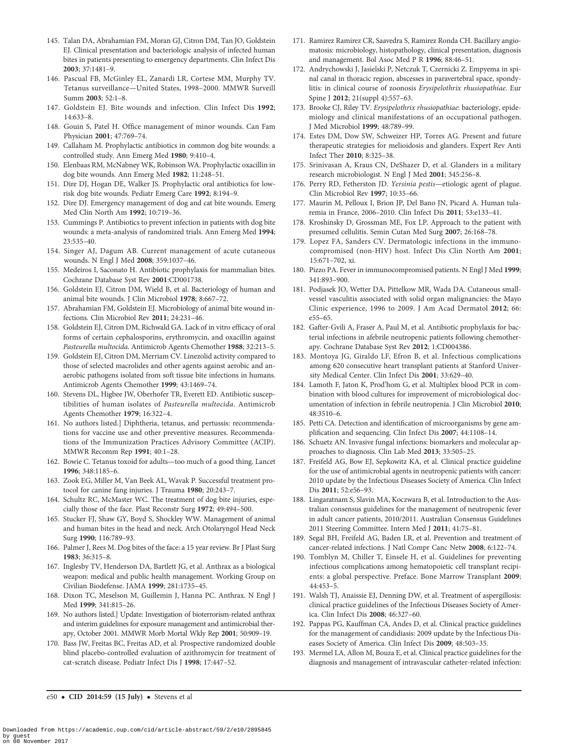- <span id="page-40-0"></span>145. Talan DA, Abrahamian FM, Moran GJ, Citron DM, Tan JO, Goldstein EJ. Clinical presentation and bacteriologic analysis of infected human bites in patients presenting to emergency departments. Clin Infect Dis 2003; 37:1481–9.
- 146. Pascual FB, McGinley EL, Zanardi LR, Cortese MM, Murphy TV. Tetanus surveillance—United States, 1998–2000. MMWR Surveill Summ 2003; 52:1–8.
- 147. Goldstein EJ. Bite wounds and infection. Clin Infect Dis 1992; 14:633–8.
- 148. Gouin S, Patel H. Office management of minor wounds. Can Fam Physician 2001; 47:769–74.
- 149. Callaham M. Prophylactic antibiotics in common dog bite wounds: a controlled study. Ann Emerg Med 1980; 9:410–4.
- 150. Elenbaas RM, McNabney WK, Robinson WA. Prophylactic oxacillin in dog bite wounds. Ann Emerg Med 1982; 11:248–51.
- 151. Dire DJ, Hogan DE, Walker JS. Prophylactic oral antibiotics for lowrisk dog bite wounds. Pediatr Emerg Care 1992; 8:194–9.
- 152. Dire DJ. Emergency management of dog and cat bite wounds. Emerg Med Clin North Am 1992; 10:719–36.
- 153. Cummings P. Antibiotics to prevent infection in patients with dog bite wounds: a meta-analysis of randomized trials. Ann Emerg Med 1994; 23:535–40.
- 154. Singer AJ, Dagum AB. Current management of acute cutaneous wounds. N Engl J Med 2008; 359:1037–46.
- 155. Medeiros I, Saconato H. Antibiotic prophylaxis for mammalian bites. Cochrane Database Syst Rev 2001:CD001738.
- 156. Goldstein EJ, Citron DM, Wield B, et al. Bacteriology of human and animal bite wounds. J Clin Microbiol 1978; 8:667–72.
- 157. Abrahamian FM, Goldstein EJ. Microbiology of animal bite wound infections. Clin Microbiol Rev 2011; 24:231–46.
- 158. Goldstein EJ, Citron DM, Richwald GA. Lack of in vitro efficacy of oral forms of certain cephalosporins, erythromycin, and oxacillin against Pasteurella multocida. Antimicrob Agents Chemother 1988; 32:213–5.
- 159. Goldstein EJ, Citron DM, Merriam CV. Linezolid activity compared to those of selected macrolides and other agents against aerobic and anaerobic pathogens isolated from soft tissue bite infections in humans. Antimicrob Agents Chemother 1999; 43:1469–74.
- 160. Stevens DL, Higbee JW, Oberhofer TR, Everett ED. Antibiotic susceptibilities of human isolates of Pasteurella multocida. Antimicrob Agents Chemother 1979; 16:322–4.
- 161. No authors listed.] Diphtheria, tetanus, and pertussis: recommendations for vaccine use and other preventive measures. Recommendations of the Immunization Practices Advisory Committee (ACIP). MMWR Recomm Rep 1991; 40:1–28.
- 162. Bowie C. Tetanus toxoid for adults—too much of a good thing. Lancet 1996; 348:1185–6.
- 163. Zook EG, Miller M, Van Beek AL, Wavak P. Successful treatment protocol for canine fang injuries. J Trauma 1980; 20:243–7.
- 164. Schultz RC, McMaster WC. The treatment of dog bite injuries, especially those of the face. Plast Reconstr Surg 1972; 49:494–500.
- 165. Stucker FJ, Shaw GY, Boyd S, Shockley WW. Management of animal and human bites in the head and neck. Arch Otolaryngol Head Neck Surg 1990; 116:789–93.
- 166. Palmer J, Rees M. Dog bites of the face: a 15 year review. Br J Plast Surg 1983; 36:315–8.
- 167. Inglesby TV, Henderson DA, Bartlett JG, et al. Anthrax as a biological weapon: medical and public health management. Working Group on Civilian Biodefense. JAMA 1999; 281:1735–45.
- 168. Dixon TC, Meselson M, Guillemin J, Hanna PC. Anthrax. N Engl J Med 1999; 341:815–26.
- 169. No authors listed.] Update: Investigation of bioterrorism-related anthrax and interim guidelines for exposure management and antimicrobial therapy, October 2001. MMWR Morb Mortal Wkly Rep 2001; 50:909–19.
- 170. Bass JW, Freitas BC, Freitas AD, et al. Prospective randomized double blind placebo-controlled evaluation of azithromycin for treatment of cat-scratch disease. Pediatr Infect Dis J 1998; 17:447–52.
- 171. Ramirez Ramirez CR, Saavedra S, Ramirez Ronda CH. Bacillary angiomatosis: microbiology, histopathology, clinical presentation, diagnosis and management. Bol Asoc Med P R 1996; 88:46–51.
- 172. Andrychowski J, Jasielski P, Netczuk T, Czernicki Z. Empyema in spinal canal in thoracic region, abscesses in paravertebral space, spondylitis: in clinical course of zoonosis Erysipelothrix rhusiopathiae. Eur Spine J 2012; 21(suppl 4):557–63.
- 173. Brooke CJ, Riley TV. Erysipelothrix rhusiopathiae: bacteriology, epidemiology and clinical manifestations of an occupational pathogen. J Med Microbiol 1999; 48:789–99.
- 174. Estes DM, Dow SW, Schweizer HP, Torres AG. Present and future therapeutic strategies for melioidosis and glanders. Expert Rev Anti Infect Ther 2010; 8:325–38.
- 175. Srinivasan A, Kraus CN, DeShazer D, et al. Glanders in a military research microbiologist. N Engl J Med 2001; 345:256–8.
- 176. Perry RD, Fetherston JD. Yersinia pestis—etiologic agent of plague. Clin Microbiol Rev 1997; 10:35–66.
- 177. Maurin M, Pelloux I, Brion JP, Del Bano JN, Picard A. Human tularemia in France, 2006–2010. Clin Infect Dis 2011; 53:e133–41.
- 178. Kroshinsky D, Grossman ME, Fox LP. Approach to the patient with presumed cellulitis. Semin Cutan Med Surg 2007; 26:168–78.
- 179. Lopez FA, Sanders CV. Dermatologic infections in the immunocompromised (non-HIV) host. Infect Dis Clin North Am 2001; 15:671–702, xi.
- 180. Pizzo PA. Fever in immunocompromised patients. N Engl J Med 1999; 341:893–900.
- 181. Podjasek JO, Wetter DA, Pittelkow MR, Wada DA. Cutaneous smallvessel vasculitis associated with solid organ malignancies: the Mayo Clinic experience, 1996 to 2009. J Am Acad Dermatol 2012; 66: e55–65.
- 182. Gafter-Gvili A, Fraser A, Paul M, et al. Antibiotic prophylaxis for bacterial infections in afebrile neutropenic patients following chemotherapy. Cochrane Database Syst Rev 2012; 1:CD004386.
- 183. Montoya JG, Giraldo LF, Efron B, et al. Infectious complications among 620 consecutive heart transplant patients at Stanford University Medical Center. Clin Infect Dis 2001; 33:629–40.
- 184. Lamoth F, Jaton K, Prod'hom G, et al. Multiplex blood PCR in combination with blood cultures for improvement of microbiological documentation of infection in febrile neutropenia. J Clin Microbiol 2010; 48:3510–6.
- 185. Petti CA. Detection and identification of microorganisms by gene amplification and sequencing. Clin Infect Dis 2007; 44:1108–14.
- 186. Schuetz AN. Invasive fungal infections: biomarkers and molecular approaches to diagnosis. Clin Lab Med 2013; 33:505–25.
- 187. Freifeld AG, Bow EJ, Sepkowitz KA, et al. Clinical practice guideline for the use of antimicrobial agents in neutropenic patients with cancer: 2010 update by the Infectious Diseases Society of America. Clin Infect Dis 2011; 52:e56–93.
- 188. Lingaratnam S, Slavin MA, Koczwara B, et al. Introduction to the Australian consensus guidelines for the management of neutropenic fever in adult cancer patients, 2010/2011. Australian Consensus Guidelines 2011 Steering Committee. Intern Med J 2011; 41:75–81.
- 189. Segal BH, Freifeld AG, Baden LR, et al. Prevention and treatment of cancer-related infections. J Natl Compr Canc Netw 2008; 6:122–74.
- 190. Tomblyn M, Chiller T, Einsele H, et al. Guidelines for preventing infectious complications among hematopoietic cell transplant recipients: a global perspective. Preface. Bone Marrow Transplant 2009; 44:453–5.
- 191. Walsh TJ, Anaissie EJ, Denning DW, et al. Treatment of aspergillosis: clinical practice guidelines of the Infectious Diseases Society of America. Clin Infect Dis 2008; 46:327–60.
- 192. Pappas PG, Kauffman CA, Andes D, et al. Clinical practice guidelines for the management of candidiasis: 2009 update by the Infectious Diseases Society of America. Clin Infect Dis 2009; 48:503–35.
- 193. Mermel LA, Allon M, Bouza E, et al. Clinical practice guidelines for the diagnosis and management of intravascular catheter-related infection:

e50 • CID 2014:59 (15 July) • Stevens et al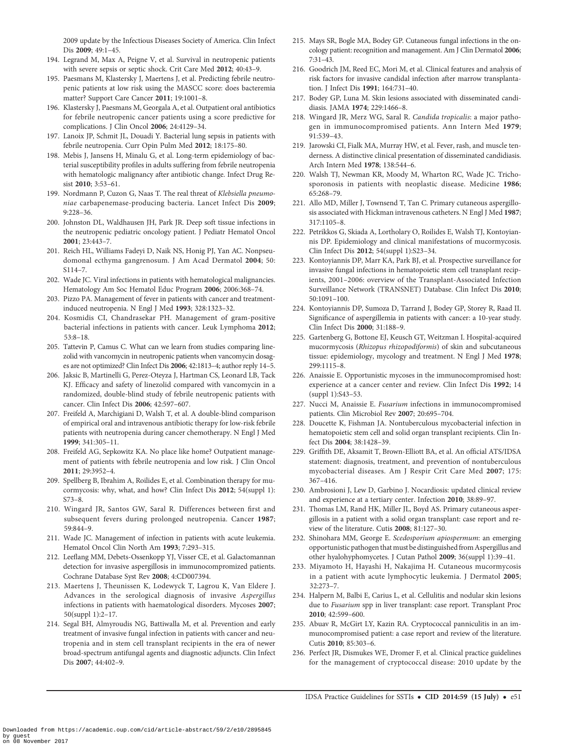<span id="page-41-0"></span>2009 update by the Infectious Diseases Society of America. Clin Infect Dis 2009; 49:1–45.

- 194. Legrand M, Max A, Peigne V, et al. Survival in neutropenic patients with severe sepsis or septic shock. Crit Care Med 2012; 40:43–9.
- 195. Paesmans M, Klastersky J, Maertens J, et al. Predicting febrile neutropenic patients at low risk using the MASCC score: does bacteremia matter? Support Care Cancer 2011; 19:1001–8.
- 196. Klastersky J, Paesmans M, Georgala A, et al. Outpatient oral antibiotics for febrile neutropenic cancer patients using a score predictive for complications. J Clin Oncol 2006; 24:4129–34.
- 197. Lanoix JP, Schmit JL, Douadi Y. Bacterial lung sepsis in patients with febrile neutropenia. Curr Opin Pulm Med 2012; 18:175–80.
- 198. Mebis J, Jansens H, Minalu G, et al. Long-term epidemiology of bacterial susceptibility profiles in adults suffering from febrile neutropenia with hematologic malignancy after antibiotic change. Infect Drug Resist 2010; 3:53–61.
- 199. Nordmann P, Cuzon G, Naas T. The real threat of Klebsiella pneumoniae carbapenemase-producing bacteria. Lancet Infect Dis 2009; 9:228–36.
- 200. Johnston DL, Waldhausen JH, Park JR. Deep soft tissue infections in the neutropenic pediatric oncology patient. J Pediatr Hematol Oncol 2001; 23:443–7.
- 201. Reich HL, Williams Fadeyi D, Naik NS, Honig PJ, Yan AC. Nonpseudomonal ecthyma gangrenosum. J Am Acad Dermatol 2004; 50: S114–7.
- 202. Wade JC. Viral infections in patients with hematological malignancies. Hematology Am Soc Hematol Educ Program 2006; 2006:368–74.
- 203. Pizzo PA. Management of fever in patients with cancer and treatmentinduced neutropenia. N Engl J Med 1993; 328:1323–32.
- 204. Kosmidis CI, Chandrasekar PH. Management of gram-positive bacterial infections in patients with cancer. Leuk Lymphoma 2012; 53:8–18.
- 205. Tattevin P, Camus C. What can we learn from studies comparing linezolid with vancomycin in neutropenic patients when vancomycin dosages are not optimized? Clin Infect Dis 2006; 42:1813–4; author reply 14–5.
- 206. Jaksic B, Martinelli G, Perez-Oteyza J, Hartman CS, Leonard LB, Tack KJ. Efficacy and safety of linezolid compared with vancomycin in a randomized, double-blind study of febrile neutropenic patients with cancer. Clin Infect Dis 2006; 42:597–607.
- 207. Freifeld A, Marchigiani D, Walsh T, et al. A double-blind comparison of empirical oral and intravenous antibiotic therapy for low-risk febrile patients with neutropenia during cancer chemotherapy. N Engl J Med 1999; 341:305–11.
- 208. Freifeld AG, Sepkowitz KA. No place like home? Outpatient management of patients with febrile neutropenia and low risk. J Clin Oncol 2011; 29:3952–4.
- 209. Spellberg B, Ibrahim A, Roilides E, et al. Combination therapy for mucormycosis: why, what, and how? Clin Infect Dis 2012; 54(suppl 1): S73–8.
- 210. Wingard JR, Santos GW, Saral R. Differences between first and subsequent fevers during prolonged neutropenia. Cancer 1987; 59:844–9.
- 211. Wade JC. Management of infection in patients with acute leukemia. Hematol Oncol Clin North Am 1993; 7:293–315.
- 212. Leeflang MM, Debets-Ossenkopp YJ, Visser CE, et al. Galactomannan detection for invasive aspergillosis in immunocompromized patients. Cochrane Database Syst Rev 2008; 4:CD007394.
- 213. Maertens J, Theunissen K, Lodewyck T, Lagrou K, Van Eldere J. Advances in the serological diagnosis of invasive Aspergillus infections in patients with haematological disorders. Mycoses 2007; 50(suppl 1):2–17.
- 214. Segal BH, Almyroudis NG, Battiwalla M, et al. Prevention and early treatment of invasive fungal infection in patients with cancer and neutropenia and in stem cell transplant recipients in the era of newer broad-spectrum antifungal agents and diagnostic adjuncts. Clin Infect Dis 2007; 44:402–9.
- 215. Mays SR, Bogle MA, Bodey GP. Cutaneous fungal infections in the oncology patient: recognition and management. Am J Clin Dermatol 2006; 7:31–43.
- 216. Goodrich JM, Reed EC, Mori M, et al. Clinical features and analysis of risk factors for invasive candidal infection after marrow transplantation. J Infect Dis 1991; 164:731–40.
- 217. Bodey GP, Luna M. Skin lesions associated with disseminated candidiasis. JAMA 1974; 229:1466–8.
- 218. Wingard JR, Merz WG, Saral R. Candida tropicalis: a major pathogen in immunocompromised patients. Ann Intern Med 1979; 91:539–43.
- 219. Jarowski CI, Fialk MA, Murray HW, et al. Fever, rash, and muscle tenderness. A distinctive clinical presentation of disseminated candidiasis. Arch Intern Med 1978; 138:544–6.
- 220. Walsh TJ, Newman KR, Moody M, Wharton RC, Wade JC. Trichosporonosis in patients with neoplastic disease. Medicine 1986; 65:268–79.
- 221. Allo MD, Miller J, Townsend T, Tan C. Primary cutaneous aspergillosis associated with Hickman intravenous catheters. N Engl J Med 1987; 317:1105–8.
- 222. Petrikkos G, Skiada A, Lortholary O, Roilides E, Walsh TJ, Kontoyiannis DP. Epidemiology and clinical manifestations of mucormycosis. Clin Infect Dis 2012; 54(suppl 1):S23–34.
- 223. Kontoyiannis DP, Marr KA, Park BJ, et al. Prospective surveillance for invasive fungal infections in hematopoietic stem cell transplant recipients, 2001–2006: overview of the Transplant-Associated Infection Surveillance Network (TRANSNET) Database. Clin Infect Dis 2010; 50:1091–100.
- 224. Kontoyiannis DP, Sumoza D, Tarrand J, Bodey GP, Storey R, Raad II. Significance of aspergillemia in patients with cancer: a 10-year study. Clin Infect Dis 2000; 31:188–9.
- 225. Gartenberg G, Bottone EJ, Keusch GT, Weitzman I. Hospital-acquired mucormycosis (Rhizopus rhizopodiformis) of skin and subcutaneous tissue: epidemiology, mycology and treatment. N Engl J Med 1978; 299:1115–8.
- 226. Anaissie E. Opportunistic mycoses in the immunocompromised host: experience at a cancer center and review. Clin Infect Dis 1992; 14 (suppl 1):S43–53.
- 227. Nucci M, Anaissie E. Fusarium infections in immunocompromised patients. Clin Microbiol Rev 2007; 20:695–704.
- 228. Doucette K, Fishman JA. Nontuberculous mycobacterial infection in hematopoietic stem cell and solid organ transplant recipients. Clin Infect Dis 2004; 38:1428–39.
- 229. Griffith DE, Aksamit T, Brown-Elliott BA, et al. An official ATS/IDSA statement: diagnosis, treatment, and prevention of nontuberculous mycobacterial diseases. Am J Respir Crit Care Med 2007; 175: 367–416.
- 230. Ambrosioni J, Lew D, Garbino J. Nocardiosis: updated clinical review and experience at a tertiary center. Infection 2010; 38:89–97.
- 231. Thomas LM, Rand HK, Miller JL, Boyd AS. Primary cutaneous aspergillosis in a patient with a solid organ transplant: case report and review of the literature. Cutis 2008; 81:127–30.
- 232. Shinohara MM, George E. Scedosporium apiospermum: an emerging opportunistic pathogen that must be distinguished from Aspergillus and other hyalohyphomycetes. J Cutan Pathol 2009; 36(suppl 1):39–41.
- 233. Miyamoto H, Hayashi H, Nakajima H. Cutaneous mucormycosis in a patient with acute lymphocytic leukemia. J Dermatol 2005; 32:273–7.
- 234. Halpern M, Balbi E, Carius L, et al. Cellulitis and nodular skin lesions due to Fusarium spp in liver transplant: case report. Transplant Proc 2010; 42:599–600.
- 235. Abuav R, McGirt LY, Kazin RA. Cryptococcal panniculitis in an immunocompromised patient: a case report and review of the literature. Cutis 2010; 85:303–6.
- 236. Perfect JR, Dismukes WE, Dromer F, et al. Clinical practice guidelines for the management of cryptococcal disease: 2010 update by the